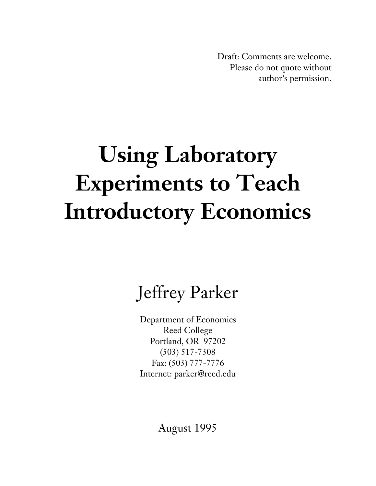Draft: Comments are welcome. Please do not quote without author's permission.

# **Using Laboratory Experiments to Teach Introductory Economics**

## Jeffrey Parker

Department of Economics Reed College Portland, OR 97202 (503) 517-7308 Fax: (503) 777-7776 Internet: parker@reed.edu

August 1995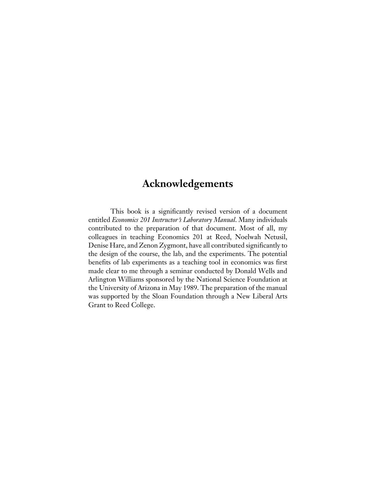### **Acknowledgements**

This book is a significantly revised version of a document entitled *Economics 201 Instructor's Laboratory Manual*. Many individuals contributed to the preparation of that document. Most of all, my colleagues in teaching Economics 201 at Reed, Noelwah Netusil, Denise Hare, and Zenon Zygmont, have all contributed significantly to the design of the course, the lab, and the experiments. The potential benefits of lab experiments as a teaching tool in economics was first made clear to me through a seminar conducted by Donald Wells and Arlington Williams sponsored by the National Science Foundation at the University of Arizona in May 1989. The preparation of the manual was supported by the Sloan Foundation through a New Liberal Arts Grant to Reed College.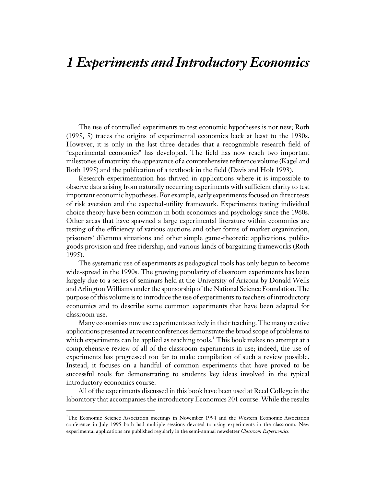## *1 Experiments and Introductory Economics*

The use of controlled experiments to test economic hypotheses is not new; Roth (1995, 5) traces the origins of experimental economics back at least to the 1930s. However, it is only in the last three decades that a recognizable research field of "experimental economics" has developed. The field has now reach two important milestones of maturity: the appearance of a comprehensive reference volume (Kagel and Roth 1995) and the publication of a textbook in the field (Davis and Holt 1993).

Research experimentation has thrived in applications where it is impossible to observe data arising from naturally occurring experiments with sufficient clarity to test important economic hypotheses. For example, early experiments focused on direct tests of risk aversion and the expected-utility framework. Experiments testing individual choice theory have been common in both economics and psychology since the 1960s. Other areas that have spawned a large experimental literature within economics are testing of the efficiency of various auctions and other forms of market organization, prisoners' dilemma situations and other simple game-theoretic applications, publicgoods provision and free ridership, and various kinds of bargaining frameworks (Roth 1995).

The systematic use of experiments as pedagogical tools has only begun to become wide-spread in the 1990s. The growing popularity of classroom experiments has been largely due to a series of seminars held at the University of Arizona by Donald Wells and Arlington Williams under the sponsorship of the National Science Foundation. The purpose of this volume is to introduce the use of experiments to teachers of introductory economics and to describe some common experiments that have been adapted for classroom use.

Many economists now use experiments actively in their teaching. The many creative applications presented at recent conferences demonstrate the broad scope of problems to which experiments can be applied as teaching tools.1 This book makes no attempt at a comprehensive review of all of the classroom experiments in use; indeed, the use of experiments has progressed too far to make compilation of such a review possible. Instead, it focuses on a handful of common experiments that have proved to be successful tools for demonstrating to students key ideas involved in the typical introductory economics course.

All of the experiments discussed in this book have been used at Reed College in the laboratory that accompanies the introductory Economics 201 course. While the results

 $\overline{a}$ 

<sup>1</sup> The Economic Science Association meetings in November 1994 and the Western Economic Association conference in July 1995 both had multiple sessions devoted to using experiments in the classroom. New experimental applications are published regularly in the semi-annual newsletter *Classroom Expernomics.*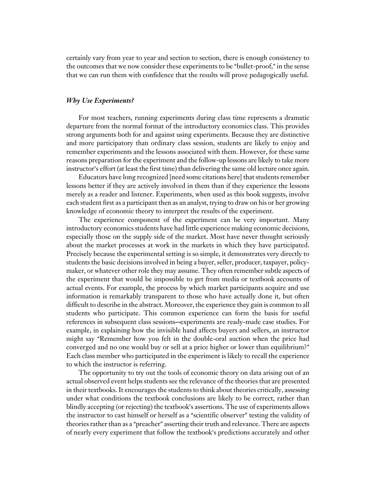certainly vary from year to year and section to section, there is enough consistency to the outcomes that we now consider these experiments to be "bullet-proof," in the sense that we can run them with confidence that the results will prove pedagogically useful.

#### *Why Use Experiments?*

For most teachers, running experiments during class time represents a dramatic departure from the normal format of the introductory economics class. This provides strong arguments both for and against using experiments. Because they are distinctive and more participatory than ordinary class session, students are likely to enjoy and remember experiments and the lessons associated with them. However, for these same reasons preparation for the experiment and the follow-up lessons are likely to take more instructor's effort (at least the first time) than delivering the same old lecture once again.

Educators have long recognized [need some citations here] that students remember lessons better if they are actively involved in them than if they experience the lessons merely as a reader and listener. Experiments, when used as this book suggests, involve each student first as a participant then as an analyst, trying to draw on his or her growing knowledge of economic theory to interpret the results of the experiment.

The experience component of the experiment can be very important. Many introductory economics students have had little experience making economic decisions, especially those on the supply side of the market. Most have never thought seriously about the market processes at work in the markets in which they have participated. Precisely because the experimental setting is so simple, it demonstrates very directly to students the basic decisions involved in being a buyer, seller, producer, taxpayer, policymaker, or whatever other role they may assume. They often remember subtle aspects of the experiment that would be impossible to get from media or textbook accounts of actual events. For example, the process by which market participants acquire and use information is remarkably transparent to those who have actually done it, but often difficult to describe in the abstract. Moreover, the experience they gain is common to all students who participate. This common experience can form the basis for useful references in subsequent class sessions—experiments are ready-made case studies. For example, in explaining how the invisible hand affects buyers and sellers, an instructor might say "Remember how you felt in the double-oral auction when the price had converged and no one would buy or sell at a price higher or lower than equilibrium?" Each class member who participated in the experiment is likely to recall the experience to which the instructor is referring.

The opportunity to try out the tools of economic theory on data arising out of an actual observed event helps students see the relevance of the theories that are presented in their textbooks. It encourages the students to think about theories critically, assessing under what conditions the textbook conclusions are likely to be correct, rather than blindly accepting (or rejecting) the textbook's assertions. The use of experiments allows the instructor to cast himself or herself as a "scientific observer" testing the validity of theories rather than as a "preacher" asserting their truth and relevance. There are aspects of nearly every experiment that follow the textbook's predictions accurately and other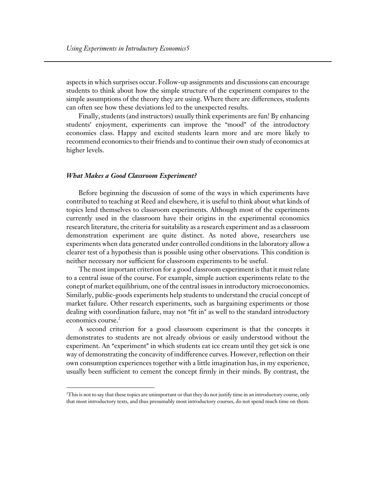aspects in which surprises occur. Follow-up assignments and discussions can encourage students to think about how the simple structure of the experiment compares to the simple assumptions of the theory they are using. Where there are differences, students can often see how these deviations led to the unexpected results.

Finally, students (and instructors) usually think experiments are fun! By enhancing students' enjoyment, experiments can improve the "mood" of the introductory economics class. Happy and excited students learn more and are more likely to recommend economics to their friends and to continue their own study of economics at higher levels.

#### *What Makes a Good Classroom Experiment?*

 $\overline{a}$ 

Before beginning the discussion of some of the ways in which experiments have contributed to teaching at Reed and elsewhere, it is useful to think about what kinds of topics lend themselves to classroom experiments. Although most of the experiments currently used in the classroom have their origins in the experimental economics research literature, the criteria for suitability as a research experiment and as a classroom demonstration experiment are quite distinct. As noted above, researchers use experiments when data generated under controlled conditions in the laboratory allow a clearer test of a hypothesis than is possible using other observations. This condition is neither necessary nor sufficient for classroom experiments to be useful.

The most important criterion for a good classroom experiment is that it must relate to a central issue of the course. For example, simple auction experiments relate to the conept of market equilibrium, one of the central issues in introductory microeconomics. Similarly, public-goods experiments help students to understand the crucial concept of market failure. Other research experiments, such as bargaining experiments or those dealing with coordination failure, may not "fit in" as well to the standard introductory economics course.<sup>2</sup>

A second criterion for a good classroom experiment is that the concepts it demonstrates to students are not already obvious or easily understood without the experiment. An "experiment" in which students eat ice cream until they get sick is one way of demonstrating the concavity of indifference curves. However, reflection on their own consumption experiences together with a little imagination has, in my experience, usually been sufficient to cement the concept firmly in their minds. By contrast, the

 $^2$ This is not to say that these topics are unimportant or that they do not justify time in an introductory course, only that most introductory texts, and thus presumably most introductory courses, do not spend much time on them.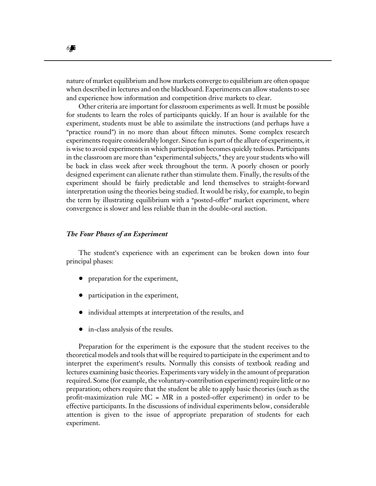nature of market equilibrium and how markets converge to equilibrium are often opaque when described in lectures and on the blackboard. Experiments can allow students to see and experience how information and competition drive markets to clear.

Other criteria are important for classroom experiments as well. It must be possible for students to learn the roles of participants quickly. If an hour is available for the experiment, students must be able to assimilate the instructions (and perhaps have a "practice round") in no more than about fifteen minutes. Some complex research experiments require considerably longer. Since fun is part of the allure of experiments, it is wise to avoid experiments in which participation becomes quickly tedious. Participants in the classroom are more than "experimental subjects," they are your students who will be back in class week after week throughout the term. A poorly chosen or poorly designed experiment can alienate rather than stimulate them. Finally, the results of the experiment should be fairly predictable and lend themselves to straight-forward interpretation using the theories being studied. It would be risky, for example, to begin the term by illustrating equilibrium with a "posted-offer" market experiment, where convergence is slower and less reliable than in the double-oral auction.

#### *The Four Phases of an Experiment*

The student's experience with an experiment can be broken down into four principal phases:

- preparation for the experiment,
- ! participation in the experiment,
- individual attempts at interpretation of the results, and
- in-class analysis of the results.

Preparation for the experiment is the exposure that the student receives to the theoretical models and tools that will be required to participate in the experiment and to interpret the experiment's results. Normally this consists of textbook reading and lectures examining basic theories. Experiments vary widely in the amount of preparation required. Some (for example, the voluntary-contribution experiment) require little or no preparation; others require that the student be able to apply basic theories (such as the profit-maximization rule MC = MR in a posted-offer experiment) in order to be effective participants. In the discussions of individual experiments below, considerable attention is given to the issue of appropriate preparation of students for each experiment.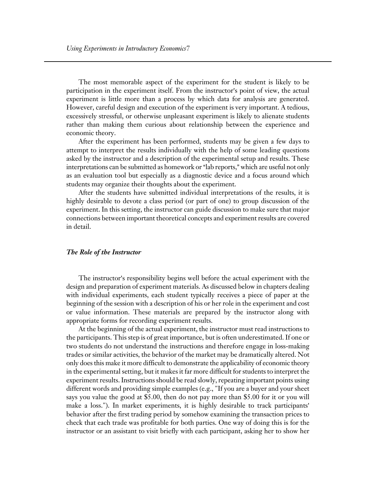The most memorable aspect of the experiment for the student is likely to be participation in the experiment itself. From the instructor's point of view, the actual experiment is little more than a process by which data for analysis are generated. However, careful design and execution of the experiment is very important. A tedious, excessively stressful, or otherwise unpleasant experiment is likely to alienate students rather than making them curious about relationship between the experience and economic theory.

After the experiment has been performed, students may be given a few days to attempt to interpret the results individually with the help of some leading questions asked by the instructor and a description of the experimental setup and results. These interpretations can be submitted as homework or "lab reports," which are useful not only as an evaluation tool but especially as a diagnostic device and a focus around which students may organize their thoughts about the experiment.

After the students have submitted individual interpretations of the results, it is highly desirable to devote a class period (or part of one) to group discussion of the experiment. In this setting, the instructor can guide discussion to make sure that major connections between important theoretical concepts and experiment results are covered in detail.

#### *The Role of the Instructor*

The instructor's responsibility begins well before the actual experiment with the design and preparation of experiment materials. As discussed below in chapters dealing with individual experiments, each student typically receives a piece of paper at the beginning of the session with a description of his or her role in the experiment and cost or value information. These materials are prepared by the instructor along with appropriate forms for recording experiment results.

At the beginning of the actual experiment, the instructor must read instructions to the participants. This step is of great importance, but is often underestimated. If one or two students do not understand the instructions and therefore engage in loss-making trades or similar activities, the behavior of the market may be dramatically altered. Not only does this make it more difficult to demonstrate the applicability of economic theory in the experimental setting, but it makes it far more difficult for students to interpret the experiment results. Instructions should be read slowly, repeating important points using different words and providing simple examples (e.g., "If you are a buyer and your sheet says you value the good at \$5.00, then do not pay more than \$5.00 for it or you will make a loss."). In market experiments, it is highly desirable to track participants' behavior after the first trading period by somehow examining the transaction prices to check that each trade was profitable for both parties. One way of doing this is for the instructor or an assistant to visit briefly with each participant, asking her to show her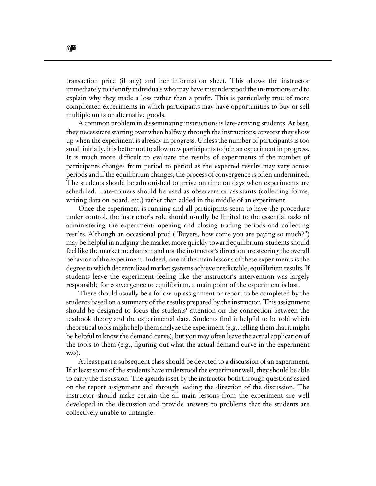transaction price (if any) and her information sheet. This allows the instructor immediately to identify individuals who may have misunderstood the instructions and to explain why they made a loss rather than a profit. This is particularly true of more complicated experiments in which participants may have opportunities to buy or sell multiple units or alternative goods.

A common problem in disseminating instructions is late-arriving students. At best, they necessitate starting over when halfway through the instructions; at worst they show up when the experiment is already in progress. Unless the number of participants is too small initially, it is better not to allow new participants to join an experiment in progress. It is much more difficult to evaluate the results of experiments if the number of participants changes from period to period as the expected results may vary across periods and if the equilibrium changes, the process of convergence is often undermined. The students should be admonished to arrive on time on days when experiments are scheduled. Late-comers should be used as observers or assistants (collecting forms, writing data on board, etc.) rather than added in the middle of an experiment.

Once the experiment is running and all participants seem to have the procedure under control, the instructor's role should usually be limited to the essential tasks of administering the experiment: opening and closing trading periods and collecting results. Although an occasional prod ("Buyers, how come you are paying so much?") may be helpful in nudging the market more quickly toward equilibrium, students should feel like the market mechanism and not the instructor's direction are steering the overall behavior of the experiment. Indeed, one of the main lessons of these experiments is the degree to which decentralized market systems achieve predictable, equilibrium results. If students leave the experiment feeling like the instructor's intervention was largely responsible for convergence to equilibrium, a main point of the experiment is lost.

There should usually be a follow-up assignment or report to be completed by the students based on a summary of the results prepared by the instructor. This assignment should be designed to focus the students' attention on the connection between the textbook theory and the experimental data. Students find it helpful to be told which theoretical tools might help them analyze the experiment (e.g., telling them that it might be helpful to know the demand curve), but you may often leave the actual application of the tools to them (e.g., figuring out what the actual demand curve in the experiment was).

At least part a subsequent class should be devoted to a discussion of an experiment. If at least some of the students have understood the experiment well, they should be able to carry the discussion. The agenda is set by the instructor both through questions asked on the report assignment and through leading the direction of the discussion. The instructor should make certain the all main lessons from the experiment are well developed in the discussion and provide answers to problems that the students are collectively unable to untangle.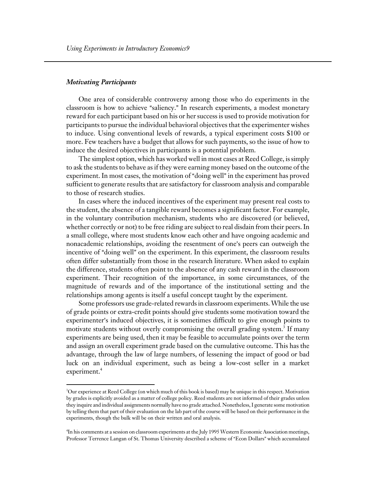#### *Motivating Participants*

 $\overline{a}$ 

One area of considerable controversy among those who do experiments in the classroom is how to achieve "saliency." In research experiments, a modest monetary reward for each participant based on his or her success is used to provide motivation for participants to pursue the individual behavioral objectives that the experimenter wishes to induce. Using conventional levels of rewards, a typical experiment costs \$100 or more. Few teachers have a budget that allows for such payments, so the issue of how to induce the desired objectives in participants is a potential problem.

The simplest option, which has worked well in most cases at Reed College, is simply to ask the students to behave as if they were earning money based on the outcome of the experiment. In most cases, the motivation of "doing well" in the experiment has proved sufficient to generate results that are satisfactory for classroom analysis and comparable to those of research studies.

In cases where the induced incentives of the experiment may present real costs to the student, the absence of a tangible reward becomes a significant factor. For example, in the voluntary contribution mechanism, students who are discovered (or believed, whether correctly or not) to be free riding are subject to real disdain from their peers. In a small college, where most students know each other and have ongoing academic and nonacademic relationships, avoiding the resentment of one's peers can outweigh the incentive of "doing well" on the experiment. In this experiment, the classroom results often differ substantially from those in the research literature. When asked to explain the difference, students often point to the absence of any cash reward in the classroom experiment. Their recognition of the importance, in some circumstances, of the magnitude of rewards and of the importance of the institutional setting and the relationships among agents is itself a useful concept taught by the experiment.

Some professors use grade-related rewards in classroom experiments. While the use of grade points or extra-credit points should give students some motivation toward the experimenter's induced objectives, it is sometimes difficult to give enough points to motivate students without overly compromising the overall grading system.<sup>3</sup> If many experiments are being used, then it may be feasible to accumulate points over the term and assign an overall experiment grade based on the cumulative outcome. This has the advantage, through the law of large numbers, of lessening the impact of good or bad luck on an individual experiment, such as being a low-cost seller in a market experiment.<sup>4</sup>

<sup>3</sup> Our experience at Reed College (on which much of this book is based) may be unique in this respect. Motivation by grades is explicitly avoided as a matter of college policy. Reed students are not informed of their grades unless they inquire and individual assignments normally have no grade attached. Nonetheless, I generate some motivation by telling them that part of their evaluation on the lab part of the course will be based on their performance in the experiments, though the bulk will be on their written and oral analysis.

<sup>4</sup> In his comments at a session on classroom experiments at the July 1995 Western Economic Association meetings, Professor Terrence Langan of St. Thomas University described a scheme of "Econ Dollars" which accumulated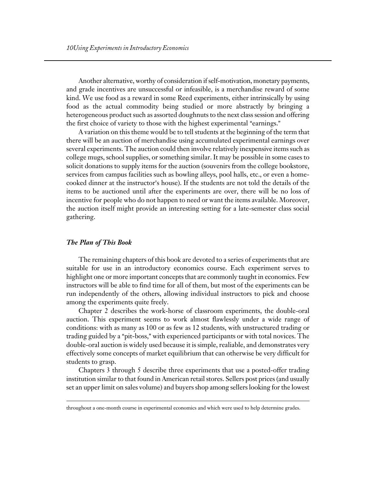Another alternative, worthy of consideration if self-motivation, monetary payments, and grade incentives are unsuccessful or infeasible, is a merchandise reward of some kind. We use food as a reward in some Reed experiments, either intrinsically by using food as the actual commodity being studied or more abstractly by bringing a heterogeneous product such as assorted doughnuts to the next class session and offering the first choice of variety to those with the highest experimental "earnings."

A variation on this theme would be to tell students at the beginning of the term that there will be an auction of merchandise using accumulated experimental earnings over several experiments. The auction could then involve relatively inexpensive items such as college mugs, school supplies, or something similar. It may be possible in some cases to solicit donations to supply items for the auction (souvenirs from the college bookstore, services from campus facilities such as bowling alleys, pool halls, etc., or even a homecooked dinner at the instructor's house). If the students are not told the details of the items to be auctioned until after the experiments are over, there will be no loss of incentive for people who do not happen to need or want the items available. Moreover, the auction itself might provide an interesting setting for a late-semester class social gathering.

#### *The Plan of This Book*

 $\overline{a}$ 

The remaining chapters of this book are devoted to a series of experiments that are suitable for use in an introductory economics course. Each experiment serves to highlight one or more important concepts that are commonly taught in economics. Few instructors will be able to find time for all of them, but most of the experiments can be run independently of the others, allowing individual instructors to pick and choose among the experiments quite freely.

Chapter 2 describes the work-horse of classroom experiments, the double-oral auction. This experiment seems to work almost flawlessly under a wide range of conditions: with as many as 100 or as few as 12 students, with unstructured trading or trading guided by a "pit-boss," with experienced participants or with total novices. The double-oral auction is widely used because it is simple, realiable, and demonstrates very effectively some concepts of market equilibrium that can otherwise be very difficult for students to grasp.

Chapters 3 through 5 describe three experiments that use a posted-offer trading institution similar to that found in American retail stores. Sellers post prices (and usually set an upper limit on sales volume) and buyers shop among sellers looking for the lowest

throughout a one-month course in experimental economics and which were used to help determine grades.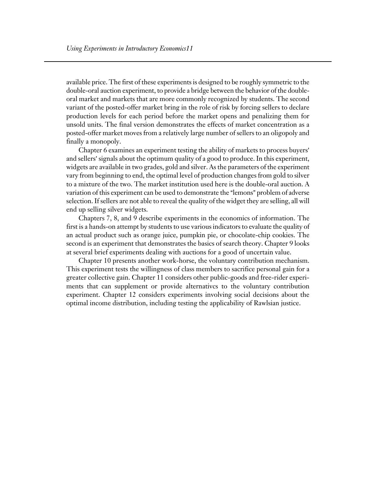available price. The first of these experiments is designed to be roughly symmetric to the double-oral auction experiment, to provide a bridge between the behavior of the doubleoral market and markets that are more commonly recognized by students. The second variant of the posted-offer market bring in the role of risk by forcing sellers to declare production levels for each period before the market opens and penalizing them for unsold units. The final version demonstrates the effects of market concentration as a posted-offer market moves from a relatively large number of sellers to an oligopoly and finally a monopoly.

Chapter 6 examines an experiment testing the ability of markets to process buyers' and sellers' signals about the optimum quality of a good to produce. In this experiment, widgets are available in two grades, gold and silver. As the parameters of the experiment vary from beginning to end, the optimal level of production changes from gold to silver to a mixture of the two. The market institution used here is the double-oral auction. A variation of this experiment can be used to demonstrate the "lemons" problem of adverse selection. If sellers are not able to reveal the quality of the widget they are selling, all will end up selling silver widgets.

Chapters 7, 8, and 9 describe experiments in the economics of information. The first is a hands-on attempt by students to use various indicators to evaluate the quality of an actual product such as orange juice, pumpkin pie, or chocolate-chip cookies. The second is an experiment that demonstrates the basics of search theory. Chapter 9 looks at several brief experiments dealing with auctions for a good of uncertain value.

Chapter 10 presents another work-horse, the voluntary contribution mechanism. This experiment tests the willingness of class members to sacrifice personal gain for a greater collective gain. Chapter 11 considers other public-goods and free-rider experiments that can supplement or provide alternativcs to the voluntary contribution experiment. Chapter 12 considers experiments involving social decisions about the optimal income distribution, including testing the applicability of Rawlsian justice.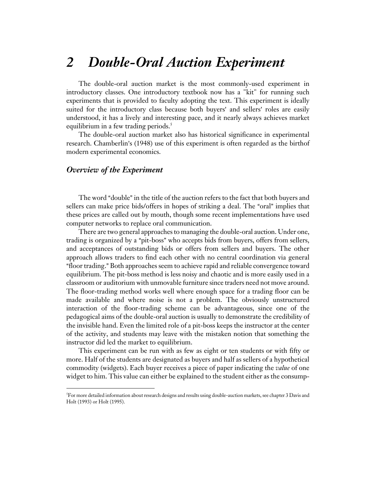## *2 Double-Oral Auction Experiment*

The double-oral auction market is the most commonly-used experiment in introductory classes. One introductory textbook now has a "kit" for running such experiments that is provided to faculty adopting the text. This experiment is ideally suited for the introductory class because both buyers' and sellers' roles are easily understood, it has a lively and interesting pace, and it nearly always achieves market equilibrium in a few trading periods.<sup>5</sup>

The double-oral auction market also has historical significance in experimental research. Chamberlin's (1948) use of this experiment is often regarded as the birthof modern experimental economics.

#### *Overview of the Experiment*

 $\overline{a}$ 

The word "double" in the title of the auction refers to the fact that both buyers and sellers can make price bids/offers in hopes of striking a deal. The "oral" implies that these prices are called out by mouth, though some recent implementations have used computer networks to replace oral communication.

There are two general approaches to managing the double-oral auction. Under one, trading is organized by a "pit-boss" who accepts bids from buyers, offers from sellers, and acceptances of outstanding bids or offers from sellers and buyers. The other approach allows traders to find each other with no central coordination via general "floor trading." Both approaches seem to achieve rapid and reliable convergence toward equilibrium. The pit-boss method is less noisy and chaotic and is more easily used in a classroom or auditorium with unmovable furniture since traders need not move around. The floor-trading method works well where enough space for a trading floor can be made available and where noise is not a problem. The obviously unstructured interaction of the floor-trading scheme can be advantageous, since one of the pedagogical aims of the double-oral auction is usually to demonstrate the credibility of the invisible hand. Even the limited role of a pit-boss keeps the instructor at the center of the activity, and students may leave with the mistaken notion that something the instructor did led the market to equilibrium.

This experiment can be run with as few as eight or ten students or with fifty or more. Half of the students are designated as buyers and half as sellers of a hypothetical commodity (widgets). Each buyer receives a piece of paper indicating the *value* of one widget to him. This value can either be explained to the student either as the consump-

 $^5$ For more detailed information about research designs and results using double-auction markets, see chapter 3 Davis and Holt (1993) or Holt (1995).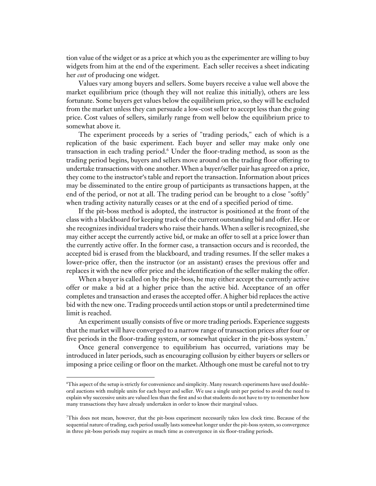tion value of the widget or as a price at which you as the experimenter are willing to buy widgets from him at the end of the experiment. Each seller receives a sheet indicating her *cost* of producing one widget.

Values vary among buyers and sellers. Some buyers receive a value well above the market equilibrium price (though they will not realize this initially), others are less fortunate. Some buyers get values below the equilibrium price, so they will be excluded from the market unless they can persuade a low-cost seller to accept less than the going price. Cost values of sellers, similarly range from well below the equilibrium price to somewhat above it.

The experiment proceeds by a series of "trading periods," each of which is a replication of the basic experiment. Each buyer and seller may make only one transaction in each trading period.<sup>6</sup> Under the floor-trading method, as soon as the trading period begins, buyers and sellers move around on the trading floor offering to undertake transactions with one another. When a buyer/seller pair has agreed on a price, they come to the instructor's table and report the transaction. Information about prices may be disseminated to the entire group of participants as transactions happen, at the end of the period, or not at all. The trading period can be brought to a close "softly" when trading activity naturally ceases or at the end of a specified period of time.

If the pit-boss method is adopted, the instructor is positioned at the front of the class with a blackboard for keeping track of the current outstanding bid and offer. He or she recognizes individual traders who raise their hands. When a seller is recognized, she may either accept the currently active bid, or make an offer to sell at a price lower than the currently active offer. In the former case, a transaction occurs and is recorded, the accepted bid is erased from the blackboard, and trading resumes. If the seller makes a lower-price offer, then the instructor (or an assistant) erases the previous offer and replaces it with the new offer price and the identification of the seller making the offer.

When a buyer is called on by the pit-boss, he may either accept the currently active offer or make a bid at a higher price than the active bid. Acceptance of an offer completes and transaction and erases the accepted offer. A higher bid replaces the active bid with the new one. Trading proceeds until action stops or until a predetermined time limit is reached.

An experiment usually consists of five or more trading periods. Experience suggests that the market will have converged to a narrow range of transaction prices after four or five periods in the floor-trading system, or somewhat quicker in the pit-boss system.<sup>7</sup>

Once general convergence to equilibrium has occurred, variations may be introduced in later periods, such as encouraging collusion by either buyers or sellers or imposing a price ceiling or floor on the market. Although one must be careful not to try

 $\overline{a}$ 

<sup>6</sup> This aspect of the setup is strictly for convenience and simplicity. Many research experiments have used doubleoral auctions with multiple units for each buyer and seller. We use a single unit per period to avoid the need to explain why successive units are valued less than the first and so that students do not have to try to remember how many transactions they have already undertaken in order to know their marginal values.

<sup>7</sup> This does not mean, however, that the pit-boss experiment necessarily takes less clock time. Because of the sequential nature of trading, each period usually lasts somewhat longer under the pit-boss system, so convergence in three pit-boss periods may require as much time as convergence in six floor-trading periods.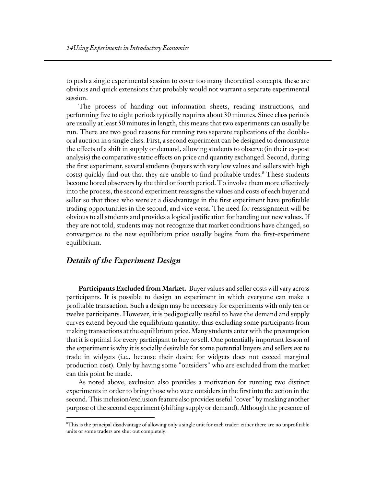to push a single experimental session to cover too many theoretical concepts, these are obvious and quick extensions that probably would not warrant a separate experimental session.

The process of handing out information sheets, reading instructions, and performing five to eight periods typically requires about 30 minutes. Since class periods are usually at least 50 minutes in length, this means that two experiments can usually be run. There are two good reasons for running two separate replications of the doubleoral auction in a single class. First, a second experiment can be designed to demonstrate the effects of a shift in supply or demand, allowing students to observe (in their ex-post analysis) the comparative static effects on price and quantity exchanged. Second, during the first experiment, several students (buyers with very low values and sellers with high costs) quickly find out that they are unable to find profitable trades.<sup>8</sup> These students become bored observers by the third or fourth period. To involve them more effectively into the process, the second experiment reassigns the values and costs of each buyer and seller so that those who were at a disadvantage in the first experiment have profitable trading opportunities in the second, and vice versa. The need for reassignment will be obvious to all students and provides a logical justification for handing out new values. If they are not told, students may not recognize that market conditions have changed, so convergence to the new equilibrium price usually begins from the first-experiment equilibrium.

#### *Details of the Experiment Design*

 $\overline{a}$ 

**Participants Excluded from Market.** Buyer values and seller costs will vary across participants. It is possible to design an experiment in which everyone can make a profitable transaction. Such a design may be necessary for experiments with only ten or twelve participants. However, it is pedigogically useful to have the demand and supply curves extend beyond the equilibrium quantity, thus excluding some participants from making transactions at the equilibrium price. Many students enter with the presumption that it is optimal for every participant to buy or sell. One potentially important lesson of the experiment is why it is socially desirable for some potential buyers and sellers *not* to trade in widgets (i.e., because their desire for widgets does not exceed marginal production cost). Only by having some "outsiders" who are excluded from the market can this point be made.

As noted above, exclusion also provides a motivation for running two distinct experiments in order to bring those who were outsiders in the first into the action in the second. This inclusion/exclusion feature also provides useful "cover" by masking another purpose of the second experiment (shifting supply or demand). Although the presence of

 ${}^{\rm s}\!$ This is the principal disadvantage of allowing only a single unit for each trader: either there are no unprofitable units or some traders are shut out completely.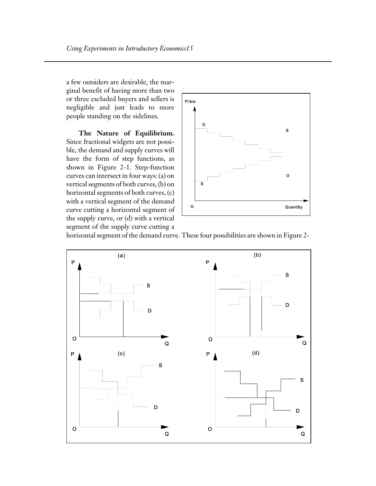a few outsiders are desirable, the marginal benefit of having more than two or three excluded buyers and sellers is negligible and just leads to more people standing on the sidelines.

**The Nature of Equilibrium.**  Since fractional widgets are not possible, the demand and supply curves will have the form of step functions, as shown in Figure 2-1. Step-function curves can intersect in four ways: (a) on vertical segments of both curves, (b) on horizontal segments of both curves, (c) with a vertical segment of the demand curve cutting a horizontal segment of the supply curve, or (d) with a vertical segment of the supply curve cutting a



horizontal segment of the demand curve. These four possibilities are shown in Figure 2-

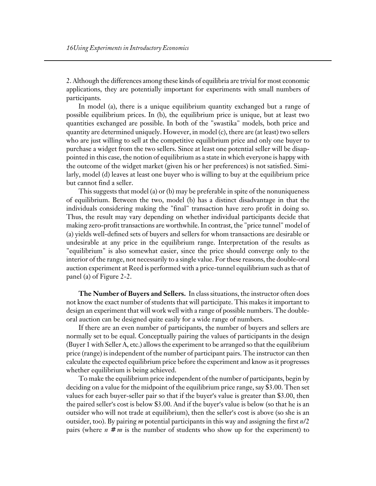2. Although the differences among these kinds of equilibria are trivial for most economic applications, they are potentially important for experiments with small numbers of participants.

In model (a), there is a unique equilibrium quantity exchanged but a range of possible equilibrium prices. In (b), the equilibrium price is unique, but at least two quantities exchanged are possible. In both of the "swastika" models, both price and quantity are determined uniquely. However, in model (c), there are (at least) two sellers who are just willing to sell at the competitive equilibrium price and only one buyer to purchase a widget from the two sellers. Since at least one potential seller will be disappointed in this case, the notion of equilibrium as a state in which everyone is happy with the outcome of the widget market (given his or her preferences) is not satisfied. Similarly, model (d) leaves at least one buyer who is willing to buy at the equilibrium price but cannot find a seller.

This suggests that model (a) or (b) may be preferable in spite of the nonuniqueness of equilibrium. Between the two, model (b) has a distinct disadvantage in that the individuals considering making the "final" transaction have zero profit in doing so. Thus, the result may vary depending on whether individual participants decide that making zero-profit transactions are worthwhile. In contrast, the "price tunnel" model of (a) yields well-defined sets of buyers and sellers for whom transactions are desirable or undesirable at any price in the equilibrium range. Interpretation of the results as "equilibrium" is also somewhat easier, since the price should converge only to the interior of the range, not necessarily to a single value. For these reasons, the double-oral auction experiment at Reed is performed with a price-tunnel equilibrium such as that of panel (a) of Figure 2-2.

**The Number of Buyers and Sellers.** In class situations, the instructor often does not know the exact number of students that will participate. This makes it important to design an experiment that will work well with a range of possible numbers. The doubleoral auction can be designed quite easily for a wide range of numbers.

If there are an even number of participants, the number of buyers and sellers are normally set to be equal. Conceptually pairing the values of participants in the design (Buyer 1 with Seller A, etc.) allows the experiment to be arranged so that the equilibrium price (range) is independent of the number of participant pairs. The instructor can then calculate the expected equilibrium price before the experiment and know as it progresses whether equilibrium is being achieved.

To make the equilibrium price independent of the number of participants, begin by deciding on a value for the midpoint of the equilibrium price range, say \$3.00. Then set values for each buyer-seller pair so that if the buyer's value is greater than \$3.00, then the paired seller's cost is below \$3.00. And if the buyer's value is below (so that he is an outsider who will not trade at equilibrium), then the seller's cost is above (so she is an outsider, too). By pairing *m* potential participants in this way and assigning the first *n*/2 pairs (where  $n \neq m$  is the number of students who show up for the experiment) to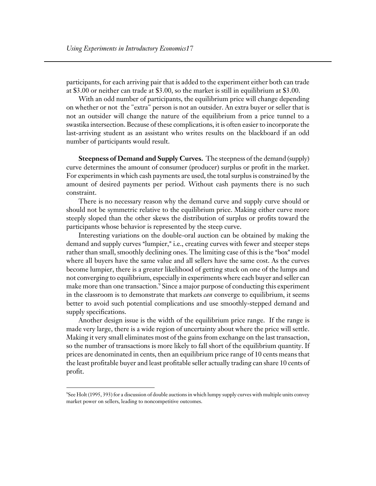participants, for each arriving pair that is added to the experiment either both can trade at \$3.00 or neither can trade at \$3.00, so the market is still in equilibrium at \$3.00.

With an odd number of participants, the equilibrium price will change depending on whether or not the "extra" person is not an outsider. An extra buyer or seller that is not an outsider will change the nature of the equilibrium from a price tunnel to a swastika intersection. Because of these complications, it is often easier to incorporate the last-arriving student as an assistant who writes results on the blackboard if an odd number of participants would result.

**Steepness of Demand and Supply Curves.** The steepness of the demand (supply) curve determines the amount of consumer (producer) surplus or profit in the market. For experiments in which cash payments are used, the total surplus is constrained by the amount of desired payments per period. Without cash payments there is no such constraint.

There is no necessary reason why the demand curve and supply curve should or should not be symmetric relative to the equilibrium price. Making either curve more steeply sloped than the other skews the distribution of surplus or profits toward the participants whose behavior is represented by the steep curve.

Interesting variations on the double-oral auction can be obtained by making the demand and supply curves "lumpier," i.e., creating curves with fewer and steeper steps rather than small, smoothly declining ones. The limiting case of this is the "box" model where all buyers have the same value and all sellers have the same cost. As the curves become lumpier, there is a greater likelihood of getting stuck on one of the lumps and not converging to equilibrium, especially in experiments where each buyer and seller can make more than one transaction. $^9$  Since a major purpose of conducting this experiment in the classroom is to demonstrate that markets *can* converge to equilibrium, it seems better to avoid such potential complications and use smoothly-stepped demand and supply specifications.

Another design issue is the width of the equilibrium price range. If the range is made very large, there is a wide region of uncertainty about where the price will settle. Making it very small eliminates most of the gains from exchange on the last transaction, so the number of transactions is more likely to fall short of the equilibrium quantity. If prices are denominated in cents, then an equilibrium price range of 10 cents means that the least profitable buyer and least profitable seller actually trading can share 10 cents of profit.

 $\overline{a}$ 

<sup>9</sup> See Holt (1995, 393) for a discussion of double auctions in which lumpy supply curves with multiple units convey market power on sellers, leading to noncompetitive outcomes.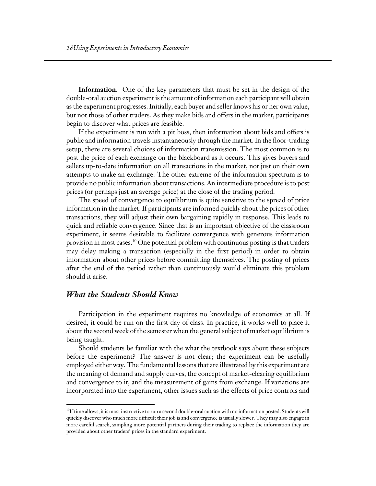**Information.** One of the key parameters that must be set in the design of the double-oral auction experiment is the amount of information each participant will obtain as the experiment progresses. Initially, each buyer and seller knows his or her own value, but not those of other traders. As they make bids and offers in the market, participants begin to discover what prices are feasible.

If the experiment is run with a pit boss, then information about bids and offers is public and information travels instantaneously through the market. In the floor-trading setup, there are several choices of information transmission. The most common is to post the price of each exchange on the blackboard as it occurs. This gives buyers and sellers up-to-date information on all transactions in the market, not just on their own attempts to make an exchange. The other extreme of the information spectrum is to provide no public information about transactions. An intermediate procedure is to post prices (or perhaps just an average price) at the close of the trading period.

The speed of convergence to equilibrium is quite sensitive to the spread of price information in the market. If participants are informed quickly about the prices of other transactions, they will adjust their own bargaining rapidly in response. This leads to quick and reliable convergence. Since that is an important objective of the classroom experiment, it seems desirable to facilitate convergence with generous information provision in most cases.<sup>10</sup> One potential problem with continuous posting is that traders may delay making a transaction (especially in the first period) in order to obtain information about other prices before committing themselves. The posting of prices after the end of the period rather than continuously would eliminate this problem should it arise.

#### *What the Students Should Know*

 $\overline{a}$ 

Participation in the experiment requires no knowledge of economics at all. If desired, it could be run on the first day of class. In practice, it works well to place it about the second week of the semester when the general subject of market equilibrium is being taught.

Should students be familiar with the what the textbook says about these subjects before the experiment? The answer is not clear; the experiment can be usefully employed either way. The fundamental lessons that are illustrated by this experiment are the meaning of demand and supply curves, the concept of market-clearing equilibrium and convergence to it, and the measurement of gains from exchange. If variations are incorporated into the experiment, other issues such as the effects of price controls and

 $10$ If time allows, it is most instructive to run a second double-oral auction with no information posted. Students will quickly discover who much more difficult their job is and convergence is usually slower. They may also engage in more careful search, sampling more potential partners during their trading to replace the information they are provided about other traders' prices in the standard experiment.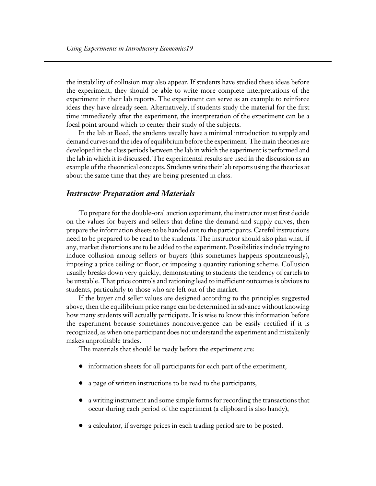the instability of collusion may also appear. If students have studied these ideas before the experiment, they should be able to write more complete interpretations of the experiment in their lab reports. The experiment can serve as an example to reinforce ideas they have already seen. Alternatively, if students study the material for the first time immediately after the experiment, the interpretation of the experiment can be a focal point around which to center their study of the subjects.

In the lab at Reed, the students usually have a minimal introduction to supply and demand curves and the idea of equilibrium before the experiment. The main theories are developed in the class periods between the lab in which the experiment is performed and the lab in which it is discussed. The experimental results are used in the discussion as an example of the theoretical concepts. Students write their lab reports using the theories at about the same time that they are being presented in class.

#### *Instructor Preparation and Materials*

To prepare for the double-oral auction experiment, the instructor must first decide on the values for buyers and sellers that define the demand and supply curves, then prepare the information sheets to be handed out to the participants. Careful instructions need to be prepared to be read to the students. The instructor should also plan what, if any, market distortions are to be added to the experiment. Possibilities include trying to induce collusion among sellers or buyers (this sometimes happens spontaneously), imposing a price ceiling or floor, or imposing a quantity rationing scheme. Collusion usually breaks down very quickly, demonstrating to students the tendency of cartels to be unstable. That price controls and rationing lead to inefficient outcomes is obvious to students, particularly to those who are left out of the market.

If the buyer and seller values are designed according to the principles suggested above, then the equilibrium price range can be determined in advance without knowing how many students will actually participate. It is wise to know this information before the experiment because sometimes nonconvergence can be easily rectified if it is recognized, as when one participant does not understand the experiment and mistakenly makes unprofitable trades.

The materials that should be ready before the experiment are:

- ! information sheets for all participants for each part of the experiment,
- a page of written instructions to be read to the participants,
- a writing instrument and some simple forms for recording the transactions that occur during each period of the experiment (a clipboard is also handy),
- a calculator, if average prices in each trading period are to be posted.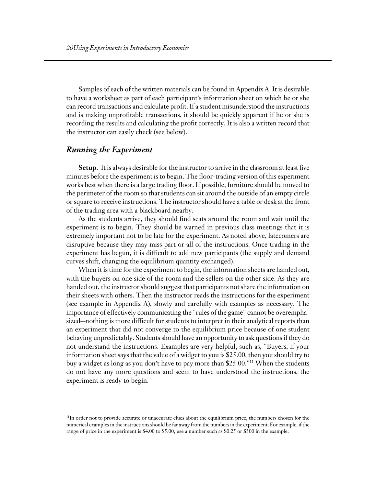Samples of each of the written materials can be found in Appendix A. It is desirable to have a worksheet as part of each participant's information sheet on which he or she can record transactions and calculate profit. If a student misunderstood the instructions and is making unprofitable transactions, it should be quickly apparent if he or she is recording the results and calculating the profit correctly. It is also a written record that the instructor can easily check (see below).

#### *Running the Experiment*

 $\overline{a}$ 

**Setup.** It is always desirable for the instructor to arrive in the classroom at least five minutes before the experiment is to begin. The floor-trading version of this experiment works best when there is a large trading floor. If possible, furniture should be moved to the perimeter of the room so that students can sit around the outside of an empty circle or square to receive instructions. The instructor should have a table or desk at the front of the trading area with a blackboard nearby.

As the students arrive, they should find seats around the room and wait until the experiment is to begin. They should be warned in previous class meetings that it is extremely important not to be late for the experiment. As noted above, latecomers are disruptive because they may miss part or all of the instructions. Once trading in the experiment has begun, it is difficult to add new participants (the supply and demand curves shift, changing the equilibrium quantity exchanged).

When it is time for the experiment to begin, the information sheets are handed out, with the buyers on one side of the room and the sellers on the other side. As they are handed out, the instructor should suggest that participants not share the information on their sheets with others. Then the instructor reads the instructions for the experiment (see example in Appendix A), slowly and carefully with examples as necessary. The importance of effectively communicating the "rules of the game" cannot be overemphasized—nothing is more difficult for students to interpret in their analytical reports than an experiment that did not converge to the equilibrium price because of one student behaving unpredictably. Students should have an opportunity to ask questions if they do not understand the instructions. Examples are very helpful, such as, "Buyers, if your information sheet says that the value of a widget to you is \$25.00, then you should try to buy a widget as long as you don't have to pay more than  $$25.00."$ <sup>11</sup> When the students do not have any more questions and seem to have understood the instructions, the experiment is ready to begin.

<sup>&</sup>lt;sup>11</sup>In order not to provide accurate or unaccurate clues about the equilibrium price, the numbers chosen for the numerical examples in the instructions should be far away from the numbers in the experiment. For example, if the range of price in the experiment is \$4.00 to \$5.00, use a number such as \$0.25 or \$300 in the example.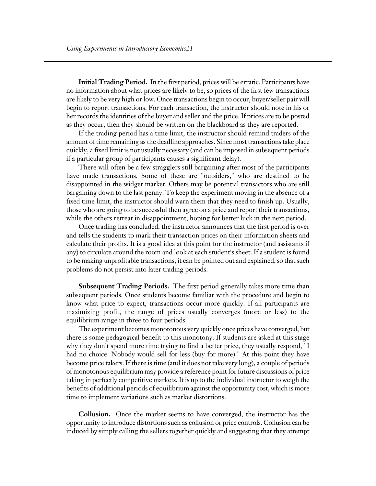**Initial Trading Period.** In the first period, prices will be erratic. Participants have no information about what prices are likely to be, so prices of the first few transactions are likely to be very high or low. Once transactions begin to occur, buyer/seller pair will begin to report transactions. For each transaction, the instructor should note in his or her records the identities of the buyer and seller and the price. If prices are to be posted as they occur, then they should be written on the blackboard as they are reported.

If the trading period has a time limit, the instructor should remind traders of the amount of time remaining as the deadline approaches. Since most transactions take place quickly, a fixed limit is not usually necessary (and can be imposed in subsequent periods if a particular group of participants causes a significant delay).

There will often be a few stragglers still bargaining after most of the participants have made transactions. Some of these are "outsiders," who are destined to be disappointed in the widget market. Others may be potential transactors who are still bargaining down to the last penny. To keep the experiment moving in the absence of a fixed time limit, the instructor should warn them that they need to finish up. Usually, those who are going to be successful then agree on a price and report their transactions, while the others retreat in disappointment, hoping for better luck in the next period.

Once trading has concluded, the instructor announces that the first period is over and tells the students to mark their transaction prices on their information sheets and calculate their profits. It is a good idea at this point for the instructor (and assistants if any) to circulate around the room and look at each student's sheet. If a student is found to be making unprofitable transactions, it can be pointed out and explained, so that such problems do not persist into later trading periods.

**Subsequent Trading Periods.** The first period generally takes more time than subsequent periods. Once students become familiar with the procedure and begin to know what price to expect, transactions occur more quickly. If all participants are maximizing profit, the range of prices usually converges (more or less) to the equilibrium range in three to four periods.

The experiment becomes monotonous very quickly once prices have converged, but there is some pedagogical benefit to this monotony. If students are asked at this stage why they don't spend more time trying to find a better price, they usually respond, "I had no choice. Nobody would sell for less (buy for more)." At this point they have become price takers. If there is time (and it does not take very long), a couple of periods of monotonous equilibrium may provide a reference point for future discussions of price taking in perfectly competitive markets. It is up to the individual instructor to weigh the benefits of additional periods of equilibrium against the opportunity cost, which is more time to implement variations such as market distortions.

**Collusion.** Once the market seems to have converged, the instructor has the opportunity to introduce distortions such as collusion or price controls. Collusion can be induced by simply calling the sellers together quickly and suggesting that they attempt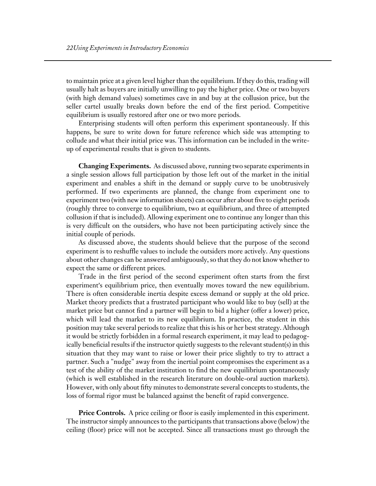to maintain price at a given level higher than the equilibrium. If they do this, trading will usually halt as buyers are initially unwilling to pay the higher price. One or two buyers (with high demand values) sometimes cave in and buy at the collusion price, but the seller cartel usually breaks down before the end of the first period. Competitive equilibrium is usually restored after one or two more periods.

Enterprising students will often perform this experiment spontaneously. If this happens, be sure to write down for future reference which side was attempting to collude and what their initial price was. This information can be included in the writeup of experimental results that is given to students.

**Changing Experiments.** As discussed above, running two separate experiments in a single session allows full participation by those left out of the market in the initial experiment and enables a shift in the demand or supply curve to be unobtrusively performed. If two experiments are planned, the change from experiment one to experiment two (with new information sheets) can occur after about five to eight periods (roughly three to converge to equilibrium, two at equilibrium, and three of attempted collusion if that is included). Allowing experiment one to continue any longer than this is very difficult on the outsiders, who have not been participating actively since the initial couple of periods.

As discussed above, the students should believe that the purpose of the second experiment is to reshuffle values to include the outsiders more actively. Any questions about other changes can be answered ambiguously, so that they do not know whether to expect the same or different prices.

Trade in the first period of the second experiment often starts from the first experiment's equilibrium price, then eventually moves toward the new equilibrium. There is often considerable inertia despite excess demand or supply at the old price. Market theory predicts that a frustrated participant who would like to buy (sell) at the market price but cannot find a partner will begin to bid a higher (offer a lower) price, which will lead the market to its new equilibrium. In practice, the student in this position may take several periods to realize that this is his or her best strategy. Although it would be strictly forbidden in a formal research experiment, it may lead to pedagogically beneficial results if the instructor quietly suggests to the relevant student(s) in this situation that they may want to raise or lower their price slightly to try to attract a partner. Such a "nudge" away from the inertial point compromises the experiment as a test of the ability of the market institution to find the new equilibrium spontaneously (which is well established in the research literature on double-oral auction markets). However, with only about fifty minutes to demonstrate several concepts to students, the loss of formal rigor must be balanced against the benefit of rapid convergence.

**Price Controls.** A price ceiling or floor is easily implemented in this experiment. The instructor simply announces to the participants that transactions above (below) the ceiling (floor) price will not be accepted. Since all transactions must go through the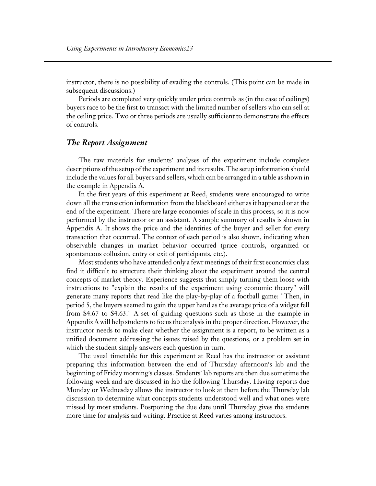instructor, there is no possibility of evading the controls. (This point can be made in subsequent discussions.)

Periods are completed very quickly under price controls as (in the case of ceilings) buyers race to be the first to transact with the limited number of sellers who can sell at the ceiling price. Two or three periods are usually sufficient to demonstrate the effects of controls.

#### *The Report Assignment*

The raw materials for students' analyses of the experiment include complete descriptions of the setup of the experiment and its results. The setup information should include the values for all buyers and sellers, which can be arranged in a table as shown in the example in Appendix A.

In the first years of this experiment at Reed, students were encouraged to write down all the transaction information from the blackboard either as it happened or at the end of the experiment. There are large economies of scale in this process, so it is now performed by the instructor or an assistant. A sample summary of results is shown in Appendix A. It shows the price and the identities of the buyer and seller for every transaction that occurred. The context of each period is also shown, indicating when observable changes in market behavior occurred (price controls, organized or spontaneous collusion, entry or exit of participants, etc.).

Most students who have attended only a fewr meetings of their first economics class find it difficult to structure their thinking about the experiment around the central concepts of market theory. Experience suggests that simply turning them loose with instructions to "explain the results of the experiment using economic theory" will generate many reports that read like the play-by-play of a football game: "Then, in period 5, the buyers seemed to gain the upper hand as the average price of a widget fell from \$4.67 to \$4.63." A set of guiding questions such as those in the example in Appendix A will help students to focus the analysis in the proper direction. However, the instructor needs to make clear whether the assignment is a report, to be written as a unified document addressing the issues raised by the questions, or a problem set in which the student simply answers each question in turn.

The usual timetable for this experiment at Reed has the instructor or assistant preparing this information between the end of Thursday afternoon's lab and the beginning of Friday morning's classes. Students' lab reports are then due sometime the following week and are discussed in lab the following Thursday. Having reports due Monday or Wednesday allows the instructor to look at them before the Thursday lab discussion to determine what concepts students understood well and what ones were missed by most students. Postponing the due date until Thursday gives the students more time for analysis and writing. Practice at Reed varies among instructors.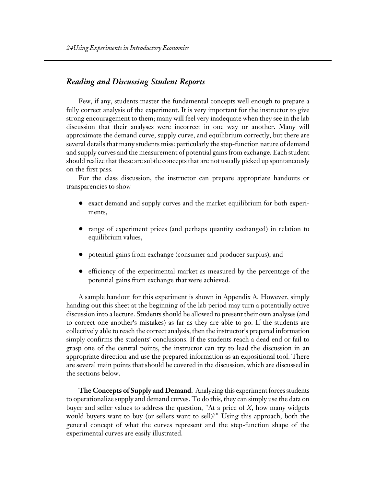#### *Reading and Discussing Student Reports*

Few, if any, students master the fundamental concepts well enough to prepare a fully correct analysis of the experiment. It is very important for the instructor to give strong encouragement to them; many will feel very inadequate when they see in the lab discussion that their analyses were incorrect in one way or another. Many will approximate the demand curve, supply curve, and equilibrium correctly, but there are several details that many students miss: particularly the step-function nature of demand and supply curves and the measurement of potential gains from exchange. Each student should realize that these are subtle concepts that are not usually picked up spontaneously on the first pass.

For the class discussion, the instructor can prepare appropriate handouts or transparencies to show

- ! exact demand and supply curves and the market equilibrium for both experiments,
- ! range of experiment prices (and perhaps quantity exchanged) in relation to equilibrium values,
- ! potential gains from exchange (consumer and producer surplus), and
- ! efficiency of the experimental market as measured by the percentage of the potential gains from exchange that were achieved.

A sample handout for this experiment is shown in Appendix A. However, simply handing out this sheet at the beginning of the lab period may turn a potentially active discussion into a lecture. Students should be allowed to present their own analyses (and to correct one another's mistakes) as far as they are able to go. If the students are collectively able to reach the correct analysis, then the instructor's prepared information simply confirms the students' conclusions. If the students reach a dead end or fail to grasp one of the central points, the instructor can try to lead the discussion in an appropriate direction and use the prepared information as an expositional tool. There are several main points that should be covered in the discussion, which are discussed in the sections below.

**The Concepts of Supply and Demand.** Analyzing this experiment forces students to operationalize supply and demand curves. To do this, they can simply use the data on buyer and seller values to address the question, "At a price of *X*, how many widgets would buyers want to buy (or sellers want to sell)?" Using this approach, both the general concept of what the curves represent and the step-function shape of the experimental curves are easily illustrated.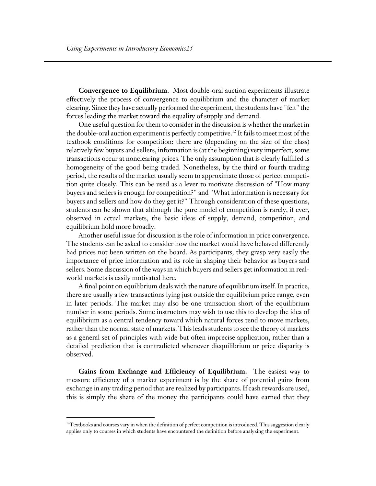**Convergence to Equilibrium.** Most double-oral auction experiments illustrate effectively the process of convergence to equilibrium and the character of market clearing. Since they have actually performed the experiment, the students have "felt" the forces leading the market toward the equality of supply and demand.

One useful question for them to consider in the discussion is whether the market in the double-oral auction experiment is perfectly competitive.<sup>12</sup> It fails to meet most of the textbook conditions for competition: there are (depending on the size of the class) relatively few buyers and sellers, information is (at the beginning) very imperfect, some transactions occur at nonclearing prices. The only assumption that is clearly fulfilled is homogeneity of the good being traded. Nonetheless, by the third or fourth trading period, the results of the market usually seem to approximate those of perfect competition quite closely. This can be used as a lever to motivate discussion of "How many buyers and sellers is enough for competition?" and "What information is necessary for buyers and sellers and how do they get it?" Through consideration of these questions, students can be shown that although the pure model of competition is rarely, if ever, observed in actual markets, the basic ideas of supply, demand, competition, and equilibrium hold more broadly.

Another useful issue for discussion is the role of information in price convergence. The students can be asked to consider how the market would have behaved differently had prices not been written on the board. As participants, they grasp very easily the importance of price information and its role in shaping their behavior as buyers and sellers. Some discussion of the ways in which buyers and sellers get information in realworld markets is easily motivated here.

A final point on equilibrium deals with the nature of equilibrium itself. In practice, there are usually a few transactions lying just outside the equilibrium price range, even in later periods. The market may also be one transaction short of the equilibrium number in some periods. Some instructors may wish to use this to develop the idea of equilibrium as a central tendency toward which natural forces tend to move markets, rather than the normal state of markets. This leads students to see the theory of markets as a general set of principles with wide but often imprecise application, rather than a detailed prediction that is contradicted whenever diequilibrium or price disparity is observed.

**Gains from Exchange and Efficiency of Equilibrium.** The easiest way to measure efficiency of a market experiment is by the share of potential gains from exchange in any trading period that are realized by participants. If cash rewards are used, this is simply the share of the money the participants could have earned that they

 $\overline{a}$ 

 $12$ Textbooks and courses vary in when the definition of perfect competition is introduced. This suggestion clearly applies only to courses in which students have encountered the definition before analyzing the experiment.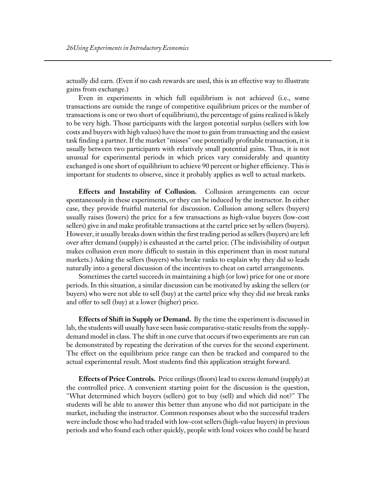actually did earn. (Even if no cash rewards are used, this is an effective way to illustrate gains from exchange.)

Even in experiments in which full equilibrium is not achieved (i.e., some transactions are outside the range of competitive equilibrium prices or the number of transactions is one or two short of equilibrium), the percentage of gains realized is likely to be very high. Those participants with the largest potential surplus (sellers with low costs and buyers with high values) have the most to gain from transacting and the easiest task finding a partner. If the market "misses" one potentially profitable transaction, it is usually between two participants with relatively small potential gains. Thus, it is not unusual for experimental periods in which prices vary considerably and quantity exchanged is one short of equilibrium to achieve 90 percent or higher efficiency. This is important for students to observe, since it probably applies as well to actual markets.

**Effects and Instability of Collusion.** Collusion arrangements can occur spontaneously in these experiments, or they can be induced by the instructor. In either case, they provide fruitful material for discussion. Collusion among sellers (buyers) usually raises (lowers) the price for a few transactions as high-value buyers (low-cost sellers) give in and make profitable transactions at the cartel price set by sellers (buyers). However, it usually breaks down within the first trading period as sellers (buyers) are left over after demand (supply) is exhausted at the cartel price. (The indivisibility of output makes collusion even more difficult to sustain in this experiment than in most natural markets.) Asking the sellers (buyers) who broke ranks to explain why they did so leads naturally into a general discussion of the incentives to cheat on cartel arrangements.

Sometimes the cartel succeeds in maintaining a high (or low) price for one or more periods. In this situation, a similar discussion can be motivated by asking the sellers (or buyers) who were not able to sell (buy) at the cartel price why they did *not* break ranks and offer to sell (buy) at a lower (higher) price.

**Effects of Shift in Supply or Demand.** By the time the experiment is discussed in lab, the students will usually have seen basic comparative-static results from the supplydemand model in class. The shift in one curve that occurs if two experiments are run can be demonstrated by repeating the derivation of the curves for the second experiment. The effect on the equilibrium price range can then be tracked and compared to the actual experimental result. Most students find this application straight forward.

**Effects of Price Controls.** Price ceilings (floors) lead to excess demand (supply) at the controlled price. A convenient starting point for the discussion is the question, "What determined which buyers (sellers) got to buy (sell) and which did not?" The students will be able to answer this better than anyone who did not participate in the market, including the instructor. Common responses about who the successful traders were include those who had traded with low-cost sellers (high-value buyers) in previous periods and who found each other quickly, people with loud voices who could be heard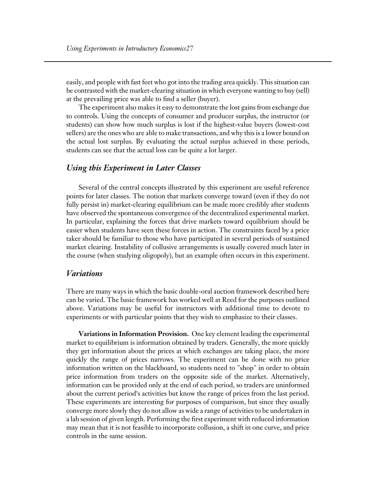easily, and people with fast feet who got into the trading area quickly. This situation can be contrasted with the market-clearing situation in which everyone wanting to buy (sell) at the prevailing price was able to find a seller (buyer).

The experiment also makes it easy to demonstrate the lost gains from exchange due to controls. Using the concepts of consumer and producer surplus, the instructor (or students) can show how much surplus is lost if the highest-value buyers (lowest-cost sellers) are the ones who are able to make transactions, and why this is a lower bound on the actual lost surplus. By evaluating the actual surplus achieved in these periods, students can see that the actual loss can be quite a lot larger.

#### *Using this Experiment in Later Classes*

Several of the central concepts illustrated by this experiment are useful reference points for later classes. The notion that markets converge toward (even if they do not fully persist in) market-clearing equilibrium can be made more credibly after students have observed the spontaneous convergence of the decentralized experimental market. In particular, explaining the forces that drive markets toward equilibrium should be easier when students have seen these forces in action. The constraints faced by a price taker should be familiar to those who have participated in several periods of sustained market clearing. Instability of collusive arrangements is usually covered much later in the course (when studying oligopoly), but an example often occurs in this experiment.

#### *Variations*

There are many ways in which the basic double-oral auction framework described here can be varied. The basic framework has worked well at Reed for the purposes outlined above. Variations may be useful for instructors with additional time to devote to experiments or with particular points that they wish to emphasize to their classes.

**Variations in Information Provision.** One key element leading the experimental market to equilibrium is information obtained by traders. Generally, the more quickly they get information about the prices at which exchanges are taking place, the more quickly the range of prices narrows. The experiment can be done with no price information written on the blackboard, so students need to "shop" in order to obtain price information from traders on the opposite side of the market. Alternatively, information can be provided only at the end of each period, so traders are uninformed about the current period's activities but know the range of prices from the last period. These experiments are interesting for purposes of comparison, but since they usually converge more slowly they do not allow as wide a range of activities to be undertaken in a lab session of given length. Performing the first experiment with reduced information may mean that it is not feasible to incorporate collusion, a shift in one curve, and price controls in the same session.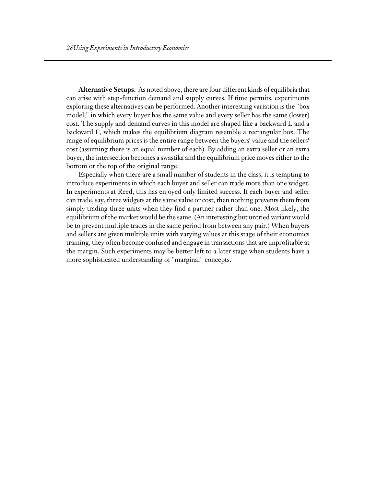**Alternative Setups.** As noted above, there are four different kinds of equilibria that can arise with step-function demand and supply curves. If time permits, experiments exploring these alternatives can be performed. Another interesting variation is the "box model," in which every buyer has the same value and every seller has the same (lower) cost. The supply and demand curves in this model are shaped like a backward L and a backward Γ, which makes the equilibrium diagram resemble a rectangular box. The range of equilibrium prices is the entire range between the buyers' value and the sellers' cost (assuming there is an equal number of each). By adding an extra seller or an extra buyer, the intersection becomes a swastika and the equilibrium price moves either to the bottom or the top of the original range.

Especially when there are a small number of students in the class, it is tempting to introduce experiments in which each buyer and seller can trade more than one widget. In experiments at Reed, this has enjoyed only limited success. If each buyer and seller can trade, say, three widgets at the same value or cost, then nothing prevents them from simply trading three units when they find a partner rather than one. Most likely, the equilibrium of the market would be the same. (An interesting but untried variant would be to prevent multiple trades in the same period from between any pair.) When buyers and sellers are given multiple units with varying values at this stage of their economics training, they often become confused and engage in transactions that are unprofitable at the margin. Such experiments may be better left to a later stage when students have a more sophisticated understanding of "marginal" concepts.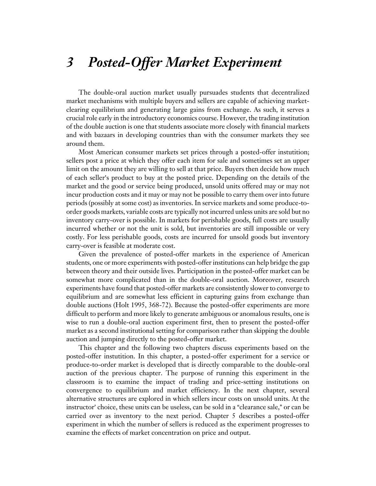## *3 Posted-Offer Market Experiment*

The double-oral auction market usually pursuades students that decentralized market mechanisms with multiple buyers and sellers are capable of achieving marketclearing equilibrium and generating large gains from exchange. As such, it serves a crucial role early in the introductory economics course. However, the trading institution of the double auction is one that students associate more closely with financial markets and with bazaars in developing countries than with the consumer markets they see around them.

Most American consumer markets set prices through a posted-offer instutition; sellers post a price at which they offer each item for sale and sometimes set an upper limit on the amount they are willing to sell at that price. Buyers then decide how much of each seller's product to buy at the posted price. Depending on the details of the market and the good or service being produced, unsold units offered may or may not incur production costs and it may or may not be possible to carry them over into future periods (possibly at some cost) as inventories. In service markets and some produce-toorder goods markets, variable costs are typically not incurred unless units are sold but no inventory carry-over is possible. In markets for perishable goods, full costs are usually incurred whether or not the unit is sold, but inventories are still impossible or very costly. For less perishable goods, costs are incurred for unsold goods but inventory carry-over is feasible at moderate cost.

Given the prevalence of posted-offer markets in the experience of American students, one or more experiments with posted-offer institutions can help bridge the gap between theory and their outside lives. Participation in the posted-offer market can be somewhat more complicated than in the double-oral auction. Moreover, research experiments have found that posted-offer markets are consistently slower to converge to equilibrium and are somewhat less efficient in capturing gains from exchange than double auctions (Holt 1995, 368-72). Because the posted-offer experiments are more difficult to perform and more likely to generate ambiguous or anomalous results, one is wise to run a double-oral auction experiment first, then to present the posted-offer market as a second institutional setting for comparison rather than skipping the double auction and jumping directly to the posted-offer market.

This chapter and the following two chapters discuss experiments based on the posted-offer instutition. In this chapter, a posted-offer experiment for a service or produce-to-order market is developed that is directly comparable to the double-oral auction of the previous chapter. The purpose of running this experiment in the classroom is to examine the impact of trading and price-setting institutions on convergence to equilibrium and market efficiency. In the next chapter, several alternative structures are explored in which sellers incur costs on unsold units. At the instructor' choice, these units can be useless, can be sold in a "clearance sale," or can be carried over as inventory to the next period. Chapter 5 describes a posted-offer experiment in which the number of sellers is reduced as the experiment progresses to examine the effects of market concentration on price and output.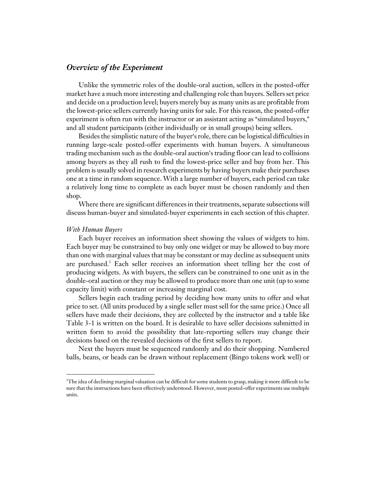#### *Overview of the Experiment*

Unlike the symmetric roles of the double-oral auction, sellers in the posted-offer market have a much more interesting and challenging role than buyers. Sellers set price and decide on a production level; buyers merely buy as many units as are profitable from the lowest-price sellers currently having units for sale. For this reason, the posted-offer experiment is often run with the instructor or an assistant acting as "simulated buyers," and all student participants (either individually or in small groups) being sellers.

Besides the simplistic nature of the buyer's role, there can be logistical difficulties in running large-scale posted-offer experiments with human buyers. A simultaneous trading mechanism such as the double-oral auction's trading floor can lead to collisions among buyers as they all rush to find the lowest-price seller and buy from her. This problem is usually solved in research experiments by having buyers make their purchases one at a time in random sequence. With a large number of buyers, each period can take a relatively long time to complete as each buyer must be chosen randomly and then shop.

Where there are significant differences in their treatments, separate subsections will discuss human-buyer and simulated-buyer experiments in each section of this chapter.

#### *With Human Buyers*

 $\overline{a}$ 

Each buyer receives an information sheet showing the values of widgets to him. Each buyer may be constrained to buy only one widget or may be allowed to buy more than one with marginal values that may be consstant or may decline as subsequent units are purchased.<sup>1</sup> Each seller receives an information sheet telling her the cost of producing widgets. As with buyers, the sellers can be constrained to one unit as in the double-oral auction or they may be allowed to produce more than one unit (up to some capacity limit) with constant or increasing marginal cost.

Sellers begin each trading period by deciding how many units to offer and what price to set. (All units produced by a single seller must sell for the same price.) Once all sellers have made their decisions, they are collected by the instructor and a table like Table 3-1 is written on the board. It is desirable to have seller decisions submitted in written form to avoid the possibility that late-reporting sellers may change their decisions based on the revealed decisions of the first sellers to report.

Next the buyers must be sequenced randomly and do their shopping. Numbered balls, beans, or beads can be drawn without replacement (Bingo tokens work well) or

<sup>1</sup> The idea of declining marginal valuation can be difficult for some students to grasp, making it more difficult to be sure that the instructions have been effectively understood. However, most posted-offer experiments use multiple units.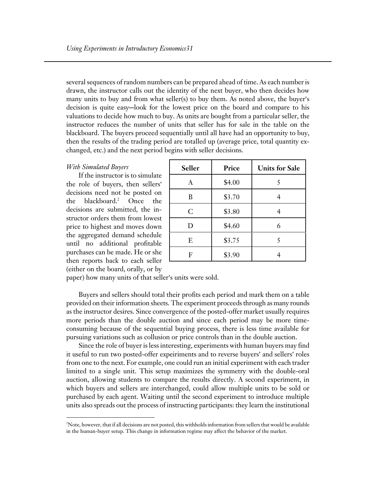several sequences of random numbers can be prepared ahead of time. As each number is drawn, the instructor calls out the identity of the next buyer, who then decides how many units to buy and from what seller(s) to buy them. As noted above, the buyer's decision is quite easy-look for the lowest price on the board and compare to his valuations to decide how much to buy. As units are bought from a particular seller, the instructor reduces the number of units that seller has for sale in the table on the blackboard. The buyers proceed sequentially until all have had an opportunity to buy, then the results of the trading period are totalled up (average price, total quantity exchanged, etc.) and the next period begins with seller decisions.

#### *With Simulated Buyers*

 $\overline{a}$ 

If the instructor is to simulate the role of buyers, then sellers' decisions need not be posted on the blackboard.<sup>2</sup> Once the decisions are submitted, the instructor orders them from lowest price to highest and moves down the aggregated demand schedule until no additional profitable purchases can be made. He or she then reports back to each seller (either on the board, orally, or by

| Seller       | Price  | <b>Units for Sale</b> |  |  |
|--------------|--------|-----------------------|--|--|
| $\mathbf{A}$ | \$4.00 | 5                     |  |  |
| B            | \$3.70 |                       |  |  |
| $\mathsf{C}$ | \$3.80 |                       |  |  |
| D            | \$4.60 | 6                     |  |  |
| E            | \$3.75 | 5                     |  |  |
| F            | \$3.90 |                       |  |  |

paper) how many units of that seller's units were sold.

Buyers and sellers should total their profits each period and mark them on a table provided on their information sheets. The experiment proceeds through as many rounds as the instructor desires. Since convergence of the posted-offer market usually requires more periods than the double auction and since each period may be more timeconsuming because of the sequential buying process, there is less time available for pursuing variations such as collusion or price controls than in the double auction.

Since the role of buyer is less interesting, experiments with human buyers may find it useful to run two posted-offer expeiriments and to reverse buyers' and sellers' roles from one to the next. For example, one could run an initial experiment with each trader limited to a single unit. This setup maximizes the symmetry with the double-oral auction, allowing students to compare the results directly. A second experiment, in which buyers and sellers are interchanged, could allow multiple units to be sold or purchased by each agent. Waiting until the second experiment to introduce multiple units also spreads out the process of instructing participants: they learn the institutional

<sup>2</sup> Note, however, that if all decisions are not posted, this withholds information from sellers that would be available in the human-buyer setup. This change in information regime may affect the behavior of the market.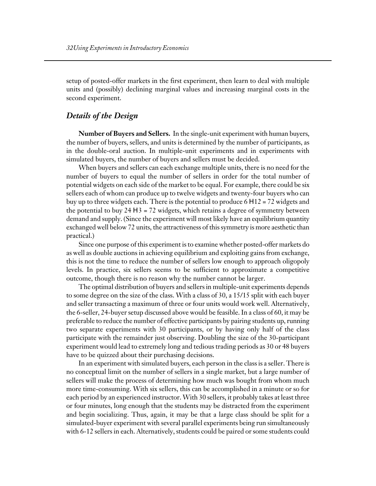setup of posted-offer markets in the first experiment, then learn to deal with multiple units and (possibly) declining marginal values and increasing marginal costs in the second experiment.

#### *Details of the Design*

**Number of Buyers and Sellers.** In the single-unit experiment with human buyers, the number of buyers, sellers, and units is determined by the number of participants, as in the double-oral auction. In multiple-unit experiments and in experiments with simulated buyers, the number of buyers and sellers must be decided.

When buyers and sellers can each exchange multiple units, there is no need for the number of buyers to equal the number of sellers in order for the total number of potential widgets on each side of the market to be equal. For example, there could be six sellers each of whom can produce up to twelve widgets and twenty-four buyers who can buy up to three widgets each. There is the potential to produce  $6 \text{ H } 12 = 72$  widgets and the potential to buy  $24 \text{ H } 3 = 72$  widgets, which retains a degree of symmetry between demand and supply. (Since the experiment will most likely have an equilibrium quantity exchanged well below 72 units, the attractiveness of this symmetry is more aesthetic than practical.)

Since one purpose of this experiment is to examine whether posted-offer markets do as well as double auctions in achieving equilibrium and exploiting gains from exchange, this is not the time to reduce the number of sellers low enough to approach oligopoly levels. In practice, six sellers seems to be sufficient to approximate a competitive outcome, though there is no reason why the number cannot be larger.

The optimal distribution of buyers and sellers in multiple-unit experiments depends to some degree on the size of the class. With a class of 30, a 15/15 split with each buyer and seller transacting a maximum of three or four units would work well. Alternatively, the 6-seller, 24-buyer setup discussed above would be feasible. In a class of 60, it may be preferable to reduce the number of effective participants by pairing students up, running two separate experiments with 30 participants, or by having only half of the class participate with the remainder just observing. Doubling the size of the 30-participant experiment would lead to extremely long and tedious trading periods as 30 or 48 buyers have to be quizzed about their purchasing decisions.

In an experiment with simulated buyers, each person in the class is a seller. There is no conceptual limit on the number of sellers in a single market, but a large number of sellers will make the process of determining how much was bought from whom much more time-consuming. With six sellers, this can be accomplished in a minute or so for each period by an experienced instructor. With 30 sellers, it probably takes at least three or four minutes, long enough that the students may be distracted from the experiment and begin socializing. Thus, again, it may be that a large class should be split for a simulated-buyer experiment with several parallel experiments being run simultaneously with 6-12 sellers in each. Alternatively, students could be paired or some students could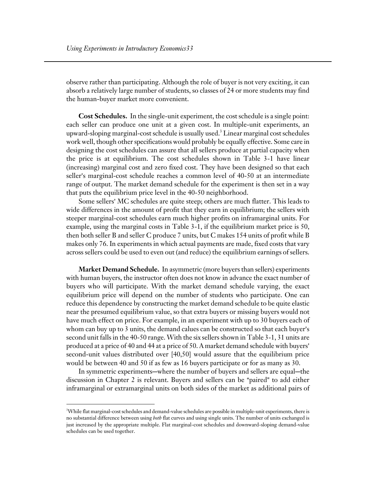observe rather than participating. Although the role of buyer is not very exciting, it can absorb a relatively large number of students, so classes of 24 or more students may find the human-buyer market more convenient.

**Cost Schedules.** In the single-unit experiment, the cost schedule is a single point: each seller can produce one unit at a given cost. In multiple-unit experiments, an upward-sloping marginal-cost schedule is usually used.3 Linear marginal cost schedules work well, though other specifications would probably be equally effective. Some care in designing the cost schedules can assure that all sellers produce at partial capacity when the price is at equilibrium. The cost schedules shown in Table 3-1 have linear (increasing) marginal cost and zero fixed cost. They have been designed so that each seller's marginal-cost schedule reaches a common level of 40-50 at an intermediate range of output. The market demand schedule for the experiment is then set in a way that puts the equilibrium price level in the 40-50 neighborhood.

Some sellers' MC schedules are quite steep; others are much flatter. This leads to wide differences in the amount of profit that they earn in equilibrium; the sellers with steeper marginal-cost schedules earn much higher profits on inframarginal units. For example, using the marginal costs in Table 3-1, if the equilibrium market price is 50, then both seller B and seller C produce 7 units, but C makes 154 units of profit while B makes only 76. In experiments in which actual payments are made, fixed costs that vary across sellers could be used to even out (and reduce) the equilibrium earnings of sellers.

**Market Demand Schedule.** In asymmetric (more buyers than sellers) experiments with human buyers, the instructor often does not know in advance the exact number of buyers who will participate. With the market demand schedule varying, the exact equilibrium price will depend on the number of students who participate. One can reduce this dependence by constructing the market demand schedule to be quite elastic near the presumed equilibrium value, so that extra buyers or missing buyers would not have much effect on price. For example, in an experiment with up to 30 buyers each of whom can buy up to  $3$  units, the demand calues can be constructed so that each buyer's second unit falls in the 40-50 range. With the six sellers shown in Table 3-1, 31 units are produced at a price of 40 and 44 at a price of 50. A market demand schedule with buyers' second-unit values distributed over [40,50] would assure that the equilibrium price would be between 40 and 50 if as few as 16 buyers participate or for as many as 30.

In symmetric experiments—where the number of buyers and sellers are equal—the discussion in Chapter 2 is relevant. Buyers and sellers can be "paired" to add either inframarginal or extramarginal units on both sides of the market as additional pairs of

 $\overline{a}$ 

<sup>3</sup> While flat marginal-cost schedules and demand-value schedules are possible in multiple-unit experiments, there is no substantial difference between using *both* flat curves and using single units. The number of units exchanged is just increased by the appropriate multiple. Flat marginal-cost schedules and downward-sloping demand-value schedules can be used together.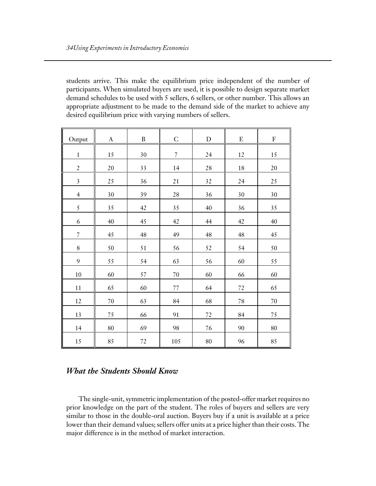students arrive. This make the equilibrium price independent of the number of participants. When simulated buyers are used, it is possible to design separate market demand schedules to be used with 5 sellers, 6 sellers, or other number. This allows an appropriate adjustment to be made to the demand side of the market to achieve any desired equilibrium price with varying numbers of sellers.

| Output                  | $\bf{A}$ | $\, {\bf B}$ | $\mathsf C$    | $\mathbf D$ | ${\bf E}$ | ${\bf F}$ |
|-------------------------|----------|--------------|----------------|-------------|-----------|-----------|
| $\,1$                   | 15       | 30           | $\overline{7}$ | 24          | 12        | $15\,$    |
| $\overline{2}$          | $20\,$   | 33           | 14             | $28\,$      | $18\,$    | $20\,$    |
| $\overline{\mathbf{3}}$ | 25       | 36           | 21             | 32          | 24        | 25        |
| $\overline{4}$          | 30       | 39           | $28\,$         | 36          | 30        | 30        |
| 5                       | 35       | 42           | 35             | 40          | 36        | 35        |
| 6                       | 40       | 45           | 42             | 44          | 42        | 40        |
| $\overline{7}$          | 45       | 48           | 49             | 48          | 48        | 45        |
| $\, 8$                  | 50       | 51           | 56             | 52          | 54        | 50        |
| 9                       | 55       | 54           | 63             | 56          | 60        | 55        |
| $10\,$                  | 60       | 57           | $70\,$         | 60          | 66        | 60        |
| $11\,$                  | 65       | 60           | 77             | 64          | 72        | 65        |
| 12                      | $70\,$   | 63           | 84             | 68          | 78        | $70\,$    |
| 13                      | 75       | 66           | 91             | $72\,$      | 84        | 75        |
| 14                      | 80       | 69           | 98             | 76          | 90        | 80        |
| 15                      | 85       | 72           | 105            | 80          | 96        | 85        |

#### *What the Students Should Know*

The single-unit, symmetric implementation of the posted-offer market requires no prior knowledge on the part of the student. The roles of buyers and sellers are very similar to those in the double-oral auction. Buyers buy if a unit is available at a price lower than their demand values; sellers offer units at a price higher than their costs. The major difference is in the method of market interaction.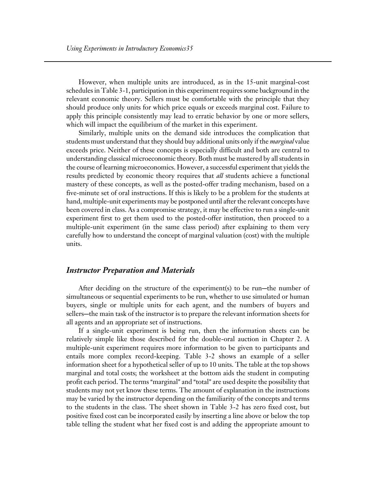However, when multiple units are introduced, as in the 15-unit marginal-cost schedules in Table 3-1, participation in this experiment requires some background in the relevant economic theory. Sellers must be comfortable with the principle that they should produce only units for which price equals or exceeds marginal cost. Failure to apply this principle consistently may lead to erratic behavior by one or more sellers, which will impact the equilibrium of the market in this experiment.

Similarly, multiple units on the demand side introduces the complication that students must understand that they should buy additional units only if the *marginal* value exceeds price. Neither of these concepts is especially difficult and both are central to understanding classical microeconomic theory. Both must be mastered by all students in the course of learning microeconomics. However, a successful experiment that yields the results predicted by economic theory requires that *all* students achieve a functional mastery of these concepts, as well as the posted-offer trading mechanism, based on a five-minute set of oral instructions. If this is likely to be a problem for the students at hand, multiple-unit experiments may be postponed until after the relevant concepts have been covered in class. As a compromise strategy, it may be effective to run a single-unit experiment first to get them used to the posted-offer institution, then proceed to a multiple-unit experiment (in the same class period) after explaining to them very carefully how to understand the concept of marginal valuation (cost) with the multiple units.

#### *Instructor Preparation and Materials*

After deciding on the structure of the experiment(s) to be run—the number of simultaneous or sequential experiments to be run, whether to use simulated or human buyers, single or multiple units for each agent, and the numbers of buyers and sellers-the main task of the instructor is to prepare the relevant information sheets for all agents and an appropriate set of instructions.

If a single-unit experiment is being run, then the information sheets can be relatively simple like those described for the double-oral auction in Chapter 2. A multiple-unit experiment requires more information to be given to participants and entails more complex record-keeping. Table 3-2 shows an example of a seller information sheet for a hypothetical seller of up to 10 units. The table at the top shows marginal and total costs; the worksheet at the bottom aids the student in computing profit each period. The terms "marginal" and "total" are used despite the possibility that students may not yet know these terms. The amount of explanation in the instructions may be varied by the instructor depending on the familiarity of the concepts and terms to the students in the class. The sheet shown in Table 3-2 has zero fixed cost, but positive fixed cost can be incorporated easily by inserting a line above or below the top table telling the student what her fixed cost is and adding the appropriate amount to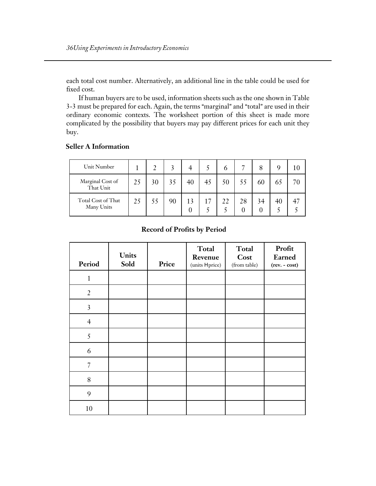each total cost number. Alternatively, an additional line in the table could be used for fixed cost.

If human buyers are to be used, information sheets such as the one shown in Table 3-3 must be prepared for each. Again, the terms "marginal" and "total" are used in their ordinary economic contexts. The worksheet portion of this sheet is made more complicated by the possibility that buyers may pay different prices for each unit they buy.

#### **Seller A Information**

| Unit Number                      |    |    |    |    |            | 6  |    |    |    |    |
|----------------------------------|----|----|----|----|------------|----|----|----|----|----|
| Marginal Cost of<br>That Unit    | 25 | 30 | 35 | 40 | 45         | 50 |    | 60 | 65 | 70 |
| Total Cost of That<br>Many Units | 25 | 55 | 90 | 0  | $\sqrt{7}$ |    | 28 | 34 | 40 |    |

#### **Record of Profits by Period**

| Period                  | <b>Units</b><br>Sold | Price | Total<br>Revenue<br>$(units \; H\; price)$ | Total<br>Cost<br>(from table) | Profit<br>Earned<br>(rev. - cost) |
|-------------------------|----------------------|-------|--------------------------------------------|-------------------------------|-----------------------------------|
| $\mathbf{1}$            |                      |       |                                            |                               |                                   |
| $\overline{2}$          |                      |       |                                            |                               |                                   |
| $\overline{\mathbf{3}}$ |                      |       |                                            |                               |                                   |
| $\overline{4}$          |                      |       |                                            |                               |                                   |
| 5                       |                      |       |                                            |                               |                                   |
| 6                       |                      |       |                                            |                               |                                   |
| $\overline{7}$          |                      |       |                                            |                               |                                   |
| 8                       |                      |       |                                            |                               |                                   |
| 9                       |                      |       |                                            |                               |                                   |
| 10                      |                      |       |                                            |                               |                                   |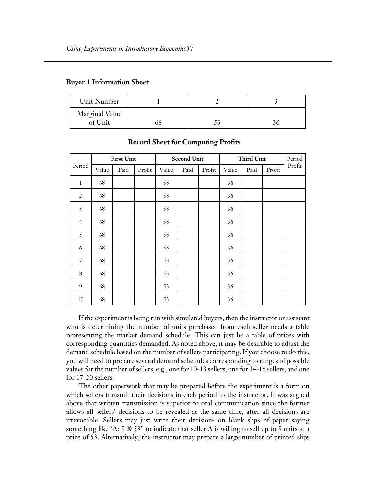|  |  | <b>Buyer 1 Information Sheet</b> |  |
|--|--|----------------------------------|--|
|--|--|----------------------------------|--|

| Unit Number    |  |  |
|----------------|--|--|
| Marginal Value |  |  |
| of Unit        |  |  |

|                |       | <b>First Unit</b><br><b>Second Unit</b> |        |       |      |        | <b>Third Unit</b> |      | Period |        |
|----------------|-------|-----------------------------------------|--------|-------|------|--------|-------------------|------|--------|--------|
| Period         | Value | Paid                                    | Profit | Value | Paid | Profit | Value             | Paid | Profit | Profit |
| $\,1$          | 68    |                                         |        | 53    |      |        | 36                |      |        |        |
| $\overline{2}$ | 68    |                                         |        | 53    |      |        | 36                |      |        |        |
| $\overline{3}$ | 68    |                                         |        | 53    |      |        | 36                |      |        |        |
| $\overline{4}$ | 68    |                                         |        | 53    |      |        | 36                |      |        |        |
| 5              | 68    |                                         |        | 53    |      |        | 36                |      |        |        |
| 6              | 68    |                                         |        | 53    |      |        | 36                |      |        |        |
| $\overline{7}$ | 68    |                                         |        | 53    |      |        | 36                |      |        |        |
| $\,8\,$        | 68    |                                         |        | 53    |      |        | 36                |      |        |        |
| 9              | 68    |                                         |        | 53    |      |        | 36                |      |        |        |
| 10             | 68    |                                         |        | 53    |      |        | 36                |      |        |        |

#### **Record Sheet for Computing Profits**

If the experiment is being run with simulated buyers, then the instructor or assistant who is determining the number of units purchased from each seller needs a table representing the market demand schedule. This can just be a table of prices with corresponding quantities demanded. As noted above, it may be desirable to adjust the demand schedule based on the number of sellers participating. If you choose to do this, you will need to prepare several demand schedules corresponding to ranges of possible values for the number of sellers, e.g., one for 10-13 sellers, one for 14-16 sellers, and one for 17-20 sellers.

The other paperwork that may be prepared before the experiment is a form on which sellers transmit their decisions in each period to the instructor. It was argued above that written transmission is superior to oral communication since the former allows all sellers' decisions to be revealed at the same time, after all decisions are irrevocable. Sellers may just write their decisions on blank slips of paper saying something like "A:  $5 \otimes 53$ " to indicate that seller A is willing to sell up to  $5$  units at a price of 53. Alternatively, the instructor may prepare a large number of printed slips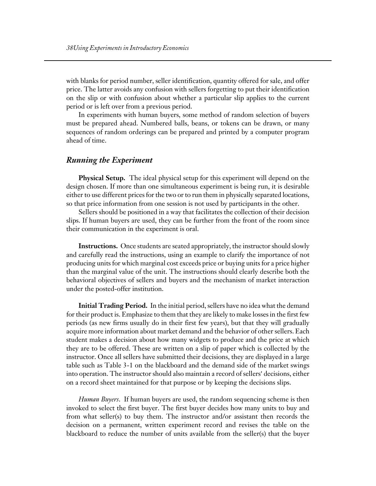with blanks for period number, seller identification, quantity offered for sale, and offer price. The latter avoids any confusion with sellers forgetting to put their identification on the slip or with confusion about whether a particular slip applies to the current period or is left over from a previous period.

In experiments with human buyers, some method of random selection of buyers must be prepared ahead. Numbered balls, beans, or tokens can be drawn, or many sequences of random orderings can be prepared and printed by a computer program ahead of time.

#### *Running the Experiment*

**Physical Setup.** The ideal physical setup for this experiment will depend on the design chosen. If more than one simultaneous experiment is being run, it is desirable either to use different prices for the two or to run them in physically separated locations, so that price information from one session is not used by participants in the other.

Sellers should be positioned in a way that facilitates the collection of their decision slips. If human buyers are used, they can be further from the front of the room since their communication in the experiment is oral.

**Instructions.** Once students are seated appropriately, the instructor should slowly and carefully read the instructions, using an example to clarify the importance of not producing units for which marginal cost exceeds price or buying units for a price higher than the marginal value of the unit. The instructions should clearly describe both the behavioral objectives of sellers and buyers and the mechanism of market interaction under the posted-offer institution.

**Initial Trading Period.** In the initial period, sellers have no idea what the demand for their product is. Emphasize to them that they are likely to make losses in the first few periods (as new firms usually do in their first few years), but that they will gradually acquire more information about market demand and the behavior of other sellers. Each student makes a decision about how many widgets to produce and the price at which they are to be offered. These are written on a slip of paper which is collected by the instructor. Once all sellers have submitted their decisions, they are displayed in a large table such as Table 3-1 on the blackboard and the demand side of the market swings into operation. The instructor should also maintain a record of sellers' decisions, either on a record sheet maintained for that purpose or by keeping the decisions slips.

*Human Buyers*. If human buyers are used, the random sequencing scheme is then invoked to select the first buyer. The first buyer decides how many units to buy and from what seller(s) to buy them. The instructor and/or assistant then records the decision on a permanent, written experiment record and revises the table on the blackboard to reduce the number of units available from the seller(s) that the buyer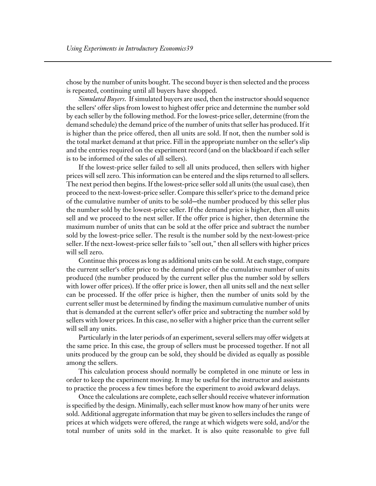chose by the number of units bought. The second buyer is then selected and the process is repeated, continuing until all buyers have shopped.

*Simulated Buyers*. If simulated buyers are used, then the instructor should sequence the sellers' offer slips from lowest to highest offer price and determine the number sold by each seller by the following method. For the lowest-price seller, determine (from the demand schedule) the demand price of the number of units that seller has produced. If it is higher than the price offered, then all units are sold. If not, then the number sold is the total market demand at that price. Fill in the appropriate number on the seller's slip and the entries required on the experiment record (and on the blackboard if each seller is to be informed of the sales of all sellers).

If the lowest-price seller failed to sell all units produced, then sellers with higher prices will sell zero. This information can be entered and the slips returned to all sellers. The next period then begins. If the lowest-price seller sold all units (the usual case), then proceed to the next-lowest-price seller. Compare this seller's price to the demand price of the cumulative number of units to be sold—the number produced by this seller plus the number sold by the lowest-price seller. If the demand price is higher, then all units sell and we proceed to the next seller. If the offer price is higher, then determine the maximum number of units that can be sold at the offer price and subtract the number sold by the lowest-price seller. The result is the number sold by the next-lowest-price seller. If the next-lowest-price seller fails to "sell out," then all sellers with higher prices will sell zero.

Continue this process as long as additional units can be sold. At each stage, compare the current seller's offer price to the demand price of the cumulative number of units produced (the number produced by the current seller plus the number sold by sellers with lower offer prices). If the offer price is lower, then all units sell and the next seller can be processed. If the offer price is higher, then the number of units sold by the current seller must be determined by finding the maximum cumulative number of units that is demanded at the current seller's offer price and subtracting the number sold by sellers with lower prices. In this case, no seller with a higher price than the current seller will sell any units.

Particularly in the later periods of an experiment, several sellers may offer widgets at the same price. In this case, the group of sellers must be processed together. If not all units produced by the group can be sold, they should be divided as equally as possible among the sellers.

This calculation process should normally be completed in one minute or less in order to keep the experiment moving. It may be useful for the instructor and assistants to practice the process a few times before the experiment to avoid awkward delays.

Once the calculations are complete, each seller should receive whatever information is specified by the design. Minimally, each seller must know how many of her units were sold. Additional aggregate information that may be given to sellers includes the range of prices at which widgets were offered, the range at which widgets were sold, and/or the total number of units sold in the market. It is also quite reasonable to give full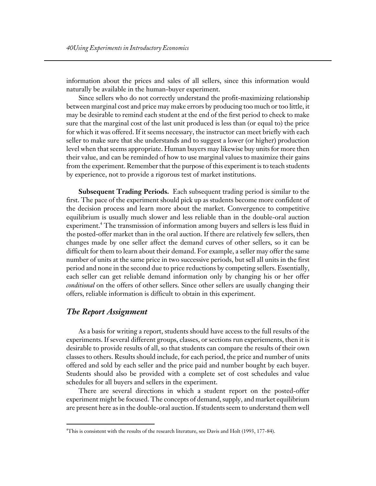information about the prices and sales of all sellers, since this information would naturally be available in the human-buyer experiment.

Since sellers who do not correctly understand the profit-maximizing relationship between marginal cost and price may make errors by producing too much or too little, it may be desirable to remind each student at the end of the first period to check to make sure that the marginal cost of the last unit produced is less than (or equal to) the price for which it was offered. If it seems necessary, the instructor can meet briefly with each seller to make sure that she understands and to suggest a lower (or higher) production level when that seems appropriate. Human buyers may likewise buy units for more then their value, and can be reminded of how to use marginal values to maximize their gains from the experiment. Remember that the purpose of this experiment is to teach students by experience, not to provide a rigorous test of market institutions.

**Subsequent Trading Periods.** Each subsequent trading period is similar to the first. The pace of the experiment should pick up as students become more confident of the decision process and learn more about the market. Convergence to competitive equilibrium is usually much slower and less reliable than in the double-oral auction experiment.4 The transmission of information among buyers and sellers is less fluid in the posted-offer market than in the oral auction. If there are relatively few sellers, then changes made by one seller affect the demand curves of other sellers, so it can be difficult for them to learn about their demand. For example, a seller may offer the same number of units at the same price in two successive periods, but sell all units in the first period and none in the second due to price reductions by competing sellers. Essentially, each seller can get reliable demand information only by changing his or her offer *conditional* on the offers of other sellers. Since other sellers are usually changing their offers, reliable information is difficult to obtain in this experiment.

#### *The Report Assignment*

 $\overline{a}$ 

As a basis for writing a report, students should have access to the full results of the experiments. If several different groups, classes, or sections run experiements, then it is desirable to provide results of all, so that students can compare the results of their own classes to others. Results should include, for each period, the price and number of units offered and sold by each seller and the price paid and number bought by each buyer. Students should also be provided with a complete set of cost schedules and value schedules for all buyers and sellers in the experiment.

There are several directions in which a student report on the posted-offer experiment might be focused. The concepts of demand, supply, and market equilibrium are present here as in the double-oral auction. If students seem to understand them well

<sup>4</sup> This is consistent with the results of the research literature, see Davis and Holt (1993, 177-84).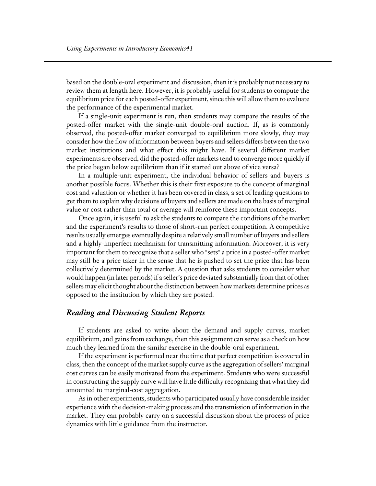based on the double-oral experiment and discussion, then it is probably not necessary to review them at length here. However, it is probably useful for students to compute the equilibrium price for each posted-offer experiment, since this will allow them to evaluate the performance of the experimental market.

If a single-unit experiment is run, then students may compare the results of the posted-offer market with the single-unit double-oral auction. If, as is commonly observed, the posted-offer market converged to equilibrium more slowly, they may consider how the flow of information between buyers and sellers differs between the two market institutions and what effect this might have. If several different market experiments are observed, did the posted-offer markets tend to converge more quickly if the price began below equilibrium than if it started out above of vice versa?

In a multiple-unit experiment, the individual behavior of sellers and buyers is another possible focus. Whether this is their first exposure to the concept of marginal cost and valuation or whether it has been covered in class, a set of leading questions to get them to explain why decisions of buyers and sellers are made on the basis of marginal value or cost rather than total or average will reinforce these important concepts.

Once again, it is useful to ask the students to compare the conditions of the market and the experiment's results to those of short-run perfect competition. A competitive results usually emerges eventually despite a relatively small number of buyers and sellers and a highly-imperfect mechanism for transmitting information. Moreover, it is very important for them to recognize that a seller who "sets" a price in a posted-offer market may still be a price taker in the sense that he is pushed to set the price that has been collectively determined by the market. A question that asks students to consider what would happen (in later periods) if a seller's price deviated substantially from that of other sellers may elicit thought about the distinction between how markets determine prices as opposed to the institution by which they are posted.

#### *Reading and Discussing Student Reports*

If students are asked to write about the demand and supply curves, market equilibrium, and gains from exchange, then this assignment can serve as a check on how much they learned from the similar exercise in the double-oral experiment.

If the experiment is performed near the time that perfect competition is covered in class, then the concept of the market supply curve as the aggregation of sellers' marginal cost curves can be easily motivated from the experiment. Students who were successful in constructing the supply curve will have little difficulty recognizing that what they did amounted to marginal-cost aggregation.

As in other experiments, students who participated usually have considerable insider experience with the decision-making process and the transmission of information in the market. They can probably carry on a successful discussion about the process of price dynamics with little guidance from the instructor.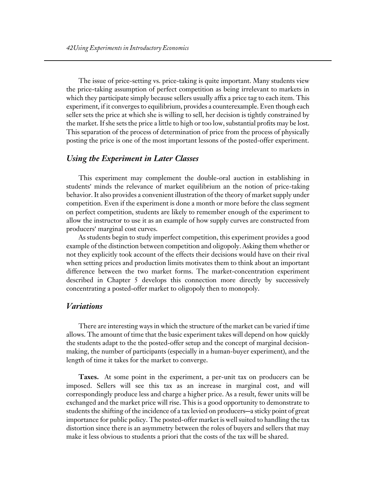The issue of price-setting vs. price-taking is quite important. Many students view the price-taking assumption of perfect competition as being irrelevant to markets in which they participate simply because sellers usually affix a price tag to each item. This experiment, if it converges to equilibrium, provides a counterexample. Even though each seller sets the price at which she is willing to sell, her decision is tightly constrained by the market. If she sets the price a little to high or too low, substantial profits may be lost. This separation of the process of determination of price from the process of physically posting the price is one of the most important lessons of the posted-offer experiment.

#### *Using the Experiment in Later Classes*

This experiment may complement the double-oral auction in establishing in students' minds the relevance of market equilibrium an the notion of price-taking behavior. It also provides a convenient illustration of the theory of market supply under competition. Even if the experiment is done a month or more before the class segment on perfect competition, students are likely to remember enough of the experiment to allow the instructor to use it as an example of how supply curves are constructed from producers' marginal cost curves.

As students begin to study imperfect competition, this experiment provides a good example of the distinction between competition and oligopoly. Asking them whether or not they explicitly took account of the effects their decisions would have on their rival when setting prices and production limits motivates them to think about an important difference between the two market forms. The market-concentration experiment described in Chapter 5 develops this connection more directly by successively concentrating a posted-offer market to oligopoly then to monopoly.

#### *Variations*

There are interesting ways in which the structure of the market can be varied if time allows. The amount of time that the basic experiment takes will depend on how quickly the students adapt to the the posted-offer setup and the concept of marginal decisionmaking, the number of participants (especially in a human-buyer experiment), and the length of time it takes for the market to converge.

**Taxes.** At some point in the experiment, a per-unit tax on producers can be imposed. Sellers will see this tax as an increase in marginal cost, and will correspondingly produce less and charge a higher price. As a result, fewer units will be exchanged and the market price will rise. This is a good opportunity to demonstrate to students the shifting of the incidence of a tax levied on producers—a sticky point of great importance for public policy. The posted-offer market is well suited to handling the tax distortion since there is an asymmetry between the roles of buyers and sellers that may make it less obvious to students a priori that the costs of the tax will be shared.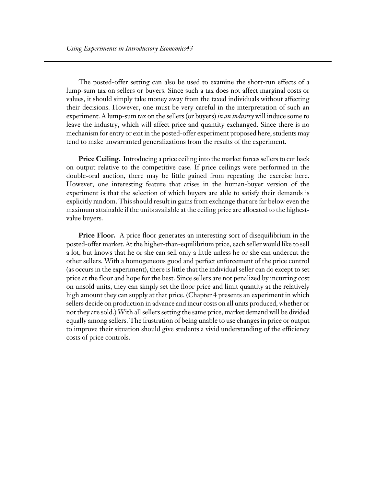The posted-offer setting can also be used to examine the short-run effects of a lump-sum tax on sellers or buyers. Since such a tax does not affect marginal costs or values, it should simply take money away from the taxed individuals without affecting their decisions. However, one must be very careful in the interpretation of such an experiment. A lump-sum tax on the sellers (or buyers) *in an industry* will induce some to leave the industry, which will affect price and quantity exchanged. Since there is no mechanism for entry or exit in the posted-offer experiment proposed here, students may tend to make unwarranted generalizations from the results of the experiment.

**Price Ceiling.** Introducing a price ceiling into the market forces sellers to cut back on output relative to the competitive case. If price ceilings were performed in the double-oral auction, there may be little gained from repeating the exercise here. However, one interesting feature that arises in the human-buyer version of the experiment is that the selection of which buyers are able to satisfy their demands is explicitly random. This should result in gains from exchange that are far below even the maximum attainable if the units available at the ceiling price are allocated to the highestvalue buyers.

**Price Floor.** A price floor generates an interesting sort of disequilibrium in the posted-offer market. At the higher-than-equilibrium price, each seller would like to sell a lot, but knows that he or she can sell only a little unless he or she can undercut the other sellers. With a homogeneous good and perfect enforcement of the price control (as occurs in the experiment), there is little that the individual seller can do except to set price at the floor and hope for the best. Since sellers are not penalized by incurring cost on unsold units, they can simply set the floor price and limit quantity at the relatively high amount they can supply at that price. (Chapter 4 presents an experiment in which sellers decide on production in advance and incur costs on all units produced, whether or not they are sold.) With all sellers setting the same price, market demand will be divided equally among sellers. The frustration of being unable to use changes in price or output to improve their situation should give students a vivid understanding of the efficiency costs of price controls.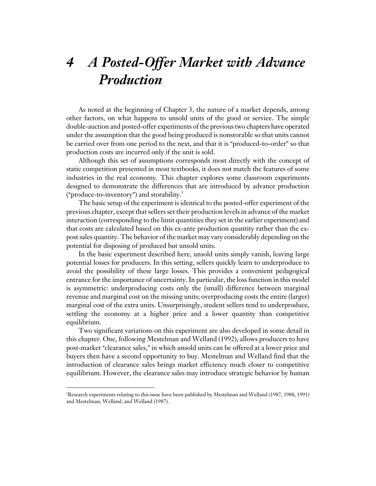# *4 A Posted-Offer Market with Advance Production*

As noted at the beginning of Chapter 3, the nature of a market depends, among other factors, on what happens to unsold units of the good or service. The simple double-auction and posted-offer experiments of the previous two chapters have operated under the assumption that the good being produced is nonstorable so that units cannot be carried over from one period to the next, and that it is "produced-to-order" so that production costs are incurred only if the unit is sold.

Although this set of assumptions corresponds most directly with the concept of static competition presented in most textbooks, it does not match the features of some industries in the real economy. This chapter explores some classroom experiments designed to demonstrate the differences that are introduced by advance production ("produce-to-inventory") and storability. $5$ 

The basic setup of the experiment is identical to the posted-offer experiment of the previous chapter, except that sellers set their production levels in advance of the market interaction (corresponding to the limit quantities they set in the earlier experiment) and that costs are calculated based on this ex-ante production quantity rather than the expost sales quantity. The behavior of the market may vary considerably depending on the potential for disposing of produced but unsold units.

In the basic experiment described here, unsold units simply vanish, leaving large potential losses for producers. In this setting, sellers quickly learn to underproduce to avoid the possibility of these large losses. This provides a convenient pedagogical entrance for the importance of uncertainty. In particular, the loss function in this model is asymmetric: underproducing costs only the (small) difference between marginal revenue and marginal cost on the missing units; overproducing costs the entire (larger) marginal cost of the extra units. Unsurprisingly, student sellers tend to underproduce, settling the economy at a higher price and a lower quantity than competitive equilibrium.

Two significant variations on this experiment are also developed in some detail in this chapter. One, following Mestelman and Welland (1992), allows producers to have post-market "clearance sales," in which unsold units can be offered at a lower price and buyers then have a second opportunity to buy. Mestelman and Welland find that the introduction of clearance sales brings market efficiency much closer to competitive equilibrium. However, the clearance sales may introduce strategic behavior by human

 $\overline{a}$ 

<sup>5</sup> Research experiments relating to this issue have been published by Mestelman and Welland (1987, 1988, 1991) and Mestelman, Welland, and Welland (1987).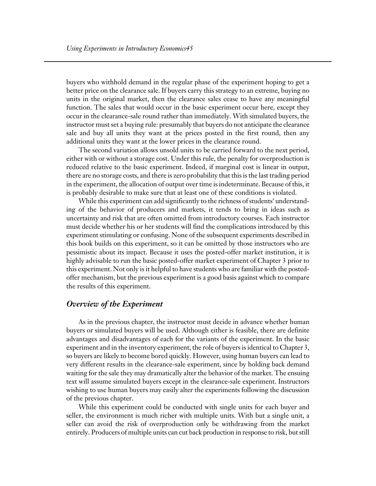buyers who withhold demand in the regular phase of the experiment hoping to get a better price on the clearance sale. If buyers carry this strategy to an extreme, buying no units in the original market, then the clearance sales cease to have any meaningful function. The sales that would occur in the basic experiment occur here, except they occur in the clearance-sale round rather than immediately. With simulated buyers, the instructor must set a buying rule: presumably that buyers do not anticipate the clearance sale and buy all units they want at the prices posted in the first round, then any additional units they want at the lower prices in the clearance round.

The second variation allows unsold units to be carried forward to the next period, either with or without a storage cost. Under this rule, the penalty for overproduction is reduced relative to the basic experiment. Indeed, if marginal cost is linear in output, there are no storage costs, and there is zero probability that this is the last trading period in the experiment, the allocation of output over time is indeterminate. Because of this, it is probably desirable to make sure that at least one of these conditions is violated.

While this experiment can add significantly to the richness of students' understanding of the behavior of producers and markets, it tends to bring in ideas such as uncertainty and risk that are often omitted from introductory courses. Each instructor must decide whether his or her students will find the complications introduced by this experiment stimulating or confusing. None of the subsequent experiments described in this book builds on this experiment, so it can be omitted by those instructors who are pessimistic about its impact. Because it uses the posted-offer market institution, it is highly advisable to run the basic posted-offer market experiment of Chapter 3 prior to this experiment. Not only is it helpful to have students who are familiar with the postedoffer mechanism, but the previous experiment is a good basis against which to compare the results of this experiment.

#### *Overview of the Experiment*

As in the previous chapter, the instructor must decide in advance whether human buyers or simulated buyers will be used. Although either is feasible, there are definite advantages and disadvantages of each for the variants of the experiment. In the basic experiment and in the inventory experiment, the role of buyers is identical to Chapter 3, so buyers are likely to become bored quickly. However, using human buyers can lead to very different results in the clearance-sale experiment, since by holding back demand waiting for the sale they may dramatically alter the behavior of the market. The ensuing text will assume simulated buyers except in the clearance-sale experiment. Instructors wishing to use human buyers may easily alter the experiments following the discussion of the previous chapter.

While this experiment could be conducted with single units for each buyer and seller, the environment is much richer with multiple units. With but a single unit, a seller can avoid the risk of overproduction only be withdrawing from the market entirely. Producers of multiple units can cut back production in response to risk, but still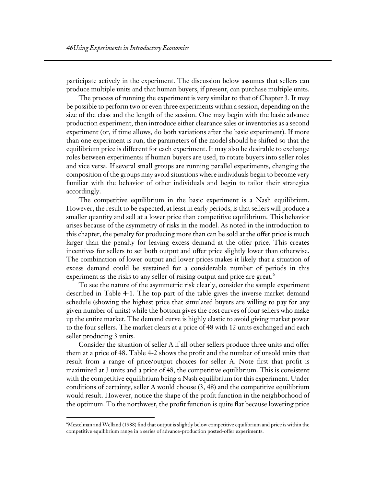participate actively in the experiment. The discussion below assumes that sellers can produce multiple units and that human buyers, if present, can purchase multiple units.

The process of running the experiment is very similar to that of Chapter 3. It may be possible to perform two or even three experiments within a session, depending on the size of the class and the length of the session. One may begin with the basic advance production experiment, then introduce either clearance sales or inventories as a second experiment (or, if time allows, do both variations after the basic experiment). If more than one experiment is run, the parameters of the model should be shifted so that the equilibrium price is different for each experiment. It may also be desirable to exchange roles between experiments: if human buyers are used, to rotate buyers into seller roles and vice versa. If several small groups are running parallel experiments, changing the composition of the groups may avoid situations where individuals begin to become very familiar with the behavior of other individuals and begin to tailor their strategies accordingly.

The competitive equilibrium in the basic experiment is a Nash equilibrium. However, the result to be expected, at least in early periods, is that sellers will produce a smaller quantity and sell at a lower price than competitive equilibrium. This behavior arises because of the asymmetry of risks in the model. As noted in the introduction to this chapter, the penalty for producing more than can be sold at the offer price is much larger than the penalty for leaving excess demand at the offer price. This creates incentives for sellers to set both output and offer price slightly lower than otherwise. The combination of lower output and lower prices makes it likely that a situation of excess demand could be sustained for a considerable number of periods in this experiment as the risks to any seller of raising output and price are great.<sup>6</sup>

To see the nature of the asymmetric risk clearly, consider the sample experiment described in Table 4-1. The top part of the table gives the inverse market demand schedule (showing the highest price that simulated buyers are willing to pay for any given number of units) while the bottom gives the cost curves of four sellers who make up the entire market. The demand curve is highly elastic to avoid giving market power to the four sellers. The market clears at a price of 48 with 12 units exchanged and each seller producing 3 units.

Consider the situation of seller A if all other sellers produce three units and offer them at a price of 48. Table 4-2 shows the profit and the number of unsold units that result from a range of price/output choices for seller A. Note first that profit is maximized at 3 units and a price of 48, the competitive equilibrium. This is consistent with the competitive equilibrium being a Nash equilibrium for this experiment. Under conditions of certainty, seller A would choose (3, 48) and the competitive equilibrium would result. However, notice the shape of the profit function in the neighborhood of the optimum. To the northwest, the profit function is quite flat because lowering price

 $\overline{a}$ 

<sup>6</sup> Mestelman and Welland (1988) find that output is slightly below competitive equilibrium and price is within the competitive equilibrium range in a series of advance-production posted-offer experiments.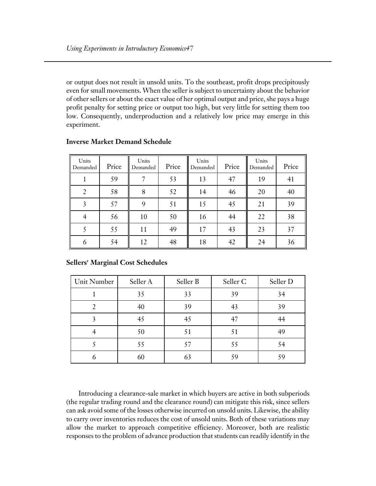or output does not result in unsold units. To the southeast, profit drops precipitously even for small movements. When the seller is subject to uncertainty about the behavior of other sellers or about the exact value of her optimal output and price, she pays a huge profit penalty for setting price or output too high, but very little for setting them too low. Consequently, underproduction and a relatively low price may emerge in this experiment.

| Units<br>Demanded | Price | Units<br>Demanded | Price | Units<br>Demanded | Price | Units<br>Demanded | Price |
|-------------------|-------|-------------------|-------|-------------------|-------|-------------------|-------|
|                   | 59    |                   | 53    | 13                | 47    | 19                | 41    |
|                   | 58    | 8                 | 52    | 14                | 46    | 20                | 40    |
| 3                 | 57    | 9                 | 51    | 15                | 45    | 21                | 39    |
|                   | 56    | 10                | 50    | 16                | 44    | 22                | 38    |
|                   | 55    | 11                | 49    | 17                | 43    | 23                | 37    |
| 6                 | 54    | 12                | 48    | 18                | 42    | 24                | 36    |

#### **Inverse Market Demand Schedule**

| <b>Sellers' Marginal Cost Schedules</b> |  |
|-----------------------------------------|--|
|-----------------------------------------|--|

| Unit Number | Seller A | Seller B | Seller C | Seller D |
|-------------|----------|----------|----------|----------|
|             | 35       | 33       | 39       | 34       |
|             | 40       | 39       | 43       | 39       |
|             | 45       | 45       | 47       |          |
|             | 50       | 51       | 51       |          |
|             | 55       | 57       | 55       | 54       |
|             | 60       |          | 59       |          |

Introducing a clearance-sale market in which buyers are active in both subperiods (the regular trading round and the clearance round) can mitigate this risk, since sellers can ask avoid some of the losses otherwise incurred on unsold units. Likewise, the ability to carry over inventories reduces the cost of unsold units. Both of these variations may allow the market to approach competitive efficiency. Moreover, both are realistic responses to the problem of advance production that students can readily identify in the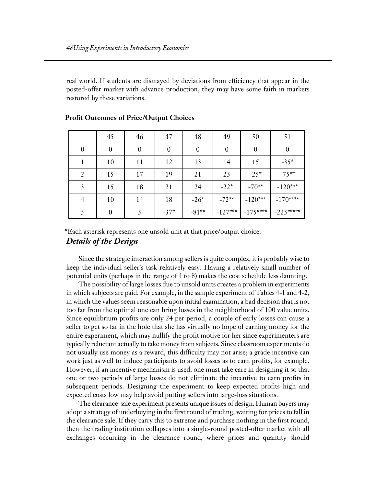real world. If students are dismayed by deviations from efficiency that appear in the posted-offer market with advance production, they may have some faith in markets restored by these variations.

|                | 45       | 46               | 47               | 48       | 49               | 50               | 51               |
|----------------|----------|------------------|------------------|----------|------------------|------------------|------------------|
| $\theta$       | $\theta$ | $\boldsymbol{0}$ | $\boldsymbol{0}$ | $\theta$ | $\boldsymbol{0}$ | $\boldsymbol{0}$ | $\boldsymbol{0}$ |
|                | 10       | 11               | 12               | 13       | 14               | 15               | $-35*$           |
| $\overline{2}$ | 15       | 17               | 19               | 21       | 23               | $-25*$           | $-75**$          |
| 3              | 15       | 18               | 21               | 24       | $-22*$           | $-70**$          | $-120***$        |
| 4              | 10       | 14               | 18               | $-26*$   | $-72**$          | $-120***$        | $-170***$        |
|                | 0        |                  | $-37*$           | $-81**$  | $-127***$        | $-175***$        | $-225***$        |

#### **Profit Outcomes of Price/Output Choices**

*Details of the Design* \*Each asterisk represents one unsold unit at that price/output choice.

Since the strategic interaction among sellers is quite complex, it is probably wise to keep the individual seller's task relatively easy. Having a relatively small number of potential units (perhaps in the range of 4 to 8) makes the cost schedule less daunting.

The possibility of large losses due to unsold units creates a problem in experiments in which subjects are paid. For example, in the sample experiment of Tables 4-1 and 4-2, in which the values seem reasonable upon initial examination, a bad decision that is not too far from the optimal one can bring losses in the neighborhood of 100 value units. Since equilibrium profits are only 24 per period, a couple of early losses can cause a seller to get so far in the hole that she has virtually no hope of earning money for the entire experiment, which may nullify the profit motive for her since experimenters are typically reluctant actually to take money from subjects. Since classroom experiments do not usually use money as a reward, this difficulty may not arise; a grade incentive can work just as well to induce participants to avoid losses as to earn profits, for example. However, if an incentive mechanism is used, one must take care in designing it so that one or two periods of large losses do not eliminate the incentive to earn profits in subsequent periods. Designing the experiment to keep expected profits high and expected costs low may help avoid putting sellers into large-loss situations.

The clearance-sale experiment presents unique issues of design. Human buyers may adopt a strategy of underbuying in the first round of trading, waiting for prices to fall in the clearance sale. If they carry this to extreme and purchase nothing in the first round, then the trading institution collapses into a single-round posted-offer market with all exchanges occurring in the clearance round, where prices and quantity should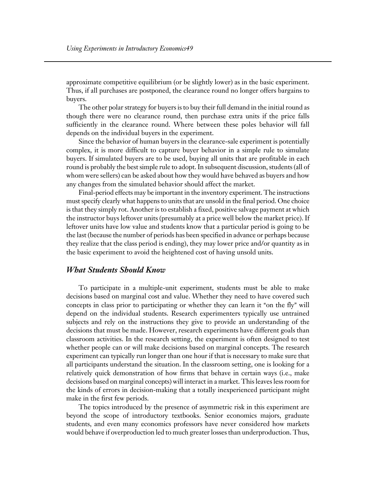approximate competitive equilibrium (or be slightly lower) as in the basic experiment. Thus, if all purchases are postponed, the clearance round no longer offers bargains to buyers.

The other polar strategy for buyers is to buy their full demand in the initial round as though there were no clearance round, then purchase extra units if the price falls sufficiently in the clearance round. Where between these poles behavior will fall depends on the individual buyers in the experiment.

Since the behavior of human buyers in the clearance-sale experiment is potentially complex, it is more difficult to capture buyer behavior in a simple rule to simulate buyers. If simulated buyers are to be used, buying all units that are profitable in each round is probably the best simple rule to adopt. In subsequent discussion, students (all of whom were sellers) can be asked about how they would have behaved as buyers and how any changes from the simulated behavior should affect the market.

Final-period effects may be important in the inventory experiment. The instructions must specify clearly what happens to units that are unsold in the final period. One choice is that they simply rot. Another is to establish a fixed, positive salvage payment at which the instructor buys leftover units (presumably at a price well below the market price). If leftover units have low value and students know that a particular period is going to be the last (because the number of periods has been specified in advance or perhaps because they realize that the class period is ending), they may lower price and/or quantity as in the basic experiment to avoid the heightened cost of having unsold units.

#### *What Students Should Know*

To participate in a multiple-unit experiment, students must be able to make decisions based on marginal cost and value. Whether they need to have covered such concepts in class prior to participating or whether they can learn it "on the fly" will depend on the individual students. Research experimenters typically use untrained subjects and rely on the instructions they give to provide an understanding of the decisions that must be made. However, research experiments have different goals than classroom activities. In the research setting, the experiment is often designed to test whether people can or will make decisions based on marginal concepts. The research experiment can typically run longer than one hour if that is necessary to make sure that all participants understand the situation. In the classroom setting, one is looking for a relatively quick demonstration of how firms that behave in certain ways (i.e., make decisions based on marginal concepts) will interact in a market. This leaves less room for the kinds of errors in decision-making that a totally inexperienced participant might make in the first few periods.

The topics introduced by the presence of asymmetric risk in this experiment are beyond the scope of introductory textbooks. Senior economics majors, graduate students, and even many economics professors have never considered how markets would behave if overproduction led to much greater losses than underproduction. Thus,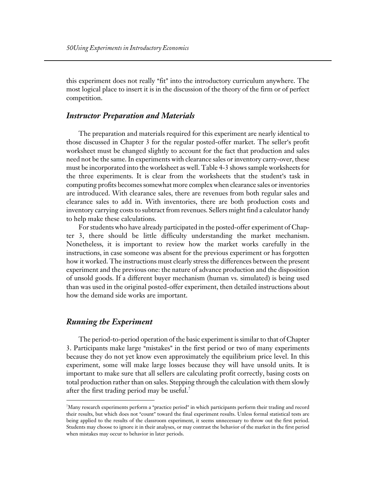this experiment does not really "fit" into the introductory curriculum anywhere. The most logical place to insert it is in the discussion of the theory of the firm or of perfect competition.

#### *Instructor Preparation and Materials*

The preparation and materials required for this experiment are nearly identical to those discussed in Chapter 3 for the regular posted-offer market. The seller's profit worksheet must be changed slightly to account for the fact that production and sales need not be the same. In experiments with clearance sales or inventory carry-over, these must be incorporated into the worksheet as well. Table 4-3 shows sample worksheets for the three experiments. It is clear from the worksheets that the student's task in computing profits becomes somewhat more complex when clearance sales or inventories are introduced. With clearance sales, there are revenues from both regular sales and clearance sales to add in. With inventories, there are both production costs and inventory carrying costs to subtract from revenues. Sellers might find a calculator handy to help make these calculations.

For students who have already participated in the posted-offer experiment of Chapter 3, there should be little difficulty understanding the market mechanism. Nonetheless, it is important to review how the market works carefully in the instructions, in case someone was absent for the previous experiment or has forgotten how it worked. The instructions must clearly stress the differences between the present experiment and the previous one: the nature of advance production and the disposition of unsold goods. If a different buyer mechanism (human vs. simulated) is being used than was used in the original posted-offer experiment, then detailed instructions about how the demand side works are important.

#### *Running the Experiment*

 $\overline{a}$ 

The period-to-period operation of the basic experiment is similar to that of Chapter 3. Participants make large "mistakes" in the first period or two of many experiments because they do not yet know even approximately the equilibrium price level. In this experiment, some will make large losses because they will have unsold units. It is important to make sure that all sellers are calculating profit correctly, basing costs on total production rather than on sales. Stepping through the calculation with them slowly after the first trading period may be useful.<sup>7</sup>

 $^7$ Many research experiments perform a "practice period" in which participants perform their trading and record their results, but which does not "count" toward the final experiment results. Unless formal statistical tests are being applied to the results of the classroom experiment, it seems unnecessary to throw out the first period. Students may choose to ignore it in their analyses, or may contrast the behavior of the market in the first period when mistakes may occur to behavior in later periods.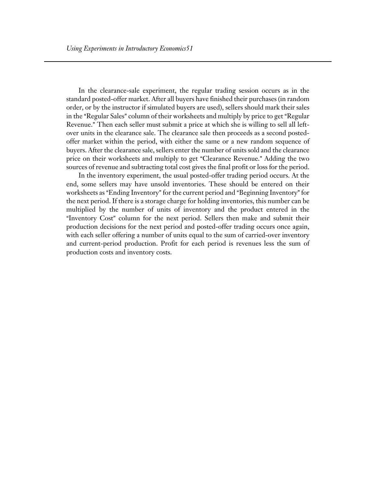In the clearance-sale experiment, the regular trading session occurs as in the standard posted-offer market. After all buyers have finished their purchases (in random order, or by the instructor if simulated buyers are used), sellers should mark their sales in the "Regular Sales" column of their worksheets and multiply by price to get "Regular" Revenue." Then each seller must submit a price at which she is willing to sell all leftover units in the clearance sale. The clearance sale then proceeds as a second postedoffer market within the period, with either the same or a new random sequence of buyers. After the clearance sale, sellers enter the number of units sold and the clearance price on their worksheets and multiply to get "Clearance Revenue." Adding the two sources of revenue and subtracting total cost gives the final profit or loss for the period.

In the inventory experiment, the usual posted-offer trading period occurs. At the end, some sellers may have unsold inventories. These should be entered on their worksheets as "Ending Inventory" for the current period and "Beginning Inventory" for the next period. If there is a storage charge for holding inventories, this number can be multiplied by the number of units of inventory and the product entered in the "Inventory Cost" column for the next period. Sellers then make and submit their production decisions for the next period and posted-offer trading occurs once again, with each seller offering a number of units equal to the sum of carried-over inventory and current-period production. Profit for each period is revenues less the sum of production costs and inventory costs.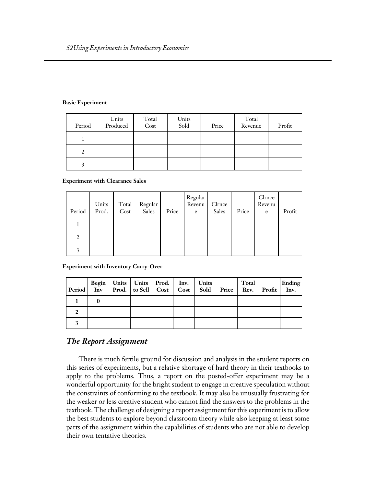#### **Basic Experiment**

| Period | Units<br>Produced | Total<br>Cost | Units<br>Sold | Price | Total<br>Revenue | Profit |
|--------|-------------------|---------------|---------------|-------|------------------|--------|
|        |                   |               |               |       |                  |        |
|        |                   |               |               |       |                  |        |
|        |                   |               |               |       |                  |        |

#### **Experiment with Clearance Sales**

| Period | Units<br>Prod. | Total<br>Cost | Regular<br>Sales | Price | Regular<br>Revenu<br>e | Clrnce<br>Sales | Price | Clrnce<br>Revenu<br>e | Profit |
|--------|----------------|---------------|------------------|-------|------------------------|-----------------|-------|-----------------------|--------|
|        |                |               |                  |       |                        |                 |       |                       |        |
|        |                |               |                  |       |                        |                 |       |                       |        |
|        |                |               |                  |       |                        |                 |       |                       |        |

**Experiment with Inventory Carry-Over** 

|  | Begin   Units   Units   Prod.   Inv.   Units  <br>Period Inv Prod. to Sell Cost   Cost   Sold   Price   Rev. Profit   Inv. |  |  | Total | <b>Ending</b> |
|--|----------------------------------------------------------------------------------------------------------------------------|--|--|-------|---------------|
|  |                                                                                                                            |  |  |       |               |
|  |                                                                                                                            |  |  |       |               |
|  |                                                                                                                            |  |  |       |               |

#### *The Report Assignment*

There is much fertile ground for discussion and analysis in the student reports on this series of experiments, but a relative shortage of hard theory in their textbooks to apply to the problems. Thus, a report on the posted-offer experiment may be a wonderful opportunity for the bright student to engage in creative speculation without the constraints of conforming to the textbook. It may also be unusually frustrating for the weaker or less creative student who cannot find the answers to the problems in the textbook. The challenge of designing a report assignment for this experiment is to allow the best students to explore beyond classroom theory while also keeping at least some parts of the assignment within the capabilities of students who are not able to develop their own tentative theories.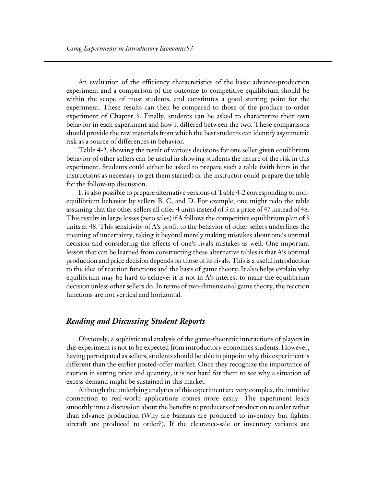An evaluation of the efficiency characteristics of the basic advance-production experiment and a comparison of the outcome to competitive equilibrium should be within the scope of most students, and constitutes a good starting point for the experiment. These results can then be compared to those of the produce-to-order experiment of Chapter 3. Finally, students can be asked to characterize their own behavior in each experiment and how it differed between the two. These comparisons should provide the raw materials from which the best students can identify asymmetric risk as a source of differences in behavior.

Table 4-2, showing the result of various decisions for one seller given equilibrium behavior of other sellers can be useful in showing students the nature of the risk in this experiment. Students could either be asked to prepare such a table (with hints in the instructions as necessary to get them started) or the instructor could prepare the table for the follow-up discussion.

It is also possible to prepare alternative versions of Table 4-2 corresponding to nonequilibrium behavior by sellers B, C, and D. For example, one might redo the table assuming that the other sellers all offer 4 units instead of 3 at a price of 47 instead of 48. This results in large losses (zero sales) if A follows the competitive equilibrium plan of 3 units at 48. This sensitivity of A's profit to the behavior of other sellers underlines the meaning of uncertainty, taking it beyond merely making mistakes about one's optimal decision and considering the effects of one's rivals mistakes as well. One important lesson that can be learned from constructing these alternative tables is that A's optimal production and price decision depends on those of its rivals. This is a useful introduction to the idea of reaction functions and the basis of game theory. It also helps explain why equilibrium may be hard to achieve: it is not in  $A$ 's interest to make the equilibrium decision unless other sellers do. In terms of two-dimensional game theory, the reaction functions are not vertical and horizontal.

## *Reading and Discussing Student Reports*

Obviously, a sophisticated analysis of the game-theoretic interactions of players in this experiment is not to be expected from introductory economics students. However, having participated as sellers, students should be able to pinpoint why this experiment is different than the earlier posted-offer market. Once they recognize the importance of caution in setting price and quantity, it is not hard for them to see why a situation of excess demand might be sustained in this market.

Although the underlying analytics of this experiment are very complex, the intuitive connection to real-world applications comes more easily. The experiment leads smoothly into a discussion about the benefits to producers of production to order rather than advance production (Why are bananas are produced to inventory but fighter aircraft are produced to order?). If the clearance-sale or inventory variants are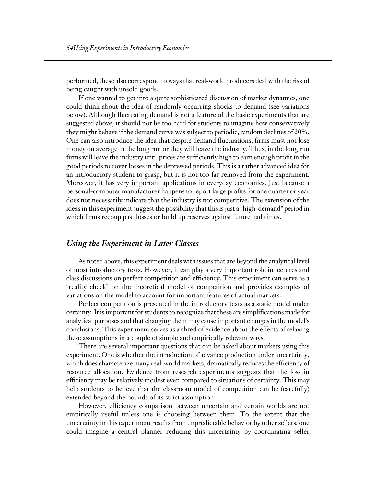performed, these also correspond to ways that real-world producers deal with the risk of being caught with unsold goods.

If one wanted to get into a quite sophisticated discussion of market dynamics, one could think about the idea of randomly occurring shocks to demand (see variations below). Although fluctuating demand is not a feature of the basic experiments that are suggested above, it should not be too hard for students to imagine how conservatively they might behave if the demand curve was subject to periodic, random declines of 20%. One can also introduce the idea that despite demand fluctuations, firms must not lose money on average in the long run or they will leave the industry. Thus, in the long run firms will leave the industry until prices are sufficiently high to earn enough profit in the good periods to cover losses in the depressed periods. This is a rather advanced idea for an introductory student to grasp, but it is not too far removed from the experiment. Moreover, it has very important applications in everyday economics. Just because a personal-computer manufacturer happens to report large profits for one quarter or year does not necessarily indicate that the industry is not competitive. The extension of the ideas in this experiment suggest the possibility that this is just a "high-demand" period in which firms recoup past losses or build up reserves against future bad times.

#### *Using the Experiment in Later Classes*

As noted above, this experiment deals with issues that are beyond the analytical level of most introductory texts. However, it can play a very important role in lectures and class discussions on perfect competition and efficiency. This experiment can serve as a "reality check" on the theoretical model of competition and provides examples of variations on the model to account for important features of actual markets.

Perfect competition is presented in the introductory texts as a static model under certainty. It is important for students to recognize that these are simplifications made for analytical purposes and that changing them may cause important changes in the model's conclusions. This experiment serves as a shred of evidence about the effects of relaxing these assumptions in a couple of simple and empirically relevant ways.

There are several important questions that can be asked about markets using this experiment. One is whether the introduction of advance production under uncertainty, which does characterize many real-world markets, dramatically reduces the efficiency of resource allocation. Evidence from research experiments suggests that the loss in efficiency may be relatively modest even compared to situations of certainty. This may help students to believe that the classroom model of competition can be (carefully) extended beyond the bounds of its strict assumption.

However, efficiency comparison between uncertain and certain worlds are not empirically useful unless one is choosing between them. To the extent that the uncertainty in this experiment results from unpredictable behavior by other sellers, one could imagine a central planner reducing this uncertainty by coordinating seller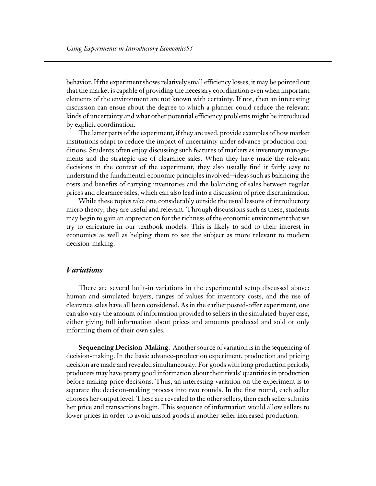behavior. If the experiment shows relatively small efficiency losses, it may be pointed out that the market is capable of providing the necessary coordination even when important elements of the environment are not known with certainty. If not, then an interesting discussion can ensue about the degree to which a planner could reduce the relevant kinds of uncertainty and what other potential efficiency problems might be introduced by explicit coordination.

The latter parts of the experiment, if they are used, provide examples of how market institutions adapt to reduce the impact of uncertainty under advance-production conditions. Students often enjoy discussing such features of markets as inventory managements and the strategic use of clearance sales. When they have made the relevant decisions in the context of the experiment, they also usually find it fairly easy to understand the fundamental economic principles involved—ideas such as balancing the costs and benefits of carrying inventories and the balancing of sales between regular prices and clearance sales, which can also lead into a discussion of price discrimination.

While these topics take one considerably outside the usual lessons of introductory micro theory, they are useful and relevant. Through discussions such as these, students may begin to gain an appreciation for the richness of the economic environment that we try to caricature in our textbook models. This is likely to add to their interest in economics as well as helping them to see the subject as more relevant to modern decision-making.

#### *Variations*

There are several built-in variations in the experimental setup discussed above: human and simulated buyers, ranges of values for inventory costs, and the use of clearance sales have all been considered. As in the earlier posted-offer experiment, one can also vary the amount of information provided to sellers in the simulated-buyer case, either giving full information about prices and amounts produced and sold or only informing them of their own sales.

**Sequencing Decision-Making.** Another source of variation is in the sequencing of decision-making. In the basic advance-production experiment, production and pricing decision are made and revealed simultaneously. For goods with long production periods, producers may have pretty good information about their rivals' quantities in production before making price decisions. Thus, an interesting variation on the experiment is to separate the decision-making process into two rounds. In the first round, each seller chooses her output level. These are revealed to the other sellers, then each seller submits her price and transactions begin. This sequence of information would allow sellers to lower prices in order to avoid unsold goods if another seller increased production.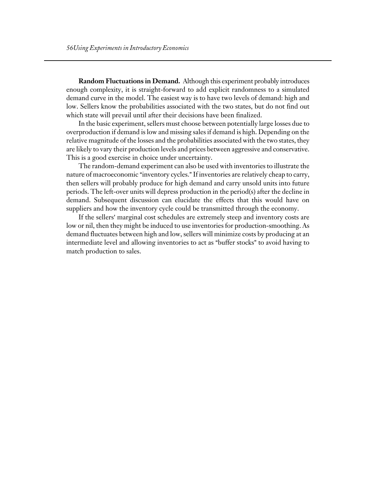**Random Fluctuations in Demand.** Although this experiment probably introduces enough complexity, it is straight-forward to add explicit randomness to a simulated demand curve in the model. The easiest way is to have two levels of demand: high and low. Sellers know the probabilities associated with the two states, but do not find out which state will prevail until after their decisions have been finalized.

In the basic experiment, sellers must choose between potentially large losses due to overproduction if demand is low and missing sales if demand is high. Depending on the relative magnitude of the losses and the probabilities associated with the two states, they are likely to vary their production levels and prices between aggressive and conservative. This is a good exercise in choice under uncertainty.

The random-demand experiment can also be used with inventories to illustrate the nature of macroeconomic "inventory cycles." If inventories are relatively cheap to carry, then sellers will probably produce for high demand and carry unsold units into future periods. The left-over units will depress production in the period(s) after the decline in demand. Subsequent discussion can elucidate the effects that this would have on suppliers and how the inventory cycle could be transmitted through the economy.

If the sellers' marginal cost schedules are extremely steep and inventory costs are low or nil, then they might be induced to use inventories for production-smoothing. As demand fluctuates between high and low, sellers will minimize costs by producing at an intermediate level and allowing inventories to act as "buffer stocks" to avoid having to match production to sales.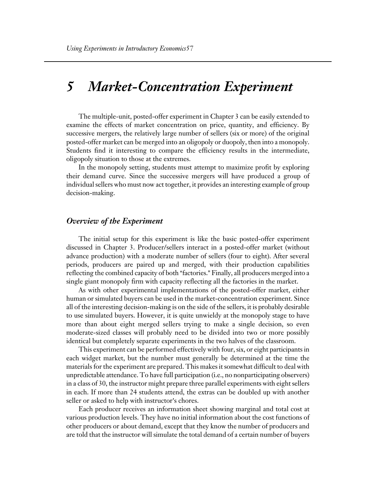## *5 Market-Concentration Experiment*

The multiple-unit, posted-offer experiment in Chapter 3 can be easily extended to examine the effects of market concentration on price, quantity, and efficiency. By successive mergers, the relatively large number of sellers (six or more) of the original posted-offer market can be merged into an oligopoly or duopoly, then into a monopoly. Students find it interesting to compare the efficiency results in the intermediate, oligopoly situation to those at the extremes.

In the monopoly setting, students must attempt to maximize profit by exploring their demand curve. Since the successive mergers will have produced a group of individual sellers who must now act together, it provides an interesting example of group decision-making.

#### *Overview of the Experiment*

The initial setup for this experiment is like the basic posted-offer experiment discussed in Chapter 3. Producer/sellers interact in a posted-offer market (without advance production) with a moderate number of sellers (four to eight). After several periods, producers are paired up and merged, with their production capabilities reflecting the combined capacity of both "factories." Finally, all producers merged into a single giant monopoly firm with capacity reflecting all the factories in the market.

As with other experimental implementations of the posted-offer market, either human or simulated buyers can be used in the market-concentration experiment. Since all of the interesting decision-making is on the side of the sellers, it is probably desirable to use simulated buyers. However, it is quite unwieldy at the monopoly stage to have more than about eight merged sellers trying to make a single decision, so even moderate-sized classes will probably need to be divided into two or more possibly identical but completely separate experiments in the two halves of the classroom.

This experiment can be performed effectively with four, six, or eight participants in each widget market, but the number must generally be determined at the time the materials for the experiment are prepared. This makes it somewhat difficult to deal with unpredictable attendance. To have full participation (i.e., no nonparticipating observers) in a class of 30, the instructor might prepare three parallel experiments with eight sellers in each. If more than 24 students attend, the extras can be doubled up with another seller or asked to help with instructor's chores.

Each producer receives an information sheet showing marginal and total cost at various production levels. They have no initial information about the cost functions of other producers or about demand, except that they know the number of producers and are told that the instructor will simulate the total demand of a certain number of buyers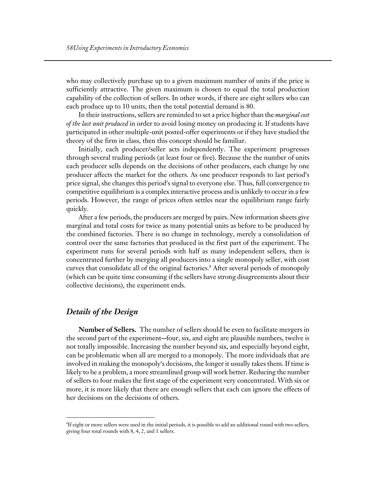who may collectively purchase up to a given maximum number of units if the price is sufficiently attractive. The given maximum is chosen to equal the total production capability of the collection of sellers. In other words, if there are eight sellers who can each produce up to 10 units, then the total potential demand is 80.

In their instructions, sellers are reminded to set a price higher than the *marginal cost of the last unit produced* in order to avoid losing money on producing it. If students have participated in other multiple-unit posted-offer experiments or if they have studied the theory of the firm in class, then this concept should be familiar.

Initially, each producer/seller acts independently. The experiment progresses through several trading periods (at least four or five). Because the the number of units each producer sells depends on the decisions of other producers, each change by one producer affects the market for the others. As one producer responds to last period's price signal, she changes this period's signal to everyone else. Thus, full convergence to competitive equilibrium is a complex interactive process and is unlikely to occur in a few periods. However, the range of prices often settles near the equilibrium range fairly quickly.

After a few periods, the producers are merged by pairs. New information sheets give marginal and total costs for twice as many potential units as before to be produced by the combined factories. There is no change in technology, merely a consolidation of control over the same factories that produced in the first part of the experiment. The experiment runs for several periods with half as many independent sellers, then is concentrated further by merging all producers into a single monopoly seller, with cost curves that consolidate all of the original factories.<sup>8</sup> After several periods of monopoly (which can be quite time consuming if the sellers have strong disagreements about their collective decisions), the experiment ends.

## *Details of the Design*

 $\overline{a}$ 

**Number of Sellers.** The number of sellers should be even to facilitate mergers in the second part of the experiment—four, six, and eight are plausible numbers, twelve is not totally impossible. Increasing the number beyond six, and especially beyond eight, can be problematic when all are merged to a monopoly. The more individuals that are involved in making the monopoly's decisions, the longer it usually takes them. If time is likely to be a problem, a more streamlined group will work better. Reducing the number of sellers to four makes the first stage of the experiment very concentrated. With six or more, it is more likely that there are enough sellers that each can ignore the effects of her decisions on the decisions of others.

 ${}^\mathrm{s}\text{If}$  eight or more sellers were used in the initial periods, it is possible to add an additional round with two sellers, giving four total rounds with 8, 4, 2, and 1 sellers.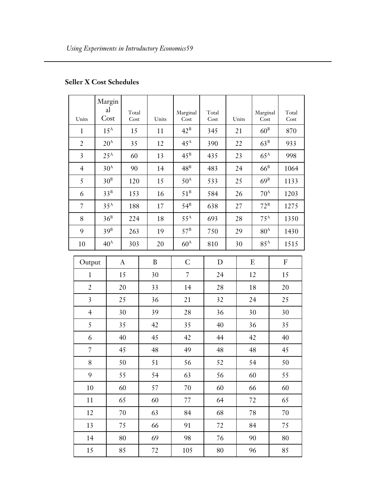|                         |    | Margin          |               |  |       |                   |               |       |                   |               |
|-------------------------|----|-----------------|---------------|--|-------|-------------------|---------------|-------|-------------------|---------------|
| Units                   |    | al<br>Cost      | Total<br>Cost |  | Units | Marginal<br>Cost  | Total<br>Cost | Units | Marginal<br>Cost  | Total<br>Cost |
| $\mathbf{1}$            |    | $15^{\text{A}}$ | 15            |  | 11    | $42^{\mathrm{B}}$ | 345           | 21    | 60 <sup>B</sup>   | 870           |
| $\overline{2}$          |    | $20^{\rm A}$    | 35            |  | 12    | $45^{\rm A}$      | 390           | 22    | $63^B$            | 933           |
| 3                       |    | $25^{\rm A}$    | 60            |  | 13    | $45^{\rm B}$      | 435           | 23    | $65^{\rm A}$      | 998           |
| $\overline{4}$          |    | 30 <sup>A</sup> | 90            |  | 14    | $48^{\rm B}$      | 483           | 24    | $66^B$            | 1064          |
| 5                       |    | $30^{\rm B}$    | 120           |  | 15    | $50^{\rm A}$      | 533           | 25    | $69^{\rm B}$      | 1133          |
| 6                       |    | $33^B$          | 153           |  | 16    | $51^{\rm B}$      | 584           | 26    | $70^{\rm A}$      | 1203          |
| $\overline{7}$          |    | $35^{\rm A}$    | 188           |  | 17    | $54^B$            | 638           | 27    | $72^{\rm B}$      | 1275          |
| 8                       |    | $36^B$          | 224           |  | 18    | $55^{\rm A}$      | 693           | 28    | $75^{\mathrm{A}}$ | 1350          |
| 9                       |    | $39^B$          | 263           |  | 19    | $57^{\rm B}$      | 750           | 29    | $80^{\rm A}$      | 1430          |
| 10                      |    | 40 <sup>A</sup> | 303           |  | 20    | $60^{\rm A}$      | 810           | 30    | $85^{\rm A}$      | 1515          |
| Output                  |    |                 | $\mathbf{A}$  |  | B     | $\mathsf{C}$      | D             |       | E                 | ${\bf F}$     |
| $\mathbf{1}$            |    |                 | 15            |  | 30    | $\overline{7}$    | 24            |       | 12                | 15            |
| $\overline{2}$          |    |                 | 20            |  | 33    | 14                | 28            |       | 18                | 20            |
| $\overline{\mathbf{3}}$ |    |                 | 25            |  | 36    | 21                | 32            |       | 24                | 25            |
| $\overline{4}$          |    |                 | 30            |  | 39    | 28                | 36            |       | 30                | 30            |
| 5                       |    |                 | 35            |  | 42    | 35                | 40            |       | 36                | 35            |
| 6                       |    |                 | 40            |  | 45    | 42                | 44            |       | 42                | 40            |
| $\overline{7}$          |    |                 | 45            |  | 48    | 49                | 48            |       | 48                | 45            |
| $\, 8$                  |    |                 | 50            |  | 51    | 56                | 52            |       | 54                | 50            |
| 9                       |    |                 | 55            |  | 54    | 63                | 56            |       | 60                | 55            |
| 10                      |    |                 | 60            |  | 57    | 70                | 60            |       | 66                | 60            |
| $11\,$                  | 65 |                 |               |  | 60    | 77                | 64            |       | 72                | 65            |
| 12                      |    |                 | 70            |  | 63    | 84                | 68            |       | 78                | 70            |
| 13                      |    |                 | 75            |  | 66    | 91                | 72            |       | 84                | 75            |
| 14                      |    |                 | 80            |  | 69    | 98                | 76            |       | 90                | 80            |
| 15                      |    |                 | 85            |  | 72    | 105               | 80            |       | 96                | 85            |

## **Seller X Cost Schedules**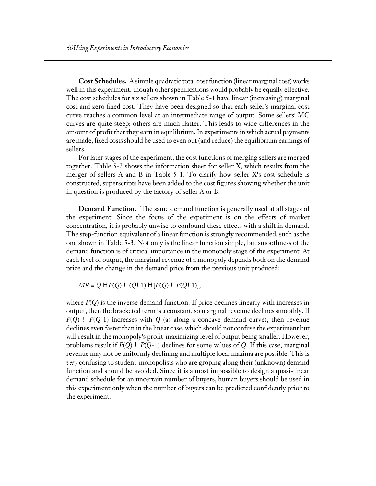**Cost Schedules.** A simple quadratic total cost function (linear marginal cost) works well in this experiment, though other specifications would probably be equally effective. The cost schedules for six sellers shown in Table 5-1 have linear (increasing) marginal cost and zero fixed cost. They have been designed so that each seller's marginal cost curve reaches a common level at an intermediate range of output. Some sellers' MC curves are quite steep; others are much flatter. This leads to wide differences in the amount of profit that they earn in equilibrium. In experiments in which actual payments are made, fixed costs should be used to even out (and reduce) the equilibrium earnings of sellers.

For later stages of the experiment, the cost functions of merging sellers are merged together. Table 5-2 shows the information sheet for seller X, which results from the merger of sellers A and B in Table  $5-1$ . To clarify how seller X's cost schedule is constructed, superscripts have been added to the cost figures showing whether the unit in question is produced by the factory of seller A or B.

**Demand Function.** The same demand function is generally used at all stages of the experiment. Since the focus of the experiment is on the effects of market concentration, it is probably unwise to confound these effects with a shift in demand. The step-function equivalent of a linear function is strongly recommended, such as the one shown in Table 5-3. Not only is the linear function simple, but smoothness of the demand function is of critical importance in the monopoly stage of the experiment. At each level of output, the marginal revenue of a monopoly depends both on the demand price and the change in the demand price from the previous unit produced:

$$
MR = Q \vdash P(Q) \vdash (Q \vdash 1) \vdash [P(Q) \vdash P(Q \vdash 1)],
$$

where *P*(*Q*) is the inverse demand function. If price declines linearly with increases in output, then the bracketed term is a constant, so marginal revenue declines smoothly. If *P*(*Q*) ! *P*(*Q*-1) increases with *Q* (as along a concave demand curve), then revenue declines even faster than in the linear case, which should not confuse the experiment but will result in the monopoly's profit-maximizing level of output being smaller. However, problems result if *P*(*Q*) ! *P*(*Q*-1) declines for some values of *Q*. If this case, marginal revenue may not be uniformly declining and multiple local maxima are possible. This is *very* confusing to student-monopolists who are groping along their (unknown) demand function and should be avoided. Since it is almost impossible to design a quasi-linear demand schedule for an uncertain number of buyers, human buyers should be used in this experiment only when the number of buyers can be predicted confidently prior to the experiment.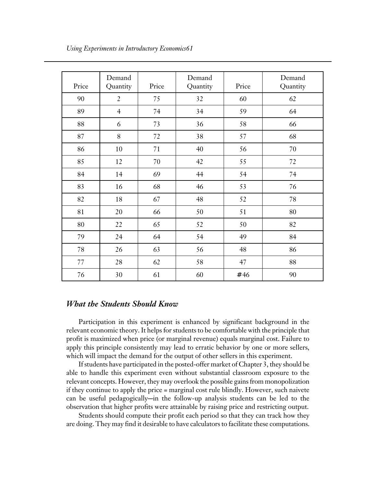| Price | Demand<br>Quantity | Price  | Demand<br>Quantity | Price | Demand<br>Quantity |
|-------|--------------------|--------|--------------------|-------|--------------------|
| 90    | $\overline{2}$     | 75     | 32                 | 60    | 62                 |
| 89    | $\overline{4}$     | 74     | 34                 | 59    | 64                 |
| 88    | 6                  | 73     | 36                 | 58    | 66                 |
| 87    | 8                  | 72     | 38                 | 57    | 68                 |
| 86    | 10                 | 71     | 40                 | 56    | 70                 |
| 85    | 12                 | $70\,$ | 42<br>55           |       | 72                 |
| 84    | 14                 | 69     | 44                 | 54    | 74                 |
| 83    | 16                 | 68     | 46                 | 53    | 76                 |
| 82    | 18                 | 67     | 48                 | 52    | 78                 |
| 81    | 20                 | 66     | 50                 | 51    | 80                 |
| 80    | 22                 | 65     | 52                 | 50    | 82                 |
| 79    | 24                 | 64     | 54                 | 49    | 84                 |
| 78    | 26                 | 63     | 56                 | 48    | 86                 |
| 77    | 28                 | 62     | 58                 | 47    | 88                 |
| 76    | 30                 | 61     | 60                 | # 46  | 90                 |

### *What the Students Should Know*

Participation in this experiment is enhanced by significant background in the relevant economic theory. It helps for students to be comfortable with the principle that profit is maximized when price (or marginal revenue) equals marginal cost. Failure to apply this principle consistently may lead to erratic behavior by one or more sellers, which will impact the demand for the output of other sellers in this experiment.

If students have participated in the posted-offer market of Chapter 3, they should be able to handle this experiment even without substantial classroom exposure to the relevant concepts. However, they may overlook the possible gains from monopolization if they continue to apply the price = marginal cost rule blindly. However, such naivete can be useful pedagogically-in the follow-up analysis students can be led to the observation that higher profits were attainable by raising price and restricting output.

Students should compute their profit each period so that they can track how they are doing. They may find it desirable to have calculators to facilitate these computations.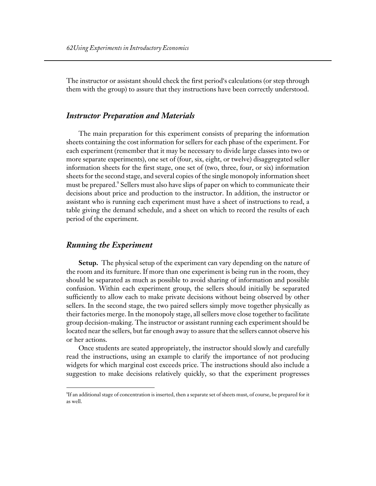The instructor or assistant should check the first period's calculations (or step through them with the group) to assure that they instructions have been correctly understood.

#### *Instructor Preparation and Materials*

The main preparation for this experiment consists of preparing the information sheets containing the cost information for sellers for each phase of the experiment. For each experiment (remember that it may be necessary to divide large classes into two or more separate experiments), one set of (four, six, eight, or twelve) disaggregated seller information sheets for the first stage, one set of (two, three, four, or six) information sheets for the second stage, and several copies of the single monopoly information sheet must be prepared.<sup>9</sup> Sellers must also have slips of paper on which to communicate their decisions about price and production to the instructor. In addition, the instructor or assistant who is running each experiment must have a sheet of instructions to read, a table giving the demand schedule, and a sheet on which to record the results of each period of the experiment.

#### *Running the Experiment*

 $\overline{a}$ 

**Setup.** The physical setup of the experiment can vary depending on the nature of the room and its furniture. If more than one experiment is being run in the room, they should be separated as much as possible to avoid sharing of information and possible confusion. Within each experiment group, the sellers should initially be separated sufficiently to allow each to make private decisions without being observed by other sellers. In the second stage, the two paired sellers simply move together physically as their factories merge. In the monopoly stage, all sellers move close together to facilitate group decision-making. The instructor or assistant running each experiment should be located near the sellers, but far enough away to assure that the sellers cannot observe his or her actions.

Once students are seated appropriately, the instructor should slowly and carefully read the instructions, using an example to clarify the importance of not producing widgets for which marginal cost exceeds price. The instructions should also include a suggestion to make decisions relatively quickly, so that the experiment progresses

 $^9\!$ If an additional stage of concentration is inserted, then a separate set of sheets must, of course, be prepared for it as well.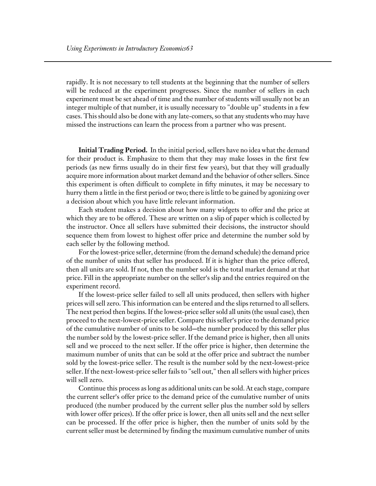rapidly. It is not necessary to tell students at the beginning that the number of sellers will be reduced at the experiment progresses. Since the number of sellers in each experiment must be set ahead of time and the number of students will usually not be an integer multiple of that number, it is usually necessary to "double up" students in a few cases. This should also be done with any late-comers, so that any students who may have missed the instructions can learn the process from a partner who was present.

**Initial Trading Period.** In the initial period, sellers have no idea what the demand for their product is. Emphasize to them that they may make losses in the first few periods (as new firms usually do in their first few years), but that they will gradually acquire more information about market demand and the behavior of other sellers. Since this experiment is often difficult to complete in fifty minutes, it may be necessary to hurry them a little in the first period or two; there is little to be gained by agonizing over a decision about which you have little relevant information.

Each student makes a decision about how many widgets to offer and the price at which they are to be offered. These are written on a slip of paper which is collected by the instructor. Once all sellers have submitted their decisions, the instructor should sequence them from lowest to highest offer price and determine the number sold by each seller by the following method.

For the lowest-price seller, determine (from the demand schedule) the demand price of the number of units that seller has produced. If it is higher than the price offered, then all units are sold. If not, then the number sold is the total market demand at that price. Fill in the appropriate number on the seller's slip and the entries required on the experiment record.

If the lowest-price seller failed to sell all units produced, then sellers with higher prices will sell zero. This information can be entered and the slips returned to all sellers. The next period then begins. If the lowest-price seller sold all units (the usual case), then proceed to the next-lowest-price seller. Compare this seller's price to the demand price of the cumulative number of units to be sold—the number produced by this seller plus the number sold by the lowest-price seller. If the demand price is higher, then all units sell and we proceed to the next seller. If the offer price is higher, then determine the maximum number of units that can be sold at the offer price and subtract the number sold by the lowest-price seller. The result is the number sold by the next-lowest-price seller. If the next-lowest-price seller fails to "sell out," then all sellers with higher prices will sell zero.

Continue this process as long as additional units can be sold. At each stage, compare the current seller's offer price to the demand price of the cumulative number of units produced (the number produced by the current seller plus the number sold by sellers with lower offer prices). If the offer price is lower, then all units sell and the next seller can be processed. If the offer price is higher, then the number of units sold by the current seller must be determined by finding the maximum cumulative number of units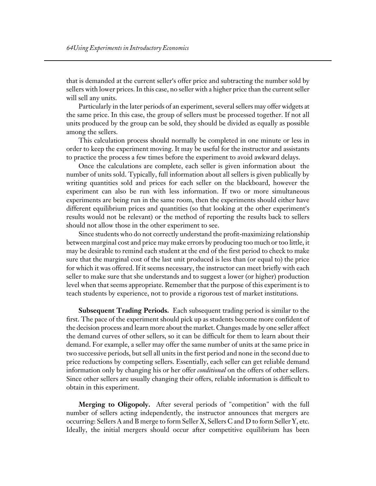that is demanded at the current seller's offer price and subtracting the number sold by sellers with lower prices. In this case, no seller with a higher price than the current seller will sell any units.

Particularly in the later periods of an experiment, several sellers may offer widgets at the same price. In this case, the group of sellers must be processed together. If not all units produced by the group can be sold, they should be divided as equally as possible among the sellers.

This calculation process should normally be completed in one minute or less in order to keep the experiment moving. It may be useful for the instructor and assistants to practice the process a few times before the experiment to avoid awkward delays.

Once the calculations are complete, each seller is given information about the number of units sold. Typically, full information about all sellers is given publically by writing quantities sold and prices for each seller on the blackboard, however the experiment can also be run with less information. If two or more simultaneous experiments are being run in the same room, then the experiments should either have different equilibrium prices and quantities (so that looking at the other experiment's results would not be relevant) or the method of reporting the results back to sellers should not allow those in the other experiment to see.

Since students who do not correctly understand the profit-maximizing relationship between marginal cost and price may make errors by producing too much or too little, it may be desirable to remind each student at the end of the first period to check to make sure that the marginal cost of the last unit produced is less than (or equal to) the price for which it was offered. If it seems necessary, the instructor can meet briefly with each seller to make sure that she understands and to suggest a lower (or higher) production level when that seems appropriate. Remember that the purpose of this experiment is to teach students by experience, not to provide a rigorous test of market institutions.

**Subsequent Trading Periods.** Each subsequent trading period is similar to the first. The pace of the experiment should pick up as students become more confident of the decision process and learn more about the market. Changes made by one seller affect the demand curves of other sellers, so it can be difficult for them to learn about their demand. For example, a seller may offer the same number of units at the same price in two successive periods, but sell all units in the first period and none in the second due to price reductions by competing sellers. Essentially, each seller can get reliable demand information only by changing his or her offer *conditional* on the offers of other sellers. Since other sellers are usually changing their offers, reliable information is difficult to obtain in this experiment.

**Merging to Oligopoly.** After several periods of "competition" with the full number of sellers acting independently, the instructor announces that mergers are occurring: Sellers A and B merge to form Seller X, Sellers C and D to form Seller Y, etc. Ideally, the initial mergers should occur after competitive equilibrium has been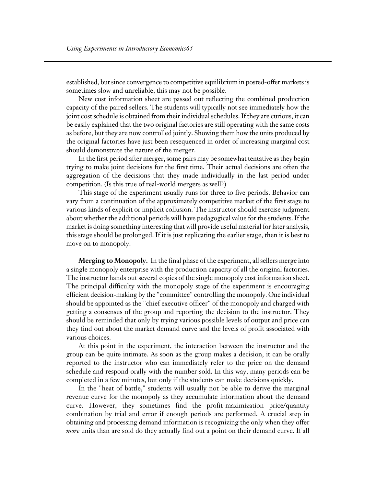established, but since convergence to competitive equilibrium in posted-offer markets is sometimes slow and unreliable, this may not be possible.

New cost information sheet are passed out reflecting the combined production capacity of the paired sellers. The students will typically not see immediately how the joint cost schedule is obtained from their individual schedules. If they are curious, it can be easily explained that the two original factories are still operating with the same costs as before, but they are now controlled jointly. Showing them how the units produced by the original factories have just been resequenced in order of increasing marginal cost should demonstrate the nature of the merger.

In the first period after merger, some pairs may be somewhat tentative as they begin trying to make joint decisions for the first time. Their actual decisions are often the aggregation of the decisions that they made individually in the last period under competition. (Is this true of real-world mergers as well?)

This stage of the experiment usually runs for three to five periods. Behavior can vary from a continuation of the approximately competitive market of the first stage to various kinds of explicit or implicit collusion. The instructor should exercise judgment about whether the additional periods will have pedagogical value for the students. If the market is doing something interesting that will provide useful material for later analysis, this stage should be prolonged. If it is just replicating the earlier stage, then it is best to move on to monopoly.

**Merging to Monopoly.** In the final phase of the experiment, all sellers merge into a single monopoly enterprise with the production capacity of all the original factories. The instructor hands out several copies of the single monopoly cost information sheet. The principal difficulty with the monopoly stage of the experiment is encouraging efficient decision-making by the "committee" controlling the monopoly. One individual should be appointed as the "chief executive officer" of the monopoly and charged with getting a consensus of the group and reporting the decision to the instructor. They should be reminded that only by trying various possible levels of output and price can they find out about the market demand curve and the levels of profit associated with various choices.

At this point in the experiment, the interaction between the instructor and the group can be quite intimate. As soon as the group makes a decision, it can be orally reported to the instructor who can immediately refer to the price on the demand schedule and respond orally with the number sold. In this way, many periods can be completed in a few minutes, but only if the students can make decisions quickly.

In the "heat of battle," students will usually not be able to derive the marginal revenue curve for the monopoly as they accumulate information about the demand curve. However, they sometimes find the profit-maximization price/quantity combination by trial and error if enough periods are performed. A crucial step in obtaining and processing demand information is recognizing the only when they offer *more* units than are sold do they actually find out a point on their demand curve. If all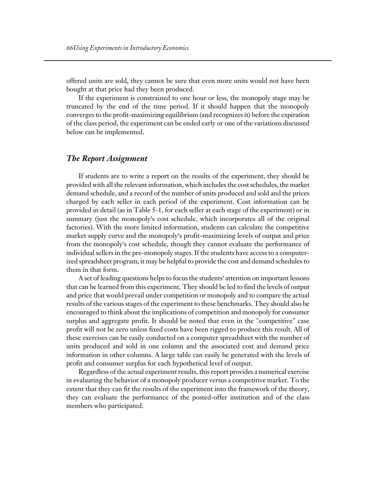offered units are sold, they cannot be sure that even more units would not have been bought at that price had they been produced.

If the experiment is constrained to one hour or less, the monopoly stage may be truncated by the end of the time period. If it should happen that the monopoly converges to the profit-maximizing equilibrium (and recognizes it) before the expiration of the class period, the experiment can be ended early or one of the variations discussed below can be implemented.

#### *The Report Assignment*

If students are to write a report on the results of the experiment, they should be provided with all the relevant information, which includes the cost schedules, the market demand schedule, and a record of the number of units produced and sold and the prices charged by each seller in each period of the experiment. Cost information can be provided in detail (as in Table 5-1, for each seller at each stage of the experiment) or in summary (just the monopoly's cost schedule, which incorporates all of the original factories). With the more limited information, students can calculate the competitive market supply curve and the monopoly's profit-maximizing levels of output and price from the monopoly's cost schedule, though they cannot evaluate the performance of individual sellers in the pre-monopoly stages. If the students have access to a computerized spreadsheet program, it may be helpful to provide the cost and demand schedules to them in that form.

A set of leading questions helps to focus the students' attention on important lessons that can be learned from this experiment. They should be led to find the levels of output and price that would prevail under competition or monopoly and to compare the actual results of the various stages of the experiment to these benchmarks. They should also be encouraged to think about the implications of competition and monopoly for consumer surplus and aggregate profit. It should be noted that even in the "competitive" case profit will not be zero unless fixed costs have been rigged to produce this result. All of these exercises can be easily conducted on a computer spreadsheet with the number of units produced and sold in one column and the associated cost and demand price information in other columns. A large table can easily be generated with the levels of profit and consumer surplus for each hypothetical level of output.

Regardless of the actual experiment results, this report provides a numerical exercise in evaluating the behavior of a monopoly producer versus a competitive market. To the extent that they can fit the results of the experiment into the framework of the theory, they can evaluate the performance of the posted-offer institution and of the class members who participated.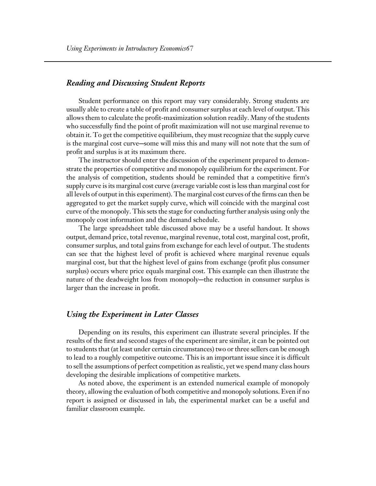#### *Reading and Discussing Student Reports*

Student performance on this report may vary considerably. Strong students are usually able to create a table of profit and consumer surplus at each level of output. This allows them to calculate the profit-maximization solution readily. Many of the students who successfully find the point of profit maximization will not use marginal revenue to obtain it. To get the competitive equilibrium, they must recognize that the supply curve is the marginal cost curve—some will miss this and many will not note that the sum of profit and surplus is at its maximum there.

The instructor should enter the discussion of the experiment prepared to demonstrate the properties of competitive and monopoly equilibrium for the experiment. For the analysis of competition, students should be reminded that a competitive firm's supply curve is its marginal cost curve (average variable cost is less than marginal cost for all levels of output in this experiment). The marginal cost curves of the firms can then be aggregated to get the market supply curve, which will coincide with the marginal cost curve of the monopoly. This sets the stage for conducting further analysis using only the monopoly cost information and the demand schedule.

The large spreadsheet table discussed above may be a useful handout. It shows output, demand price, total revenue, marginal revenue, total cost, marginal cost, profit, consumer surplus, and total gains from exchange for each level of output. The students can see that the highest level of profit is achieved where marginal revenue equals marginal cost, but that the highest level of gains from exchange (profit plus consumer surplus) occurs where price equals marginal cost. This example can then illustrate the nature of the deadweight loss from monopoly-the reduction in consumer surplus is larger than the increase in profit.

#### *Using the Experiment in Later Classes*

Depending on its results, this experiment can illustrate several principles. If the results of the first and second stages of the experiment are similar, it can be pointed out to students that (at least under certain circumstances) two or three sellers can be enough to lead to a roughly competitive outcome. This is an important issue since it is difficult to sell the assumptions of perfect competition as realistic, yet we spend many class hours developing the desirable implications of competitive markets.

As noted above, the experiment is an extended numerical example of monopoly theory, allowing the evaluation of both competitive and monopoly solutions. Even if no report is assigned or discussed in lab, the experimental market can be a useful and familiar classroom example.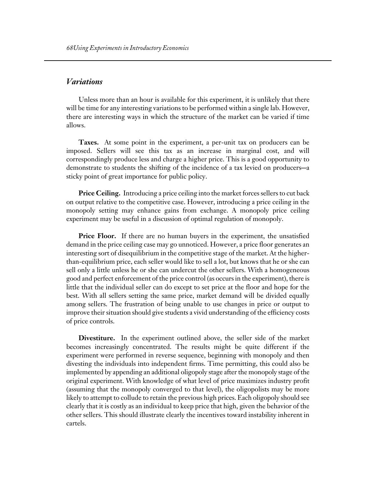#### *Variations*

Unless more than an hour is available for this experiment, it is unlikely that there will be time for any interesting variations to be performed within a single lab. However, there are interesting ways in which the structure of the market can be varied if time allows.

**Taxes.** At some point in the experiment, a per-unit tax on producers can be imposed. Sellers will see this tax as an increase in marginal cost, and will correspondingly produce less and charge a higher price. This is a good opportunity to demonstrate to students the shifting of the incidence of a tax levied on producers-a sticky point of great importance for public policy.

**Price Ceiling.** Introducing a price ceiling into the market forces sellers to cut back on output relative to the competitive case. However, introducing a price ceiling in the monopoly setting may enhance gains from exchange. A monopoly price ceiling experiment may be useful in a discussion of optimal regulation of monopoly.

**Price Floor.** If there are no human buyers in the experiment, the unsatisfied demand in the price ceiling case may go unnoticed. However, a price floor generates an interesting sort of disequilibrium in the competitive stage of the market. At the higherthan-equilibrium price, each seller would like to sell a lot, but knows that he or she can sell only a little unless he or she can undercut the other sellers. With a homogeneous good and perfect enforcement of the price control (as occurs in the experiment), there is little that the individual seller can do except to set price at the floor and hope for the best. With all sellers setting the same price, market demand will be divided equally among sellers. The frustration of being unable to use changes in price or output to improve their situation should give students a vivid understanding of the efficiency costs of price controls.

**Divestiture.** In the experiment outlined above, the seller side of the market becomes increasingly concentrated. The results might be quite different if the experiment were performed in reverse sequence, beginning with monopoly and then divesting the individuals into independent firms. Time permitting, this could also be implemented by appending an additional oligopoly stage after the monopoly stage of the original experiment. With knowledge of what level of price maximizes industry profit (assuming that the monopoly converged to that level), the oligopolists may be more likely to attempt to collude to retain the previous high prices. Each oligopoly should see clearly that it is costly as an individual to keep price that high, given the behavior of the other sellers. This should illustrate clearly the incentives toward instability inherent in cartels.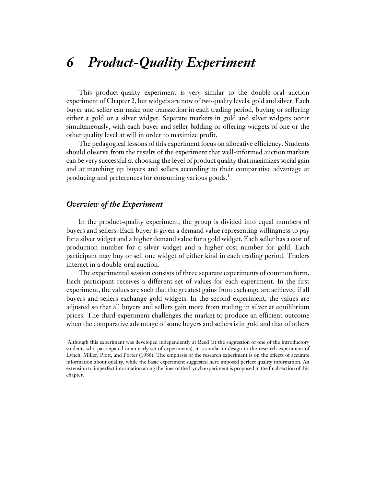## *6 Product-Quality Experiment*

This product-quality experiment is very similar to the double-oral auction experiment of Chapter 2, but widgets are now of two quality levels: gold and silver. Each buyer and seller can make one transaction in each trading period, buying or sellering either a gold or a silver widget. Separate markets in gold and silver widgets occur simultaneously, with each buyer and seller bidding or offering widgets of one or the other quality level at will in order to maximize profit.

The pedagogical lessons of this experiment focus on allocative efficiency. Students should observe from the results of the experiment that well-informed auction markets can be very successful at choosing the level of product quality that maximizes social gain and at matching up buyers and sellers according to their comparative advantage at producing and preferences for consuming various goods.<sup>1</sup>

#### *Overview of the Experiment*

 $\overline{a}$ 

In the product-quality experiment, the group is divided into equal numbers of buyers and sellers. Each buyer is given a demand value representing willingness to pay for a silver widget and a higher demand value for a gold widget. Each seller has a cost of production number for a silver widget and a higher cost number for gold. Each participant may buy or sell one widget of either kind in each trading period. Traders interact in a double-oral auction.

The experimental session consists of three separate experiments of common form. Each participant receives a different set of values for each experiment. In the first experiment, the values are such that the greatest gains from exchange are achieved if all buyers and sellers exchange gold widgets. In the second experiment, the values are adjusted so that all buyers and sellers gain more from trading in silver at equilibrium prices. The third experiment challenges the market to produce an efficient outcome when the comparative advantage of some buyers and sellers is in gold and that of others

<sup>1</sup> Although this experiment was developed independently at Reed (at the suggestion of one of the introductory students who participated in an early set of experiments), it is similar in design to the research experiment of Lynch, Miller, Plott, and Porter (1986). The emphasis of the research experiment is on the effects of accurate information about quality, while the basic experiment suggested here imposed perfect quality information. An extension to imperfect information along the lines of the Lynch experiment is proposed in the final section of this chapter.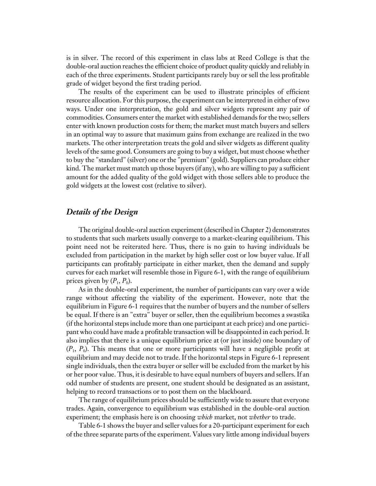is in silver. The record of this experiment in class labs at Reed College is that the double-oral auction reaches the efficient choice of product quality quickly and reliably in each of the three experiments. Student participants rarely buy or sell the less profitable grade of widget beyond the first trading period.

The results of the experiment can be used to illustrate principles of efficient resource allocation. For this purpose, the experiment can be interpreted in either of two ways. Under one interpretation, the gold and silver widgets represent any pair of commodities. Consumers enter the market with established demands for the two; sellers enter with known production costs for them; the market must match buyers and sellers in an optimal way to assure that maximum gains from exchange are realized in the two markets. The other interpretation treats the gold and silver widgets as different quality levels of the same good. Consumers are going to buy a widget, but must choose whether to buy the "standard" (silver) one or the "premium" (gold). Suppliers can produce either kind. The market must match up those buyers (if any), who are willing to pay a sufficient amount for the added quality of the gold widget with those sellers able to produce the gold widgets at the lowest cost (relative to silver).

#### *Details of the Design*

The original double-oral auction experiment (described in Chapter 2) demonstrates to students that such markets usually converge to a market-clearing equilibrium. This point need not be reiterated here. Thus, there is no gain to having individuals be excluded from participation in the market by high seller cost or low buyer value. If all participants can profitably participate in either market, then the demand and supply curves for each market will resemble those in Figure 6-1, with the range of equilibrium prices given by  $(P_1, P_0)$ .

As in the double-oral experiment, the number of participants can vary over a wide range without affecting the viability of the experiment. However, note that the equilibrium in Figure 6-1 requires that the number of buyers and the number of sellers be equal. If there is an "extra" buyer or seller, then the equilibrium becomes a swastika (if the horizontal steps include more than one participant at each price) and one participant who could have made a profitable transaction will be disappointed in each period. It also implies that there is a unique equilibrium price at (or just inside) one boundary of (*P*1, *P*0). This means that one or more participants will have a negligible profit at equilibrium and may decide not to trade. If the horizontal steps in Figure 6-1 represent single individuals, then the extra buyer or seller will be excluded from the market by his or her poor value. Thus, it is desirable to have equal numbers of buyers and sellers. If an odd number of students are present, one student should be designated as an assistant, helping to record transactions or to post them on the blackboard.

The range of equilibrium prices should be sufficiently wide to assure that everyone trades. Again, convergence to equilibrium was established in the double-oral auction experiment; the emphasis here is on choosing *which* market, not *whether* to trade.

Table 6-1 shows the buyer and seller values for a 20-participant experiment for each of the three separate parts of the experiment. Values vary little among individual buyers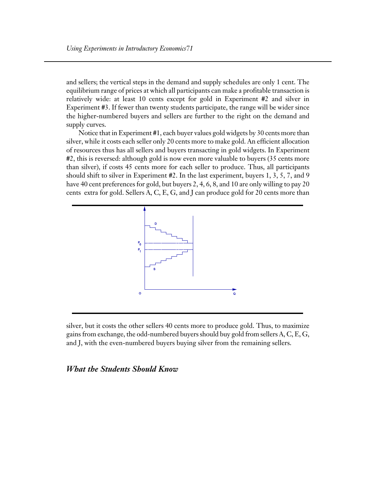and sellers; the vertical steps in the demand and supply schedules are only 1 cent. The equilibrium range of prices at which all participants can make a profitable transaction is relatively wide: at least 10 cents except for gold in Experiment #2 and silver in Experiment #3. If fewer than twenty students participate, the range will be wider since the higher-numbered buyers and sellers are further to the right on the demand and supply curves.

Notice that in Experiment #1, each buyer values gold widgets by 30 cents more than silver, while it costs each seller only 20 cents more to make gold. An efficient allocation of resources thus has all sellers and buyers transacting in gold widgets. In Experiment #2, this is reversed: although gold is now even more valuable to buyers (35 cents more than silver), if costs 45 cents more for each seller to produce. Thus, all participants should shift to silver in Experiment #2. In the last experiment, buyers 1, 3, 5, 7, and 9 have 40 cent preferences for gold, but buyers 2, 4, 6, 8, and 10 are only willing to pay 20 cents extra for gold. Sellers A, C, E, G, and J can produce gold for 20 cents more than



silver, but it costs the other sellers 40 cents more to produce gold. Thus, to maximize gains from exchange, the odd-numbered buyers should buy gold from sellers A, C, E, G, and J, with the even-numbered buyers buying silver from the remaining sellers.

#### *What the Students Should Know*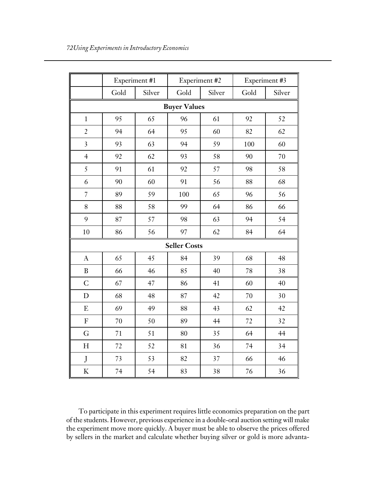|                         | Experiment #1 |        | Experiment #2 |        | Experiment #3 |        |
|-------------------------|---------------|--------|---------------|--------|---------------|--------|
|                         | Gold          | Silver | Gold          | Silver | Gold          | Silver |
| <b>Buyer Values</b>     |               |        |               |        |               |        |
| $\mathbf 1$             | 95            | 65     | 96            | 61     | 92            | 52     |
| $\overline{c}$          | 94            | 64     | 95            | 60     | 82            | 62     |
| $\overline{\mathbf{3}}$ | 93            | 63     | 94            | 59     | 100           | 60     |
| $\overline{4}$          | 92            | 62     | 93            | 58     | 90            | 70     |
| 5                       | 91            | 61     | 92            | 57     | 98            | 58     |
| 6                       | 90            | 60     | 91            | 56     | 88            | 68     |
| $\overline{7}$          | 89            | 59     | 100           | 65     | 96            | 56     |
| 8                       | 88            | 58     | 99            | 64     | 86            | 66     |
| 9                       | 87            | 57     | 98            | 63     | 94            | 54     |
| 10                      | 86            | 56     | 97            | 62     | 84            | 64     |
| <b>Seller Costs</b>     |               |        |               |        |               |        |
| $\mathbf{A}$            | 65            | 45     | 84            | 39     | 68            | 48     |
| $\bf{B}$                | 66            | 46     | 85            | 40     | 78            | 38     |
| $\overline{C}$          | 67            | 47     | 86            | 41     | 60            | 40     |
| D                       | 68            | 48     | 87            | 42     | 70            | 30     |
| E                       | 69            | 49     | 88            | 43     | 62            | 42     |
| ${\bf F}$               | 70            | 50     | 89            | 44     | 72            | 32     |
| G                       | 71            | 51     | 80            | 35     | 64            | 44     |
| H                       | 72            | 52     | 81            | 36     | 74            | 34     |
| $\bf J$                 | 73            | 53     | 82            | 37     | 66            | 46     |
| $\rm K$                 | 74            | 54     | 83            | 38     | 76            | 36     |

To participate in this experiment requires little economics preparation on the part of the students. However, previous experience in a double-oral auction setting will make the experiment move more quickly. A buyer must be able to observe the prices offered by sellers in the market and calculate whether buying silver or gold is more advanta-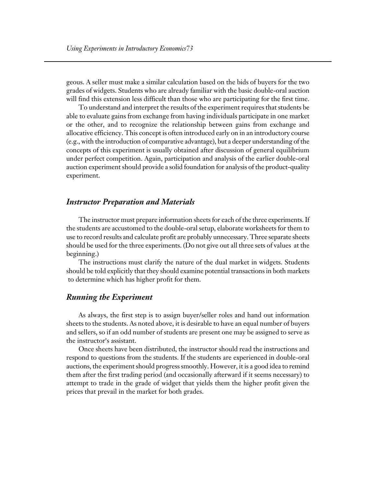geous. A seller must make a similar calculation based on the bids of buyers for the two grades of widgets. Students who are already familiar with the basic double-oral auction will find this extension less difficult than those who are participating for the first time.

To understand and interpret the results of the experiment requires that students be able to evaluate gains from exchange from having individuals participate in one market or the other, and to recognize the relationship between gains from exchange and allocative efficiency. This concept is often introduced early on in an introductory course (e.g., with the introduction of comparative advantage), but a deeper understanding of the concepts of this experiment is usually obtained after discussion of general equilibrium under perfect competition. Again, participation and analysis of the earlier double-oral auction experiment should provide a solid foundation for analysis of the product-quality experiment.

#### *Instructor Preparation and Materials*

The instructor must prepare information sheets for each of the three experiments. If the students are accustomed to the double-oral setup, elaborate worksheets for them to use to record results and calculate profit are probably unnecessary. Three separate sheets should be used for the three experiments. (Do not give out all three sets of values at the beginning.)

The instructions must clarify the nature of the dual market in widgets. Students should be told explicitly that they should examine potential transactions in both markets to determine which has higher profit for them.

#### *Running the Experiment*

As always, the first step is to assign buyer/seller roles and hand out information sheets to the students. As noted above, it is desirable to have an equal number of buyers and sellers, so if an odd number of students are present one may be assigned to serve as the instructor's assistant.

Once sheets have been distributed, the instructor should read the instructions and respond to questions from the students. If the students are experienced in double-oral auctions, the experiment should progress smoothly. However, it is a good idea to remind them after the first trading period (and occasionally afterward if it seems necessary) to attempt to trade in the grade of widget that yields them the higher profit given the prices that prevail in the market for both grades.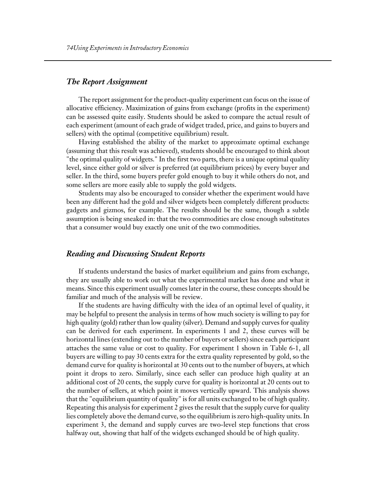# *The Report Assignment*

The report assignment for the product-quality experiment can focus on the issue of allocative efficiency. Maximization of gains from exchange (profits in the experiment) can be assessed quite easily. Students should be asked to compare the actual result of each experiment (amount of each grade of widget traded, price, and gains to buyers and sellers) with the optimal (competitive equilibrium) result.

Having established the ability of the market to approximate optimal exchange (assuming that this result was achieved), students should be encouraged to think about "the optimal quality of widgets." In the first two parts, there is a unique optimal quality level, since either gold or silver is preferred (at equilibrium prices) by every buyer and seller. In the third, some buyers prefer gold enough to buy it while others do not, and some sellers are more easily able to supply the gold widgets.

Students may also be encouraged to consider whether the experiment would have been any different had the gold and silver widgets been completely different products: gadgets and gizmos, for example. The results should be the same, though a subtle assumption is being sneaked in: that the two commodities are close enough substitutes that a consumer would buy exactly one unit of the two commodities.

#### *Reading and Discussing Student Reports*

If students understand the basics of market equilibrium and gains from exchange, they are usually able to work out what the experimental market has done and what it means. Since this experiment usually comes later in the course, these concepts should be familiar and much of the analysis will be review.

If the students are having difficulty with the idea of an optimal level of quality, it may be helpful to present the analysis in terms of how much society is willing to pay for high quality (gold) rather than low quality (silver). Demand and supply curves for quality can be derived for each experiment. In experiments 1 and 2, these curves will be horizontal lines (extending out to the number of buyers or sellers) since each participant attaches the same value or cost to quality. For experiment 1 shown in Table 6-1, all buyers are willing to pay 30 cents extra for the extra quality represented by gold, so the demand curve for quality is horizontal at 30 cents out to the number of buyers, at which point it drops to zero. Similarly, since each seller can produce high quality at an additional cost of 20 cents, the supply curve for quality is horizontal at 20 cents out to the number of sellers, at which point it moves vertically upward. This analysis shows that the "equilibrium quantity of quality" is for all units exchanged to be of high quality. Repeating this analysis for experiment 2 gives the result that the supply curve for quality lies completely above the demand curve, so the equilibrium is zero high-quality units. In experiment 3, the demand and supply curves are two-level step functions that cross halfway out, showing that half of the widgets exchanged should be of high quality.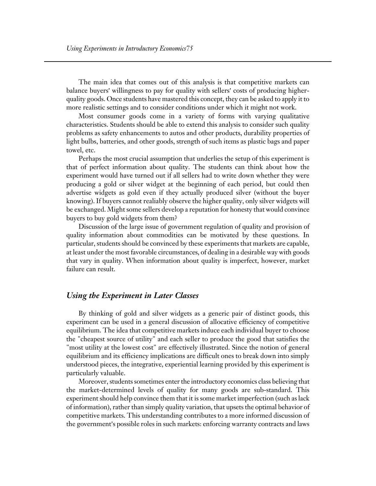The main idea that comes out of this analysis is that competitive markets can balance buyers' willingness to pay for quality with sellers' costs of producing higherquality goods. Once students have mastered this concept, they can be asked to apply it to more realistic settings and to consider conditions under which it might not work.

Most consumer goods come in a variety of forms with varying qualitative characteristics. Students should be able to extend this analysis to consider such quality problems as safety enhancements to autos and other products, durability properties of light bulbs, batteries, and other goods, strength of such items as plastic bags and paper towel, etc.

Perhaps the most crucial assumption that underlies the setup of this experiment is that of perfect information about quality. The students can think about how the experiment would have turned out if all sellers had to write down whether they were producing a gold or silver widget at the beginning of each period, but could then advertise widgets as gold even if they actually produced silver (without the buyer knowing). If buyers cannot realiably observe the higher quality, only silver widgets will be exchanged. Might some sellers develop a reputation for honesty that would convince buyers to buy gold widgets from them?

Discussion of the large issue of government regulation of quality and provision of quality information about commodities can be motivated by these questions. In particular, students should be convinced by these experiments that markets are capable, at least under the most favorable circumstances, of dealing in a desirable way with goods that vary in quality. When information about quality is imperfect, however, market failure can result.

#### *Using the Experiment in Later Classes*

By thinking of gold and silver widgets as a generic pair of distinct goods, this experiment can be used in a general discussion of allocative efficiency of competitive equilibrium. The idea that competitive markets induce each individual buyer to choose the "cheapest source of utility" and each seller to produce the good that satisfies the "most utility at the lowest cost" are effectively illustrated. Since the notion of general equilibrium and its efficiency implications are difficult ones to break down into simply understood pieces, the integrative, experiential learning provided by this experiment is particularly valuable.

Moreover, students sometimes enter the introductory economics class believing that the market-determined levels of quality for many goods are sub-standard. This experiment should help convince them that it is some market imperfection (such as lack of information), rather than simply quality variation, that upsets the optimal behavior of competitive markets. This understanding contributes to a more informed discussion of the government's possible roles in such markets: enforcing warranty contracts and laws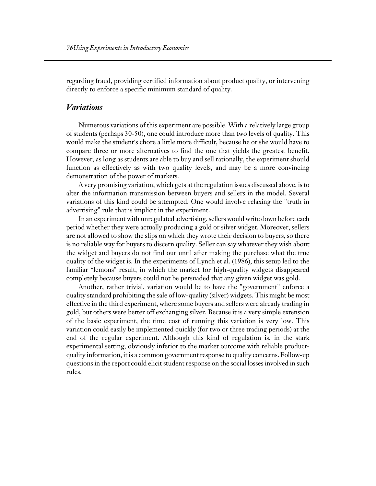regarding fraud, providing certified information about product quality, or intervening directly to enforce a specific minimum standard of quality.

# *Variations*

Numerous variations of this experiment are possible. With a relatively large group of students (perhaps 30-50), one could introduce more than two levels of quality. This would make the student's chore a little more difficult, because he or she would have to compare three or more alternatives to find the one that yields the greatest benefit. However, as long as students are able to buy and sell rationally, the experiment should function as effectively as with two quality levels, and may be a more convincing demonstration of the power of markets.

A very promising variation, which gets at the regulation issues discussed above, is to alter the information transmission between buyers and sellers in the model. Several variations of this kind could be attempted. One would involve relaxing the "truth in advertising" rule that is implicit in the experiment.

In an experiment with unregulated advertising, sellers would write down before each period whether they were actually producing a gold or silver widget. Moreover, sellers are not allowed to show the slips on which they wrote their decision to buyers, so there is no reliable way for buyers to discern quality. Seller can say whatever they wish about the widget and buyers do not find our until after making the purchase what the true quality of the widget is. In the experiments of Lynch et al. (1986), this setup led to the familiar "lemons" result, in which the market for high-quality widgets disappeared completely because buyers could not be persuaded that any given widget was gold.

Another, rather trivial, variation would be to have the "government" enforce a quality standard prohibiting the sale of low-quality (silver) widgets. This might be most effective in the third experiment, where some buyers and sellers were already trading in gold, but others were better off exchanging silver. Because it is a very simple extension of the basic experiment, the time cost of running this variation is very low. This variation could easily be implemented quickly (for two or three trading periods) at the end of the regular experiment. Although this kind of regulation is, in the stark experimental setting, obviously inferior to the market outcome with reliable productquality information, it is a common government response to quality concerns. Follow-up questions in the report could elicit student response on the social losses involved in such rules.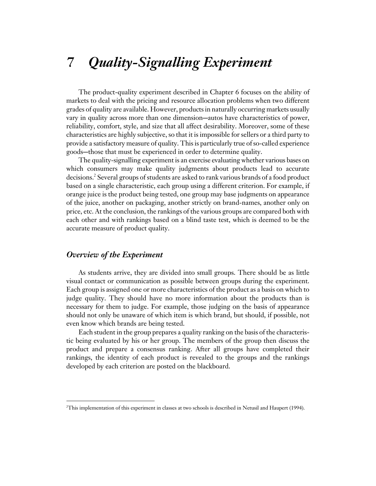# *7 Quality-Signalling Experiment*

The product-quality experiment described in Chapter 6 focuses on the ability of markets to deal with the pricing and resource allocation problems when two different grades of quality are available. However, products in naturally occurring markets usually vary in quality across more than one dimension—autos have characteristics of power, reliability, comfort, style, and size that all affect desirability. Moreover, some of these characteristics are highly subjective, so that it is impossible for sellers or a third party to provide a satisfactory measure of quality. This is particularly true of so-called experience goods—those that must be experienced in order to determine quality.

The quality-signalling experiment is an exercise evaluating whether various bases on which consumers may make quality judgments about products lead to accurate decisions.2 Several groups of students are asked to rank various brands of a food product based on a single characteristic, each group using a different criterion. For example, if orange juice is the product being tested, one group may base judgments on appearance of the juice, another on packaging, another strictly on brand-names, another only on price, etc. At the conclusion, the rankings of the various groups are compared both with each other and with rankings based on a blind taste test, which is deemed to be the accurate measure of product quality.

#### *Overview of the Experiment*

 $\overline{a}$ 

As students arrive, they are divided into small groups. There should be as little visual contact or communication as possible between groups during the experiment. Each group is assigned one or more characteristics of the product as a basis on which to judge quality. They should have no more information about the products than is necessary for them to judge. For example, those judging on the basis of appearance should not only be unaware of which item is which brand, but should, if possible, not even know which brands are being tested.

Each student in the group prepares a quality ranking on the basis of the characteristic being evaluated by his or her group. The members of the group then discuss the product and prepare a consensus ranking. After all groups have completed their rankings, the identity of each product is revealed to the groups and the rankings developed by each criterion are posted on the blackboard.

<sup>2</sup> This implementation of this experiment in classes at two schools is described in Netusil and Haupert (1994).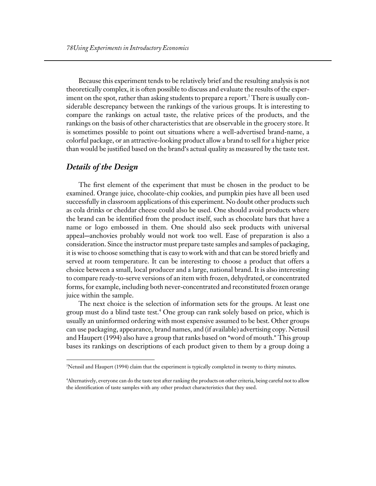Because this experiment tends to be relatively brief and the resulting analysis is not theoretically complex, it is often possible to discuss and evaluate the results of the experiment on the spot, rather than asking students to prepare a report. $^3$  There is usually considerable descrepancy between the rankings of the various groups. It is interesting to compare the rankings on actual taste, the relative prices of the products, and the rankings on the basis of other characteristics that are observable in the grocery store. It is sometimes possible to point out situations where a well-advertised brand-name, a colorful package, or an attractive-looking product allow a brand to sell for a higher price than would be justified based on the brand's actual quality as measured by the taste test.

## *Details of the Design*

 $\overline{a}$ 

The first element of the experiment that must be chosen in the product to be examined. Orange juice, chocolate-chip cookies, and pumpkin pies have all been used successfully in classroom applications of this experiment. No doubt other products such as cola drinks or cheddar cheese could also be used. One should avoid products where the brand can be identified from the product itself, such as chocolate bars that have a name or logo embossed in them. One should also seek products with universal appeal-anchovies probably would not work too well. Ease of preparation is also a consideration. Since the instructor must prepare taste samples and samples of packaging, it is wise to choose something that is easy to work with and that can be stored briefly and served at room temperature. It can be interesting to choose a product that offers a choice between a small, local producer and a large, national brand. It is also interesting to compare ready-to-serve versions of an item with frozen, dehydrated, or concentrated forms, for example, including both never-concentrated and reconstituted frozen orange juice within the sample.

The next choice is the selection of information sets for the groups. At least one group must do a blind taste test.<sup>4</sup> One group can rank solely based on price, which is usually an uninformed ordering with most expensive assumed to be best. Other groups can use packaging, appearance, brand names, and (if available) advertising copy. Netusil and Haupert (1994) also have a group that ranks based on "word of mouth." This group bases its rankings on descriptions of each product given to them by a group doing a

<sup>3</sup> Netusil and Haupert (1994) claim that the experiment is typically completed in twenty to thirty minutes.

<sup>4</sup> Alternatively, everyone can do the taste test after ranking the products on other criteria, being careful not to allow the identification of taste samples with any other product characteristics that they used.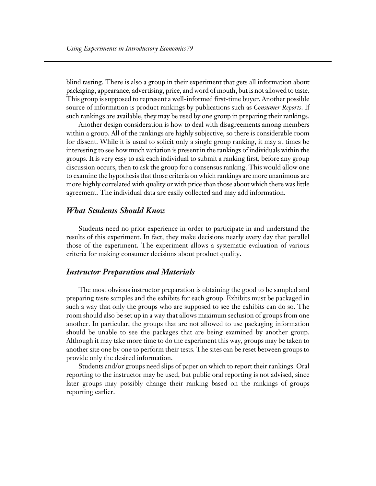blind tasting. There is also a group in their experiment that gets all information about packaging, appearance, advertising, price, and word of mouth, but is not allowed to taste. This group is supposed to represent a well-informed first-time buyer. Another possible source of information is product rankings by publications such as *Consumer Reports*. If such rankings are available, they may be used by one group in preparing their rankings.

Another design consideration is how to deal with disagreements among members within a group. All of the rankings are highly subjective, so there is considerable room for dissent. While it is usual to solicit only a single group ranking, it may at times be interesting to see how much variation is present in the rankings of individuals within the groups. It is very easy to ask each individual to submit a ranking first, before any group discussion occurs, then to ask the group for a consensus ranking. This would allow one to examine the hypothesis that those criteria on which rankings are more unanimous are more highly correlated with quality or with price than those about which there was little agreement. The individual data are easily collected and may add information.

# *What Students Should Know*

Students need no prior experience in order to participate in and understand the results of this experiment. In fact, they make decisions nearly every day that parallel those of the experiment. The experiment allows a systematic evaluation of various criteria for making consumer decisions about product quality.

# *Instructor Preparation and Materials*

The most obvious instructor preparation is obtaining the good to be sampled and preparing taste samples and the exhibits for each group. Exhibits must be packaged in such a way that only the groups who are supposed to see the exhibits can do so. The room should also be set up in a way that allows maximum seclusion of groups from one another. In particular, the groups that are not allowed to use packaging information should be unable to see the packages that are being examined by another group. Although it may take more time to do the experiment this way, groups may be taken to another site one by one to perform their tests. The sites can be reset between groups to provide only the desired information.

Students and/or groups need slips of paper on which to report their rankings. Oral reporting to the instructor may be used, but public oral reporting is not advised, since later groups may possibly change their ranking based on the rankings of groups reporting earlier.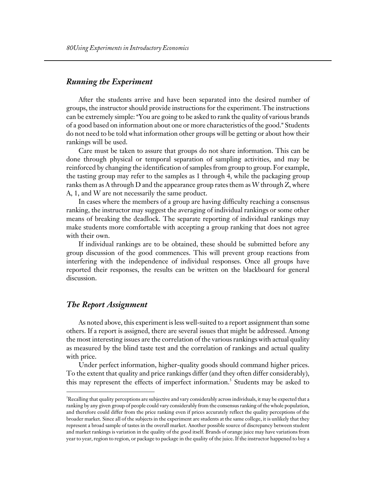# *Running the Experiment*

After the students arrive and have been separated into the desired number of groups, the instructor should provide instructions for the experiment. The instructions can be extremely simple: "You are going to be asked to rank the quality of various brands of a good based on information about one or more characteristics of the good." Students do not need to be told what information other groups will be getting or about how their rankings will be used.

Care must be taken to assure that groups do not share information. This can be done through physical or temporal separation of sampling activities, and may be reinforced by changing the identification of samples from group to group. For example, the tasting group may refer to the samples as 1 through 4, while the packaging group ranks them as A through D and the appearance group rates them as W through Z, where A, 1, and W are not necessarily the same product.

In cases where the members of a group are having difficulty reaching a consensus ranking, the instructor may suggest the averaging of individual rankings or some other means of breaking the deadlock. The separate reporting of individual rankings may make students more comfortable with accepting a group ranking that does not agree with their own.

If individual rankings are to be obtained, these should be submitted before any group discussion of the good commences. This will prevent group reactions from interfering with the independence of individual responses. Once all groups have reported their responses, the results can be written on the blackboard for general discussion.

### *The Report Assignment*

 $\overline{a}$ 

As noted above, this experiment is less well-suited to a report assignment than some others. If a report is assigned, there are several issues that might be addressed. Among the most interesting issues are the correlation of the various rankings with actual quality as measured by the blind taste test and the correlation of rankings and actual quality with price.

Under perfect information, higher-quality goods should command higher prices. To the extent that quality and price rankings differ (and they often differ considerably), this may represent the effects of imperfect information.<sup>5</sup> Students may be asked to

<sup>5</sup> Recalling that quality perceptions are subjective and vary considerably across individuals, it may be expected that a ranking by any given group of people could vary considerably from the consensus ranking of the whole population, and therefore could differ from the price ranking even if prices accurately reflect the quality perceptions of the broader market. Since all of the subjects in the experiment are students at the same college, it is unlikely that they represent a broad sample of tastes in the overall market. Another possible source of discrepancy between student and market rankings is variation in the quality of the good itself. Brands of orange juice may have variations from year to year, region to region, or package to package in the quality of the juice. If the instructor happened to buy a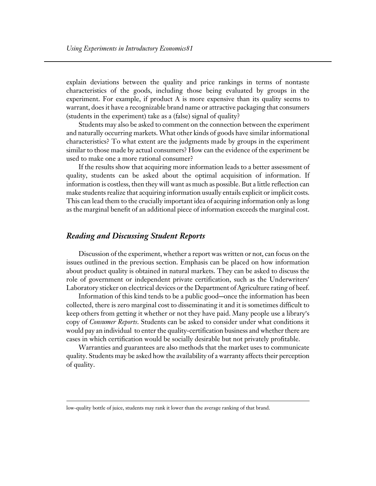explain deviations between the quality and price rankings in terms of nontaste characteristics of the goods, including those being evaluated by groups in the experiment. For example, if product A is more expensive than its quality seems to warrant, does it have a recognizable brand name or attractive packaging that consumers (students in the experiment) take as a (false) signal of quality?

Students may also be asked to comment on the connection between the experiment and naturally occurring markets. What other kinds of goods have similar informational characteristics? To what extent are the judgments made by groups in the experiment similar to those made by actual consumers? How can the evidence of the experiment be used to make one a more rational consumer?

If the results show that acquiring more information leads to a better assessment of quality, students can be asked about the optimal acquisition of information. If information is costless, then they will want as much as possible. But a little reflection can make students realize that acquiring information usually entails explicit or implicit costs. This can lead them to the crucially important idea of acquiring information only as long as the marginal benefit of an additional piece of information exceeds the marginal cost.

# *Reading and Discussing Student Reports*

 $\overline{a}$ 

Discussion of the experiment, whether a report was written or not, can focus on the issues outlined in the previous section. Emphasis can be placed on how information about product quality is obtained in natural markets. They can be asked to discuss the role of government or independent private certification, such as the Underwriters' Laboratory sticker on electrical devices or the Department of Agriculture rating of beef.

Information of this kind tends to be a public good-once the information has been collected, there is zero marginal cost to disseminating it and it is sometimes difficult to keep others from getting it whether or not they have paid. Many people use a library's copy of *Consumer Reports*. Students can be asked to consider under what conditions it would pay an individual to enter the quality-certification business and whether there are cases in which certification would be socially desirable but not privately profitable.

Warranties and guarantees are also methods that the market uses to communicate quality. Students may be asked how the availability of a warranty affects their perception of quality.

low-quality bottle of juice, students may rank it lower than the average ranking of that brand.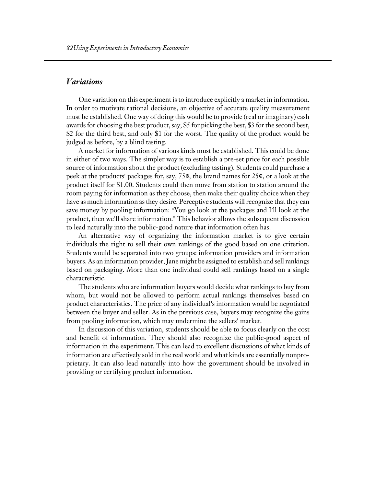# *Variations*

One variation on this experiment is to introduce explicitly a market in information. In order to motivate rational decisions, an objective of accurate quality measurement must be established. One way of doing this would be to provide (real or imaginary) cash awards for choosing the best product, say, \$5 for picking the best, \$3 for the second best, \$2 for the third best, and only \$1 for the worst. The quality of the product would be judged as before, by a blind tasting.

A market for information of various kinds must be established. This could be done in either of two ways. The simpler way is to establish a pre-set price for each possible source of information about the product (excluding tasting). Students could purchase a peek at the products' packages for, say, 75¢, the brand names for 25¢, or a look at the product itself for \$1.00. Students could then move from station to station around the room paying for information as they choose, then make their quality choice when they have as much information as they desire. Perceptive students will recognize that they can save money by pooling information: "You go look at the packages and I'll look at the product, then we'll share information." This behavior allows the subsequent discussion to lead naturally into the public-good nature that information often has.

An alternative way of organizing the information market is to give certain individuals the right to sell their own rankings of the good based on one criterion. Students would be separated into two groups: information providers and information buyers. As an information provider, Jane might be assigned to establish and sell rankings based on packaging. More than one individual could sell rankings based on a single characteristic.

The students who are information buyers would decide what rankings to buy from whom, but would not be allowed to perform actual rankings themselves based on product characteristics. The price of any individual's information would be negotiated between the buyer and seller. As in the previous case, buyers may recognize the gains from pooling information, which may undermine the sellers' market.

In discussion of this variation, students should be able to focus clearly on the cost and benefit of information. They should also recognize the public-good aspect of information in the experiment. This can lead to excellent discussions of what kinds of information are effectively sold in the real world and what kinds are essentially nonproprietary. It can also lead naturally into how the government should be involved in providing or certifying product information.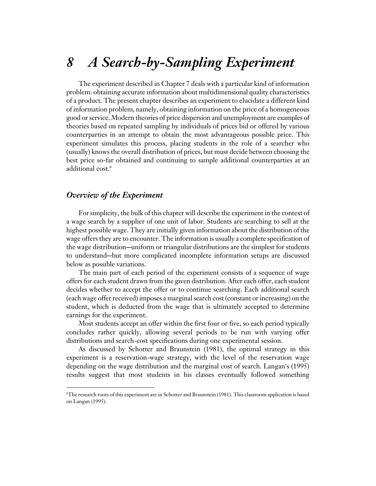# *8 A Search-by-Sampling Experiment*

The experiment described in Chapter 7 deals with a particular kind of information problem: obtaining accurate information about multidimensional quality characteristics of a product. The present chapter describes an experiment to elucidate a different kind of information problem, namely, obtaining information on the price of a homogeneous good or service. Modern theories of price dispersion and unemployment are examples of theories based on repeated sampling by individuals of prices bid or offered by various counterparties in an attempt to obtain the most advantageous possible price. This experiment simulates this process, placing students in the role of a searcher who (usually) knows the overall distribution of prices, but must decide between choosing the best price so-far obtained and continuing to sample additional counterparties at an additional cost.<sup>6</sup>

#### *Overview of the Experiment*

 $\overline{a}$ 

For simplicity, the bulk of this chapter will describe the experiment in the context of a wage search by a supplier of one unit of labor. Students are searching to sell at the highest possible wage. They are initially given information about the distribution of the wage offers they are to encounter. The information is usually a complete specification of the wage distribution—uniform or triangular distributions are the simplest for students to understand—but more complicated incomplete information setups are discussed below as possible variations.

The main part of each period of the experiment consists of a sequence of wage offers for each student drawn from the given distribution. After each offer, each student decides whether to accept the offer or to continue searching. Each additional search (each wage offer received) imposes a marginal search cost (constant or increasing) on the student, which is deducted from the wage that is ultimately accepted to determine earnings for the experiment.

Most students accept an offer within the first four or five, so each period typically concludes rather quickly, allowing several periods to be run with varying offer distributions and search-cost specifications during one experimental session.

As discussed by Schotter and Braunstein (1981), the optimal strategy in this experiment is a reservation-wage strategy, with the level of the reservation wage depending on the wage distribution and the marginal cost of search. Langan's (1995) results suggest that most students in his classes eventually followed something

<sup>6</sup> The research roots of this experiment are in Schotter and Braunstein (1981). This classroom application is based on Langan (1995).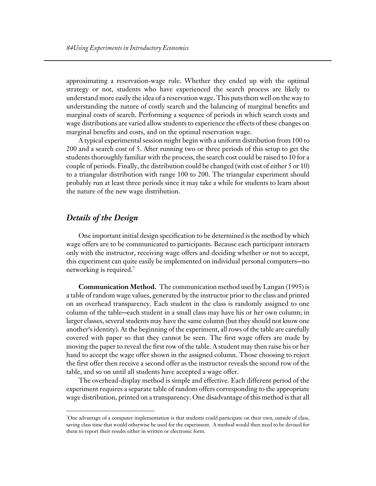approximating a reservation-wage rule. Whether they ended up with the optimal strategy or not, students who have experienced the search process are likely to understand more easily the idea of a reservation wage. This puts them well on the way to understanding the nature of costly search and the balancing of marginal benefits and marginal costs of search. Performing a sequence of periods in which search costs and wage distributions are varied allow students to experience the effects of these changes on marginal benefits and costs, and on the optimal reservation wage.

A typical experimental session might begin with a uniform distribution from 100 to 200 and a search cost of 5. After running two or three periods of this setup to get the students thoroughly familiar with the process, the search cost could be raised to 10 for a couple of periods. Finally, the distribution could be changed (with cost of either 5 or 10) to a triangular distribution with range 100 to 200. The triangular experiment should probably run at least three periods since it may take a while for students to learn about the nature of the new wage distribution.

### *Details of the Design*

 $\overline{a}$ 

One important initial design specification to be determined is the method by which wage offers are to be communicated to participants. Because each participant interacts only with the instructor, receiving wage offers and deciding whether or not to accept, this experiment can quite easily be implemented on individual personal computers—no networking is required.<sup>7</sup>

**Communication Method.** The communication method used by Langan (1995) is a table of random wage values, generated by the instructor prior to the class and printed on an overhead transparency. Each student in the class is randomly assigned to one column of the table—each student in a small class may have his or her own column; in larger classes, several students may have the same column (but they should not know one another's identity). At the beginning of the experiment, all rows of the table are carefully covered with paper so that they cannot be seen. The first wage offers are made by moving the paper to reveal the first row of the table. A student may then raise his or her hand to accept the wage offer shown in the assigned column. Those choosing to reject the first offer then receive a second offer as the instructor reveals the second row of the table, and so on until all students have accepted a wage offer.

The overhead-display method is simple and effective. Each different period of the experiment requires a separate table of random offers corresponding to the appropriate wage distribution, printed on a transparency. One disadvantage of this method is that all

<sup>7</sup> One advantage of a computer implementation is that students could participate on their own, outside of class, saving class time that would otherwise be used for the experiment. A method would then need to be devised for them to report their results either in written or electronic form.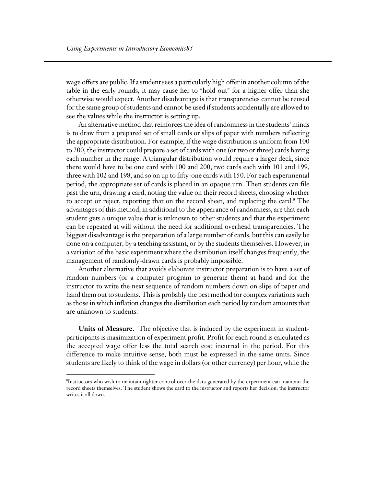wage offers are public. If a student sees a particularly high offer in another column of the table in the early rounds, it may cause her to "hold out" for a higher offer than she otherwise would expect. Another disadvantage is that transparencies cannot be reused for the same group of students and cannot be used if students accidentally are allowed to see the values while the instructor is setting up.

An alternative method that reinforces the idea of randomness in the students' minds is to draw from a prepared set of small cards or slips of paper with numbers reflecting the appropriate distribution. For example, if the wage distribution is uniform from 100 to 200, the instructor could prepare a set of cards with one (or two or three) cards having each number in the range. A triangular distribution would require a larger deck, since there would have to be one card with 100 and 200, two cards each with 101 and 199, three with 102 and 198, and so on up to fifty-one cards with 150. For each experimental period, the appropriate set of cards is placed in an opaque urn. Then students can file past the urn, drawing a card, noting the value on their record sheets, choosing whether to accept or reject, reporting that on the record sheet, and replacing the card.<sup>8</sup> The advantages of this method, in additional to the appearance of randomness, are that each student gets a unique value that is unknown to other students and that the experiment can be repeated at will without the need for additional overhead transparencies. The biggest disadvantage is the preparation of a large number of cards, but this can easily be done on a computer, by a teaching assistant, or by the students themselves. However, in a variation of the basic experiment where the distribution itself changes frequently, the management of randomly-drawn cards is probably impossible.

Another alternative that avoids elaborate instructor preparation is to have a set of random numbers (or a computer program to generate them) at hand and for the instructor to write the next sequence of random numbers down on slips of paper and hand them out to students. This is probably the best method for complex variations such as those in which inflation changes the distribution each period by random amounts that are unknown to students.

**Units of Measure.** The objective that is induced by the experiment in studentparticipants is maximization of experiment profit. Profit for each round is calculated as the accepted wage offer less the total search cost incurred in the period. For this difference to make intuitive sense, both must be expressed in the same units. Since students are likely to think of the wage in dollars (or other currency) per hour, while the

 $\overline{a}$ 

<sup>8</sup> Instructors who wish to maintain tighter control over the data generated by the experiment can maintain the record sheets themselves. The student shows the card to the instructor and reports her decision; the instructor writes it all down.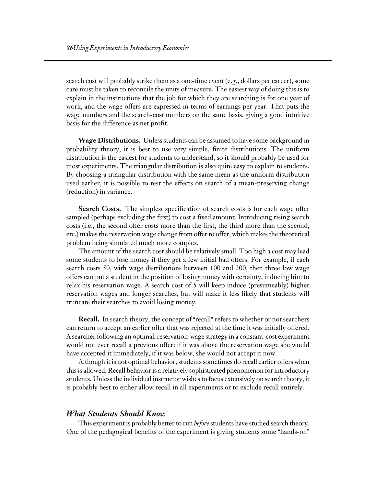search cost will probably strike them as a one-time event (e.g., dollars per career), some care must be taken to reconcile the units of measure. The easiest way of doing this is to explain in the instructions that the job for which they are searching is for one year of work, and the wage offers are expressed in terms of earnings per year. That puts the wage numbers and the search-cost numbers on the same basis, giving a good intuitive basis for the difference as net profit.

**Wage Distributions.** Unless students can be assumed to have some background in probability theory, it is best to use very simple, finite distributions. The uniform distribution is the easiest for students to understand, so it should probably be used for most experiments. The triangular distribution is also quite easy to explain to students. By choosing a triangular distribution with the same mean as the uniform distribution used earlier, it is possible to test the effects on search of a mean-preserving change (reduction) in variance.

**Search Costs.** The simplest specification of search costs is for each wage offer sampled (perhaps excluding the first) to cost a fixed amount. Introducing rising search costs (i.e., the second offer costs more than the first, the third more than the second, etc.) makes the reservation wage change from offer to offer, which makes the theoretical problem being simulated much more complex.

The amount of the search cost should be relatively small. Too high a cost may lead some students to lose money if they get a few initial bad offers. For example, if each search costs 50, with wage distributions between 100 and 200, then three low wage offers can put a student in the position of losing money with certainty, inducing him to relax his reservation wage. A search cost of 5 will keep induce (presumeably) higher reservation wages and longer searches, but will make it less likely that students will truncate their searches to avoid losing money.

**Recall.** In search theory, the concept of "recall" refers to whether or not searchers can return to accept an earlier offer that was rejected at the time it was initially offered. A searcher following an optimal, reservation-wage strategy in a constant-cost experiment would not ever recall a previous offer: if it was above the reservation wage she would have accepted it immediately, if it was below, she would not accept it now.

Although it is not optimal behavior, students sometimes do recall earlier offers when this is allowed. Recall behavior is a relatively sophisticated phenomenon for introductory students. Unless the individual instructor wishes to focus extensively on search theory, it is probably best to either allow recall in all experiments or to exclude recall entirely.

#### *What Students Should Know*

This experiment is probably better to run *before* students have studied search theory. One of the pedagogical benefits of the experiment is giving students some "hands-on"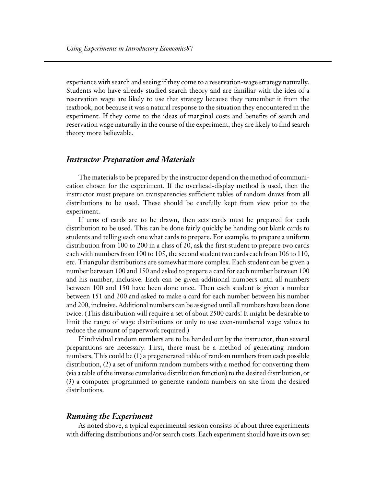experience with search and seeing if they come to a reservation-wage strategy naturally. Students who have already studied search theory and are familiar with the idea of a reservation wage are likely to use that strategy because they remember it from the textbook, not because it was a natural response to the situation they encountered in the experiment. If they come to the ideas of marginal costs and benefits of search and reservation wage naturally in the course of the experiment, they are likely to find search theory more believable.

#### *Instructor Preparation and Materials*

The materials to be prepared by the instructor depend on the method of communication chosen for the experiment. If the overhead-display method is used, then the instructor must prepare on transparencies sufficient tables of random draws from all distributions to be used. These should be carefully kept from view prior to the experiment.

If urns of cards are to be drawn, then sets cards must be prepared for each distribution to be used. This can be done fairly quickly be handing out blank cards to students and telling each one what cards to prepare. For example, to prepare a uniform distribution from 100 to 200 in a class of 20, ask the first student to prepare two cards each with numbers from 100 to 105, the second student two cards each from 106 to 110, etc. Triangular distributions are somewhat more complex. Each student can be given a number between 100 and 150 and asked to prepare a card for each number between 100 and his number, inclusive. Each can be given additional numbers until all numbers between 100 and 150 have been done once. Then each student is given a number between 151 and 200 and asked to make a card for each number between his number and 200, inclusive. Additional numbers can be assigned until all numbers have been done twice. (This distribution will require a set of about 2500 cards! It might be desirable to limit the range of wage distributions or only to use even-numbered wage values to reduce the amount of paperwork required.)

If individual random numbers are to be handed out by the instructor, then several preparations are necessary. First, there must be a method of generating random numbers. This could be (1) a pregenerated table of random numbers from each possible distribution, (2) a set of uniform random numbers with a method for converting them (via a table of the inverse cumulative distribution function) to the desired distribution, or (3) a computer programmed to generate random numbers on site from the desired distributions.

#### *Running the Experiment*

As noted above, a typical experimental session consists of about three experiments with differing distributions and/or search costs. Each experiment should have its own set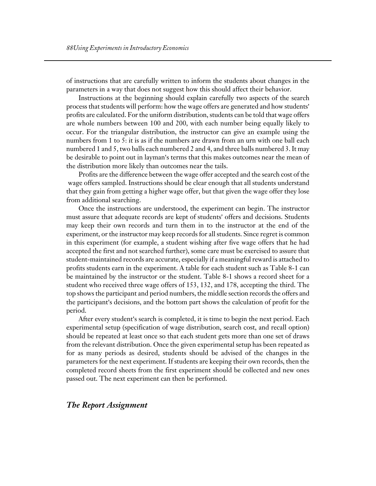of instructions that are carefully written to inform the students about changes in the parameters in a way that does not suggest how this should affect their behavior.

Instructions at the beginning should explain carefully two aspects of the search process that students will perform: how the wage offers are generated and how students' profits are calculated. For the uniform distribution, students can be told that wage offers are whole numbers between 100 and 200, with each number being equally likely to occur. For the triangular distribution, the instructor can give an example using the numbers from 1 to 5: it is as if the numbers are drawn from an urn with one ball each numbered 1 and 5, two balls each numbered 2 and 4, and three balls numbered 3. It may be desirable to point out in layman's terms that this makes outcomes near the mean of the distribution more likely than outcomes near the tails.

Profits are the difference between the wage offer accepted and the search cost of the wage offers sampled. Instructions should be clear enough that all students understand that they gain from getting a higher wage offer, but that given the wage offer they lose from additional searching.

Once the instructions are understood, the experiment can begin. The instructor must assure that adequate records are kept of students' offers and decisions. Students may keep their own records and turn them in to the instructor at the end of the experiment, or the instructor may keep records for all students. Since regret is common in this experiment (for example, a student wishing after five wage offers that he had accepted the first and not searched further), some care must be exercised to assure that student-maintained records are accurate, especially if a meaningful reward is attached to profits students earn in the experiment. A table for each student such as Table 8-1 can be maintained by the instructor or the student. Table 8-1 shows a record sheet for a student who received three wage offers of 153, 132, and 178, accepting the third. The top shows the participant and period numbers, the middle section records the offers and the participant's decisions, and the bottom part shows the calculation of profit for the period.

After every student's search is completed, it is time to begin the next period. Each experimental setup (specification of wage distribution, search cost, and recall option) should be repeated at least once so that each student gets more than one set of draws from the relevant distribution. Once the given experimental setup has been repeated as for as many periods as desired, students should be advised of the changes in the parameters for the next experiment. If students are keeping their own records, then the completed record sheets from the first experiment should be collected and new ones passed out. The next experiment can then be performed.

#### *The Report Assignment*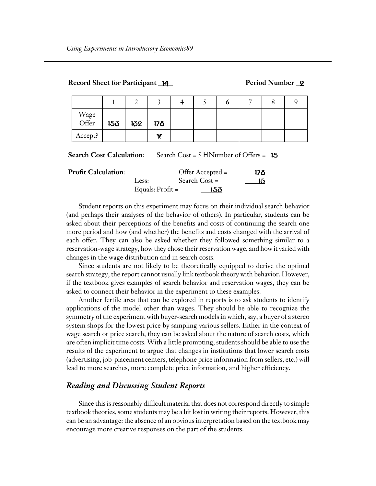|               |     |     |     |  |  | O<br>О |  |
|---------------|-----|-----|-----|--|--|--------|--|
| Wage<br>Offer | 153 | 132 | 178 |  |  |        |  |
| Accept?       |     |     | v   |  |  |        |  |

**Record Sheet for Participant 14 Period Number 2** 

**Search Cost Calculation:** Search Cost = 5 H Number of Offers = 15

| <b>Profit Calculation:</b> |                    | Offer Accepted $=$ | 178 |
|----------------------------|--------------------|--------------------|-----|
|                            | Less:              | Search Cost =      |     |
|                            | Equals: $Profit =$ | -153               |     |

Student reports on this experiment may focus on their individual search behavior (and perhaps their analyses of the behavior of others). In particular, students can be asked about their perceptions of the benefits and costs of continuing the search one more period and how (and whether) the benefits and costs changed with the arrival of each offer. They can also be asked whether they followed something similar to a reservation-wage strategy, how they chose their reservation wage, and how it varied with changes in the wage distribution and in search costs.

Since students are not likely to be theoretically equipped to derive the optimal search strategy, the report cannot usually link textbook theory with behavior. However, if the textbook gives examples of search behavior and reservation wages, they can be asked to connect their behavior in the experiment to these examples.

Another fertile area that can be explored in reports is to ask students to identify applications of the model other than wages. They should be able to recognize the symmetry of the experiment with buyer-search models in which, say, a buyer of a stereo system shops for the lowest price by sampling various sellers. Either in the context of wage search or price search, they can be asked about the nature of search costs, which are often implicit time costs. With a little prompting, students should be able to use the results of the experiment to argue that changes in institutions that lower search costs (advertising, job-placement centers, telephone price information from sellers, etc.) will lead to more searches, more complete price information, and higher efficiency.

# *Reading and Discussing Student Reports*

Since this is reasonably difficult material that does not correspond directly to simple textbook theories, some students may be a bit lost in writing their reports. However, this can be an advantage: the absence of an obvious interpretation based on the textbook may encourage more creative responses on the part of the students.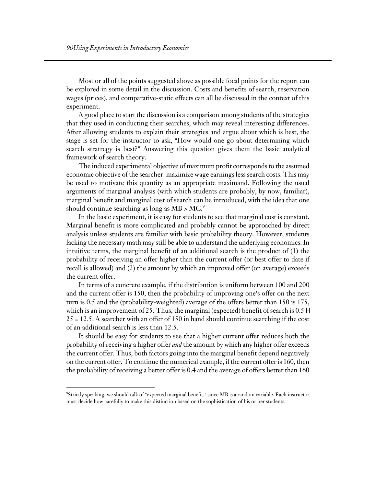Most or all of the points suggested above as possible focal points for the report can be explored in some detail in the discussion. Costs and benefits of search, reservation wages (prices), and comparative-static effects can all be discussed in the context of this experiment.

A good place to start the discussion is a comparison among students of the strategies that they used in conducting their searches, which may reveal interesting differences. After allowing students to explain their strategies and argue about which is best, the stage is set for the instructor to ask, "How would one go about determining which search stratregy is best?" Answering this question gives them the basic analytical framework of search theory.

The induced experimental objective of maximum profit corresponds to the assumed economic objective of the searcher: maximize wage earnings less search costs. This may be used to motivate this quantity as an appropriate maximand. Following the usual arguments of marginal analysis (with which students are probably, by now, familiar), marginal benefit and marginal cost of search can be introduced, with the idea that one should continue searching as long as  $MB > MC$ .<sup>9</sup>

In the basic experiment, it is easy for students to see that marginal cost is constant. Marginal benefit is more complicated and probably cannot be approached by direct analysis unless students are familiar with basic probability theory. However, students lacking the necessary math may still be able to understand the underlying economics. In intuitive terms, the marginal benefit of an additional search is the product of (1) the probability of receiving an offer higher than the current offer (or best offer to date if recall is allowed) and (2) the amount by which an improved offer (on average) exceeds the current offer.

In terms of a concrete example, if the distribution is uniform between 100 and 200 and the current offer is 150, then the probability of improving one's offer on the next turn is 0.5 and the (probability-weighted) average of the offers better than 150 is 175, which is an improvement of 25. Thus, the marginal (expected) benefit of search is  $0.5 \text{ H}$ 25 = 12.5. A searcher with an offer of 150 in hand should continue searching if the cost of an additional search is less than 12.5.

It should be easy for students to see that a higher current offer reduces both the probability of receiving a higher offer *and* the amount by which any higher offer exceeds the current offer. Thus, both factors going into the marginal benefit depend negatively on the current offer. To continue the numerical example, if the current offer is 160, then the probability of receiving a better offer is 0.4 and the average of offers better than 160

 $\overline{a}$ 

 $\%$ trictly speaking, we should talk of "expected marginal benefit," since MB is a random variable. Each instructor must decide how carefully to make this distinction based on the sophistication of his or her students.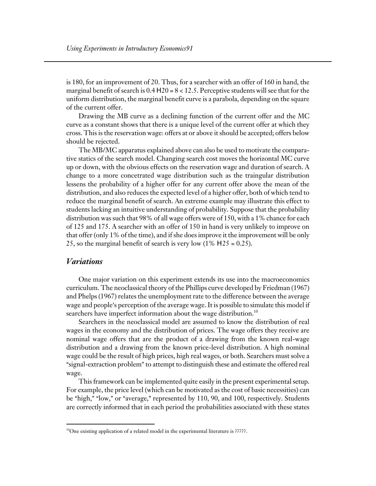is 180, for an improvement of 20. Thus, for a searcher with an offer of 160 in hand, the marginal benefit of search is  $0.4$  H  $20 = 8 < 12.5$ . Perceptive students will see that for the uniform distribution, the marginal benefit curve is a parabola, depending on the square of the current offer.

Drawing the MB curve as a declining function of the current offer and the MC curve as a constant shows that there is a unique level of the current offer at which they cross. This is the reservation wage: offers at or above it should be accepted; offers below should be rejected.

The MB/MC apparatus explained above can also be used to motivate the comparative statics of the search model. Changing search cost moves the horizontal MC curve up or down, with the obvious effects on the reservation wage and duration of search. A change to a more concetrated wage distribution such as the traingular distribution lessens the probability of a higher offer for any current offer above the mean of the distribution, and also reduces the expected level of a higher offer, both of which tend to reduce the marginal benefit of search. An extreme example may illustrate this effect to students lacking an intuitive understanding of probability. Suppose that the probability distribution was such that 98% of all wage offers were of 150, with a 1% chance for each of 125 and 175. A searcher with an offer of 150 in hand is very unlikely to improve on that offer (only 1% of the time), and if she does improve it the improvement will be only 25, so the marginal benefit of search is very low  $(1\% \text{ H } 25 = 0.25)$ .

## *Variations*

 $\overline{a}$ 

One major variation on this experiment extends its use into the macroeconomics curriculum. The neoclassical theory of the Phillips curve developed by Friedman (1967) and Phelps (1967) relates the unemployment rate to the difference between the average wage and people's perception of the average wage. It is possible to simulate this model if searchers have imperfect information about the wage distribution.<sup>10</sup>

Searchers in the neoclassical model are assumed to know the distribution of real wages in the economy and the distribution of prices. The wage offers they receive are nominal wage offers that are the product of a drawing from the known real-wage distribution and a drawing from the known price-level distribution. A high nominal wage could be the result of high prices, high real wages, or both. Searchers must solve a "signal-extraction problem" to attempt to distinguish these and estimate the offered real wage.

This framework can be implemented quite easily in the present experimental setup. For example, the price level (which can be motivated as the cost of basic necessities) can be "high," "low," or "average," represented by 110, 90, and 100, respectively. Students are correctly informed that in each period the probabilities associated with these states

<sup>&</sup>lt;sup>10</sup>One existing application of a related model in the experimental literature is ?????.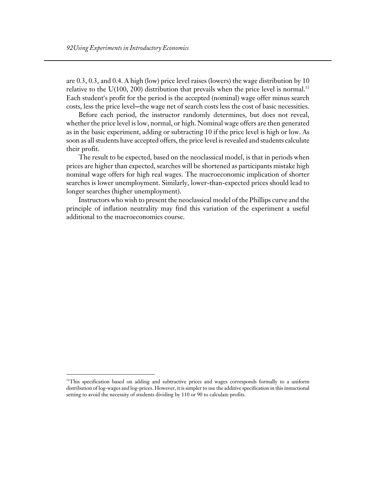are 0.3, 0.3, and 0.4. A high (low) price level raises (lowers) the wage distribution by 10 relative to the  $U(100, 200)$  distribution that prevails when the price level is normal.<sup>11</sup> Each student's profit for the period is the accepted (nominal) wage offer minus search costs, less the price level-the wage net of search costs less the cost of basic necessities.

Before each period, the instructor randomly determines, but does not reveal, whether the price level is low, normal, or high. Nominal wage offers are then generated as in the basic experiment, adding or subtracting 10 if the price level is high or low. As soon as all students have accepted offers, the price level is revealed and students calculate their profit.

The result to be expected, based on the neoclassical model, is that in periods when prices are higher than expected, searches will be shortened as participants mistake high nominal wage offers for high real wages. The macroeconomic implication of shorter searches is lower unemployment. Similarly, lower-than-expected prices should lead to longer searches (higher unemployment).

Instructors who wish to present the neoclassical model of the Phillips curve and the principle of inflation neutrality may find this variation of the experiment a useful additional to the macroeconomics course.

 $\overline{a}$ 

<sup>&</sup>lt;sup>11</sup>This specification based on adding and subtractive prices and wages corresponds formally to a uniform distribution of log-wages and log-prices. However, it is simpler to use the additive specification in this instuctional setting to avoid the necessity of students dividing by 110 or 90 to calculate profits.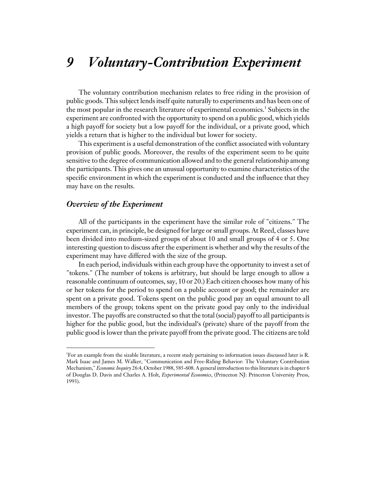# *9 Voluntary-Contribution Experiment*

The voluntary contribution mechanism relates to free riding in the provision of public goods. This subject lends itself quite naturally to experiments and has been one of the most popular in the research literature of experimental economics.<sup>1</sup> Subjects in the experiment are confronted with the opportunity to spend on a public good, which yields a high payoff for society but a low payoff for the individual, or a private good, which yields a return that is higher to the individual but lower for society.

This experiment is a useful demonstration of the conflict associated with voluntary provision of public goods. Moreover, the results of the experiment seem to be quite sensitive to the degree of communication allowed and to the general relationship among the participants. This gives one an unusual opportunity to examine characteristics of the specific environment in which the experiment is conducted and the influence that they may have on the results.

#### *Overview of the Experiment*

 $\overline{a}$ 

All of the participants in the experiment have the similar role of "citizens." The experiment can, in principle, be designed for large or small groups. At Reed, classes have been divided into medium-sized groups of about 10 and small groups of 4 or 5. One interesting question to discuss after the experiment is whether and why the results of the experiment may have differed with the size of the group.

In each period, individuals within each group have the opportunity to invest a set of "tokens." (The number of tokens is arbitrary, but should be large enough to allow a reasonable continuum of outcomes, say, 10 or 20.) Each citizen chooses how many of his or her tokens for the period to spend on a public account or good; the remainder are spent on a private good. Tokens spent on the public good pay an equal amount to all members of the group; tokens spent on the private good pay only to the individual investor. The payoffs are constructed so that the total (social) payoff to all participants is higher for the public good, but the individual's (private) share of the payoff from the public good is lower than the private payoff from the private good. The citizens are told

<sup>1</sup> For an example from the sizable literature, a recent study pertaining to information issues discussed later is R. Mark Isaac and James M. Walker, "Communication and Free-Riding Behavior: The Voluntary Contribution Mechanism," *Economic Inquiry* 26:4, October 1988, 585-608. A general introduction to this literature is in chapter 6 of Douglas D. Davis and Charles A. Holt, *Experimental Economics*, (Princeton NJ: Princeton University Press, 1993).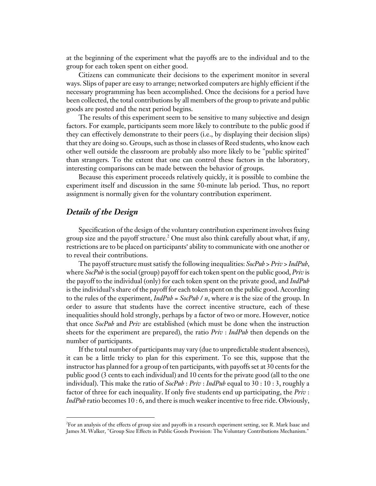at the beginning of the experiment what the payoffs are to the individual and to the group for each token spent on either good.

Citizens can communicate their decisions to the experiment monitor in several ways. Slips of paper are easy to arrange; networked computers are highly efficient if the necessary programming has been accomplished. Once the decisions for a period have been collected, the total contributions by all members of the group to private and public goods are posted and the next period begins.

The results of this experiment seem to be sensitive to many subjective and design factors. For example, participants seem more likely to contribute to the public good if they can effectively demonstrate to their peers (i.e., by displaying their decision slips) that they are doing so. Groups, such as those in classes of Reed students, who know each other well outside the classroom are probably also more likely to be "public spirited" than strangers. To the extent that one can control these factors in the laboratory, interesting comparisons can be made between the behavior of groups.

Because this experiment proceeds relatively quickly, it is possible to combine the experiment itself and discussion in the same 50-minute lab period. Thus, no report assignment is normally given for the voluntary contribution experiment.

## *Details of the Design*

 $\overline{a}$ 

Specification of the design of the voluntary contribution experiment involves fixing group size and the payoff structure. $^2$  One must also think carefully about what, if any, restrictions are to be placed on participants' ability to communicate with one another or to reveal their contributions.

The payoff structure must satisfy the following inequalities: *SocPub* > *Priv* > *IndPub*, where *SocPub* is the social (group) payoff for each token spent on the public good, *Priv* is the payoff to the individual (only) for each token spent on the private good, and *IndPub* is the individual's share of the payoff for each token spent on the public good. According to the rules of the experiment, *IndPub* = *SocPub* / *n*, where *n* is the size of the group. In order to assure that students have the correct incentive structure, each of these inequalities should hold strongly, perhaps by a factor of two or more. However, notice that once *SocPub* and *Priv* are established (which must be done when the instruction sheets for the experiment are prepared), the ratio *Priv* : *IndPub* then depends on the number of participants.

If the total number of participants may vary (due to unpredictable student absences), it can be a little tricky to plan for this experiment. To see this, suppose that the instructor has planned for a group of ten participants, with payoffs set at 30 cents for the public good (3 cents to each individual) and 10 cents for the private good (all to the one individual). This make the ratio of *SocPub* : *Priv* : *IndPub* equal to 30 : 10 : 3, roughly a factor of three for each inequality. If only five students end up participating, the *Priv* : *IndPub* ratio becomes 10 : 6, and there is much weaker incentive to free ride. Obviously,

<sup>2</sup> For an analysis of the effects of group size and payoffs in a research experiment setting, see R. Mark Isaac and James M. Walker, "Group Size Effects in Public Goods Provision: The Voluntary Contributions Mechanism."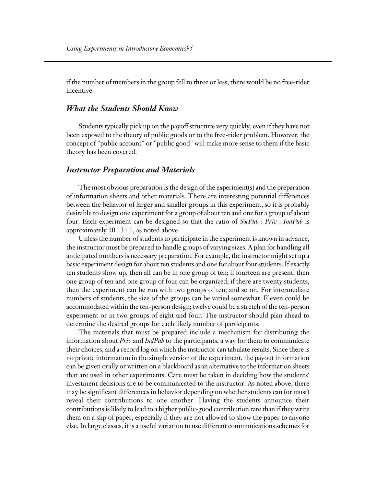if the number of members in the group fell to three or less, there would be no free-rider incentive.

# *What the Students Should Know*

Students typically pick up on the payoff structure very quickly, even if they have not been exposed to the theory of public goods or to the free-rider problem. However, the concept of "public account" or "public good" will make more sense to them if the basic theory has been covered.

#### *Instructor Preparation and Materials*

The most obvious preparation is the design of the experiment(s) and the preparation of information sheets and other materials. There are interesting potential differences between the behavior of larger and smaller groups in this experiment, so it is probably desirable to design one experiment for a group of about ten and one for a group of about four. Each experiment can be designed so that the ratio of *SocPub* : *Priv* : *IndPub* is approximately 10 : 3 : 1, as noted above.

Unless the number of students to participate in the experiment is known in advance, the instructor must be prepared to handle groups of varying sizes. A plan for handling all anticipated numbers is necessary preparation. For example, the instructor might set up a basic experiment design for about ten students and one for about four students. If exactly ten students show up, then all can be in one group of ten; if fourteen are present, then one group of ten and one group of four can be organized; if there are twenty students, then the experiment can be run with two groups of ten; and so on. For intermediate numbers of students, the size of the groups can be varied somewhat. Eleven could be accommodated within the ten-person design; twelve could be a stretch of the ten-person experiment or in two groups of eight and four. The instructor should plan ahead to determine the desired groups for each likely number of participants.

The materials that must be prepared include a mechanism for distributing the information about *Priv* and *IndPub* to the participants, a way for them to communicate their choices, and a record log on which the instructor can tabulate results. Since there is no private information in the simple version of the experiment, the payout information can be given orally or written on a blackboard as an alternative to the information sheets that are used in other experiments. Care must be taken in deciding how the students' investment decisions are to be communicated to the instructor. As noted above, there may be significant differences in behavior depending on whether students can (or must) reveal their contributions to one another. Having the students announce their contributions is likely to lead to a higher public-good contribution rate than if they write them on a slip of paper, especially if they are not allowed to show the paper to anyone else. In large classes, it is a useful variation to use different communications schemes for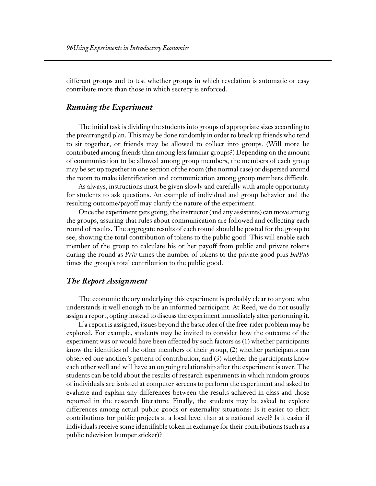different groups and to test whether groups in which revelation is automatic or easy contribute more than those in which secrecy is enforced.

# *Running the Experiment*

The initial task is dividing the students into groups of appropriate sizes according to the prearranged plan. This may be done randomly in order to break up friends who tend to sit together, or friends may be allowed to collect into groups. (Will more be contributed among friends than among less familiar groups?) Depending on the amount of communication to be allowed among group members, the members of each group may be set up together in one section of the room (the normal case) or dispersed around the room to make identification and communication among group members difficult.

As always, instructions must be given slowly and carefully with ample opportunity for students to ask questions. An example of individual and group behavior and the resulting outcome/payoff may clarify the nature of the experiment.

Once the experiment gets going, the instructor (and any assistants) can move among the groups, assuring that rules about communication are followed and collecting each round of results. The aggregate results of each round should be posted for the group to see, showing the total contribution of tokens to the public good. This will enable each member of the group to calculate his or her payoff from public and private tokens during the round as *Priv* times the number of tokens to the private good plus *IndPub* times the group's total contribution to the public good.

# *The Report Assignment*

The economic theory underlying this experiment is probably clear to anyone who understands it well enough to be an informed participant. At Reed, we do not usually assign a report, opting instead to discuss the experiment immediately after performing it.

If a report is assigned, issues beyond the basic idea of the free-rider problem may be explored. For example, students may be invited to consider how the outcome of the experiment was or would have been affected by such factors as (1) whether participants know the identities of the other members of their group, (2) whether participants can observed one another's pattern of contribution, and  $(3)$  whether the participants know each other well and will have an ongoing relationship after the experiment is over. The students can be told about the results of research experiments in which random groups of individuals are isolated at computer screens to perform the experiment and asked to evaluate and explain any differences between the results achieved in class and those reported in the research literature. Finally, the students may be asked to explore differences among actual public goods or externality situations: Is it easier to elicit contributions for public projects at a local level than at a national level? Is it easier if individuals receive some identifiable token in exchange for their contributions (such as a public television bumper sticker)?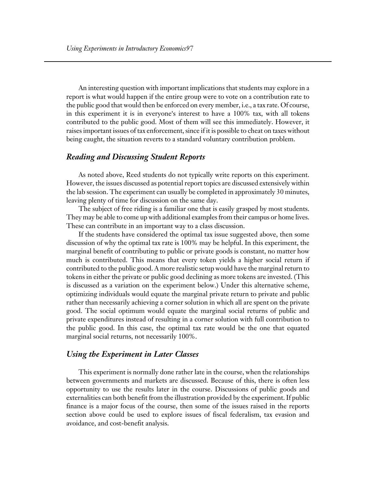An interesting question with important implications that students may explore in a report is what would happen if the entire group were to vote on a contribution rate to the public good that would then be enforced on every member, i.e., a tax rate. Of course, in this experiment it is in everyone's interest to have a 100% tax, with all tokens contributed to the public good. Most of them will see this immediately. However, it raises important issues of tax enforcement, since if it is possible to cheat on taxes without being caught, the situation reverts to a standard voluntary contribution problem.

# *Reading and Discussing Student Reports*

As noted above, Reed students do not typically write reports on this experiment. However, the issues discussed as potential report topics are discussed extensively within the lab session. The experiment can usually be completed in approximately 30 minutes, leaving plenty of time for discussion on the same day.

The subject of free riding is a familiar one that is easily grasped by most students. They may be able to come up with additional examples from their campus or home lives. These can contribute in an important way to a class discussion.

If the students have considered the optimal tax issue suggested above, then some discussion of why the optimal tax rate is 100% may be helpful. In this experiment, the marginal benefit of contributing to public or private goods is constant, no matter how much is contributed. This means that every token yields a higher social return if contributed to the public good. A more realistic setup would have the marginal return to tokens in either the private or public good declining as more tokens are invested. (This is discussed as a variation on the experiment below.) Under this alternative scheme, optimizing individuals would equate the marginal private return to private and public rather than necessarily achieving a corner solution in which all are spent on the private good. The social optimum would equate the marginal social returns of public and private expenditures instead of resulting in a corner solution with full contribution to the public good. In this case, the optimal tax rate would be the one that equated marginal social returns, not necessarily 100%.

#### *Using the Experiment in Later Classes*

This experiment is normally done rather late in the course, when the relationships between governments and markets are discussed. Because of this, there is often less opportunity to use the results later in the course. Discussions of public goods and externalities can both benefit from the illustration provided by the experiment. If public finance is a major focus of the course, then some of the issues raised in the reports section above could be used to explore issues of fiscal federalism, tax evasion and avoidance, and cost-benefit analysis.